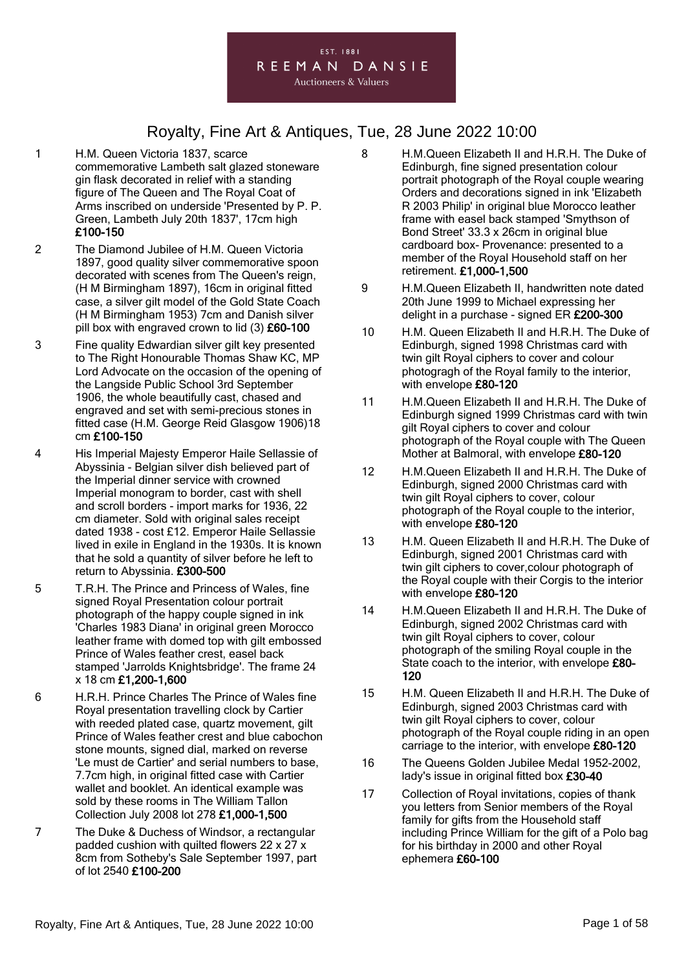

- 1 H.M. Queen Victoria 1837, scarce commemorative Lambeth salt glazed stoneware gin flask decorated in relief with a standing figure of The Queen and The Royal Coat of Arms inscribed on underside 'Presented by P. P. Green, Lambeth July 20th 1837', 17cm high £100-150
- 2 The Diamond Jubilee of H.M. Queen Victoria 1897, good quality silver commemorative spoon decorated with scenes from The Queen's reign, (H M Birmingham 1897), 16cm in original fitted case, a silver gilt model of the Gold State Coach (H M Birmingham 1953) 7cm and Danish silver pill box with engraved crown to lid (3) £60-100
- 3 Fine quality Edwardian silver gilt key presented to The Right Honourable Thomas Shaw KC, MP Lord Advocate on the occasion of the opening of the Langside Public School 3rd September 1906, the whole beautifully cast, chased and engraved and set with semi-precious stones in fitted case (H.M. George Reid Glasgow 1906)18 cm £100-150
- 4 His Imperial Majesty Emperor Haile Sellassie of Abyssinia - Belgian silver dish believed part of the Imperial dinner service with crowned Imperial monogram to border, cast with shell and scroll borders - import marks for 1936, 22 cm diameter. Sold with original sales receipt dated 1938 - cost £12. Emperor Haile Sellassie lived in exile in England in the 1930s. It is known that he sold a quantity of silver before he left to return to Abyssinia. £300-500
- 5 T.R.H. The Prince and Princess of Wales, fine signed Royal Presentation colour portrait photograph of the happy couple signed in ink 'Charles 1983 Diana' in original green Morocco leather frame with domed top with gilt embossed Prince of Wales feather crest, easel back stamped 'Jarrolds Knightsbridge'. The frame 24 x 18 cm £1,200-1,600
- 6 H.R.H. Prince Charles The Prince of Wales fine Royal presentation travelling clock by Cartier with reeded plated case, quartz movement, gilt Prince of Wales feather crest and blue cabochon stone mounts, signed dial, marked on reverse 'Le must de Cartier' and serial numbers to base, 7.7cm high, in original fitted case with Cartier wallet and booklet. An identical example was sold by these rooms in The William Tallon Collection July 2008 lot 278 £1,000-1,500
- 7 The Duke & Duchess of Windsor, a rectangular padded cushion with quilted flowers 22 x 27 x 8cm from Sotheby's Sale September 1997, part of lot 2540 £100-200
- 8 H.M.Queen Elizabeth II and H.R.H. The Duke of Edinburgh, fine signed presentation colour portrait photograph of the Royal couple wearing Orders and decorations signed in ink 'Elizabeth R 2003 Philip' in original blue Morocco leather frame with easel back stamped 'Smythson of Bond Street' 33.3 x 26cm in original blue cardboard box- Provenance: presented to a member of the Royal Household staff on her retirement. £1,000-1,500
- 9 H.M.Queen Elizabeth II, handwritten note dated 20th June 1999 to Michael expressing her delight in a purchase - signed ER £200-300
- 10 H.M. Queen Elizabeth II and H.R.H. The Duke of Edinburgh, signed 1998 Christmas card with twin gilt Royal ciphers to cover and colour photogragh of the Royal family to the interior, with envelope £80-120
- 11 H.M.Queen Elizabeth II and H.R.H. The Duke of Edinburgh signed 1999 Christmas card with twin gilt Royal ciphers to cover and colour photograph of the Royal couple with The Queen Mother at Balmoral, with envelope £80-120
- 12 H.M.Queen Elizabeth II and H.R.H. The Duke of Edinburgh, signed 2000 Christmas card with twin gilt Royal ciphers to cover, colour photograph of the Royal couple to the interior, with envelope £80-120
- 13 H.M. Queen Elizabeth II and H.R.H. The Duke of Edinburgh, signed 2001 Christmas card with twin gilt ciphers to cover,colour photograph of the Royal couple with their Corgis to the interior with envelope £80-120
- 14 H.M.Queen Elizabeth II and H.R.H. The Duke of Edinburgh, signed 2002 Christmas card with twin gilt Royal ciphers to cover, colour photograph of the smiling Royal couple in the State coach to the interior, with envelope £80-120
- 15 H.M. Queen Elizabeth II and H.R.H. The Duke of Edinburgh, signed 2003 Christmas card with twin gilt Royal ciphers to cover, colour photograph of the Royal couple riding in an open carriage to the interior, with envelope £80-120
- 16 The Queens Golden Jubilee Medal 1952-2002, lady's issue in original fitted box £30-40
- 17 Collection of Royal invitations, copies of thank you letters from Senior members of the Royal family for gifts from the Household staff including Prince William for the gift of a Polo bag for his birthday in 2000 and other Royal ephemera £60-100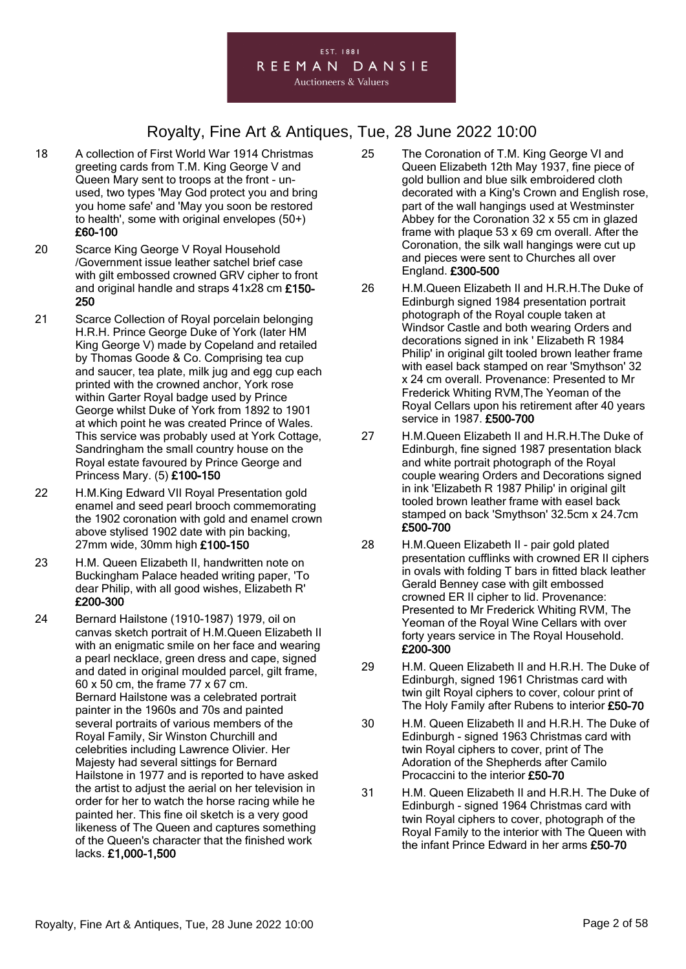

- 18 A collection of First World War 1914 Christmas greeting cards from T.M. King George V and Queen Mary sent to troops at the front - unused, two types 'May God protect you and bring you home safe' and 'May you soon be restored to health', some with original envelopes (50+) £60-100
- 20 Scarce King George V Royal Household /Government issue leather satchel brief case with gilt embossed crowned GRV cipher to front and original handle and straps 41x28 cm £150- 250
- 21 Scarce Collection of Royal porcelain belonging H.R.H. Prince George Duke of York (later HM King George V) made by Copeland and retailed by Thomas Goode & Co. Comprising tea cup and saucer, tea plate, milk jug and egg cup each printed with the crowned anchor, York rose within Garter Royal badge used by Prince George whilst Duke of York from 1892 to 1901 at which point he was created Prince of Wales. This service was probably used at York Cottage, Sandringham the small country house on the Royal estate favoured by Prince George and Princess Mary. (5) £100-150
- 22 H.M.King Edward VII Royal Presentation gold enamel and seed pearl brooch commemorating the 1902 coronation with gold and enamel crown above stylised 1902 date with pin backing, 27mm wide, 30mm high £100-150
- 23 H.M. Queen Elizabeth II, handwritten note on Buckingham Palace headed writing paper, 'To dear Philip, with all good wishes, Elizabeth R' £200-300
- 24 Bernard Hailstone (1910-1987) 1979, oil on canvas sketch portrait of H.M.Queen Elizabeth II with an enigmatic smile on her face and wearing a pearl necklace, green dress and cape, signed and dated in original moulded parcel, gilt frame, 60 x 50 cm, the frame 77 x 67 cm. Bernard Hailstone was a celebrated portrait painter in the 1960s and 70s and painted several portraits of various members of the Royal Family, Sir Winston Churchill and celebrities including Lawrence Olivier. Her Majesty had several sittings for Bernard Hailstone in 1977 and is reported to have asked the artist to adjust the aerial on her television in order for her to watch the horse racing while he painted her. This fine oil sketch is a very good likeness of The Queen and captures something of the Queen's character that the finished work lacks. £1,000-1,500
- 25 The Coronation of T.M. King George VI and Queen Elizabeth 12th May 1937, fine piece of gold bullion and blue silk embroidered cloth decorated with a King's Crown and English rose, part of the wall hangings used at Westminster Abbey for the Coronation 32 x 55 cm in glazed frame with plaque 53 x 69 cm overall. After the Coronation, the silk wall hangings were cut up and pieces were sent to Churches all over England. £300-500
- 26 H.M.Queen Elizabeth II and H.R.H.The Duke of Edinburgh signed 1984 presentation portrait photograph of the Royal couple taken at Windsor Castle and both wearing Orders and decorations signed in ink ' Elizabeth R 1984 Philip' in original gilt tooled brown leather frame with easel back stamped on rear 'Smythson' 32 x 24 cm overall. Provenance: Presented to Mr Frederick Whiting RVM,The Yeoman of the Royal Cellars upon his retirement after 40 years service in 1987. £500-700
- 27 H.M.Queen Elizabeth II and H.R.H.The Duke of Edinburgh, fine signed 1987 presentation black and white portrait photograph of the Royal couple wearing Orders and Decorations signed in ink 'Elizabeth R 1987 Philip' in original gilt tooled brown leather frame with easel back stamped on back 'Smythson' 32.5cm x 24.7cm £500-700
- 28 H.M.Queen Elizabeth II pair gold plated presentation cufflinks with crowned ER II ciphers in ovals with folding T bars in fitted black leather Gerald Benney case with gilt embossed crowned ER II cipher to lid. Provenance: Presented to Mr Frederick Whiting RVM, The Yeoman of the Royal Wine Cellars with over forty years service in The Royal Household. £200-300
- 29 H.M. Queen Elizabeth II and H.R.H. The Duke of Edinburgh, signed 1961 Christmas card with twin gilt Royal ciphers to cover, colour print of The Holy Family after Rubens to interior £50-70
- 30 H.M. Queen Elizabeth II and H.R.H. The Duke of Edinburgh - signed 1963 Christmas card with twin Royal ciphers to cover, print of The Adoration of the Shepherds after Camilo Procaccini to the interior £50-70
- 31 H.M. Queen Elizabeth II and H.R.H. The Duke of Edinburgh - signed 1964 Christmas card with twin Royal ciphers to cover, photograph of the Royal Family to the interior with The Queen with the infant Prince Edward in her arms £50-70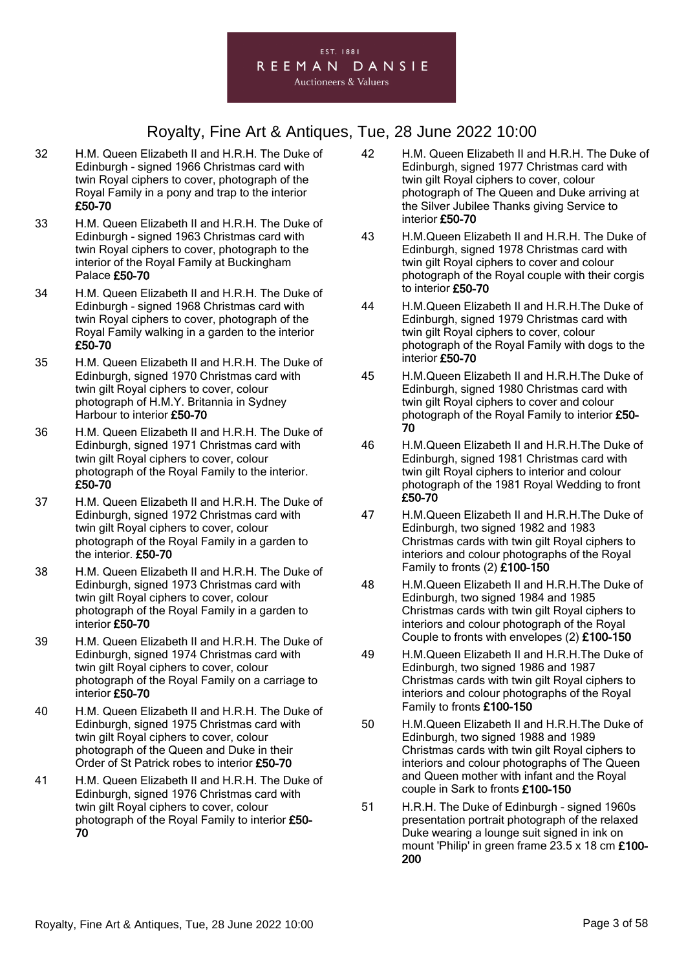

- 32 H.M. Queen Elizabeth II and H.R.H. The Duke of Edinburgh - signed 1966 Christmas card with twin Royal ciphers to cover, photograph of the Royal Family in a pony and trap to the interior £50-70
- 33 H.M. Queen Elizabeth II and H.R.H. The Duke of Edinburgh - signed 1963 Christmas card with twin Royal ciphers to cover, photograph to the interior of the Royal Family at Buckingham Palace £50-70
- 34 H.M. Queen Elizabeth II and H.R.H. The Duke of Edinburgh - signed 1968 Christmas card with twin Royal ciphers to cover, photograph of the Royal Family walking in a garden to the interior £50-70
- 35 H.M. Queen Elizabeth II and H.R.H. The Duke of Edinburgh, signed 1970 Christmas card with twin gilt Royal ciphers to cover, colour photograph of H.M.Y. Britannia in Sydney Harbour to interior £50-70
- 36 H.M. Queen Elizabeth II and H.R.H. The Duke of Edinburgh, signed 1971 Christmas card with twin gilt Royal ciphers to cover, colour photograph of the Royal Family to the interior. £50-70
- 37 H.M. Queen Elizabeth II and H.R.H. The Duke of Edinburgh, signed 1972 Christmas card with twin gilt Royal ciphers to cover, colour photograph of the Royal Family in a garden to the interior. £50-70
- 38 H.M. Queen Elizabeth II and H.R.H. The Duke of Edinburgh, signed 1973 Christmas card with twin gilt Royal ciphers to cover, colour photograph of the Royal Family in a garden to interior £50-70
- 39 H.M. Queen Elizabeth II and H.R.H. The Duke of Edinburgh, signed 1974 Christmas card with twin gilt Royal ciphers to cover, colour photograph of the Royal Family on a carriage to interior £50-70
- 40 H.M. Queen Elizabeth II and H.R.H. The Duke of Edinburgh, signed 1975 Christmas card with twin gilt Royal ciphers to cover, colour photograph of the Queen and Duke in their Order of St Patrick robes to interior £50-70
- 41 H.M. Queen Elizabeth II and H.R.H. The Duke of Edinburgh, signed 1976 Christmas card with twin gilt Royal ciphers to cover, colour photograph of the Royal Family to interior £50- 70
- 42 H.M. Queen Elizabeth II and H.R.H. The Duke of Edinburgh, signed 1977 Christmas card with twin gilt Royal ciphers to cover, colour photograph of The Queen and Duke arriving at the Silver Jubilee Thanks giving Service to interior £50-70
- 43 H.M.Queen Elizabeth II and H.R.H. The Duke of Edinburgh, signed 1978 Christmas card with twin gilt Royal ciphers to cover and colour photograph of the Royal couple with their corgis to interior £50-70
- 44 H.M.Queen Elizabeth II and H.R.H.The Duke of Edinburgh, signed 1979 Christmas card with twin gilt Royal ciphers to cover, colour photograph of the Royal Family with dogs to the interior £50-70
- 45 H.M.Queen Elizabeth II and H.R.H.The Duke of Edinburgh, signed 1980 Christmas card with twin gilt Royal ciphers to cover and colour photograph of the Royal Family to interior £50-70
- 46 H.M.Queen Elizabeth II and H.R.H.The Duke of Edinburgh, signed 1981 Christmas card with twin gilt Royal ciphers to interior and colour photograph of the 1981 Royal Wedding to front £50-70
- 47 H.M.Queen Elizabeth II and H.R.H.The Duke of Edinburgh, two signed 1982 and 1983 Christmas cards with twin gilt Royal ciphers to interiors and colour photographs of the Royal Family to fronts (2) £100-150
- 48 H.M.Queen Elizabeth II and H.R.H.The Duke of Edinburgh, two signed 1984 and 1985 Christmas cards with twin gilt Royal ciphers to interiors and colour photograph of the Royal Couple to fronts with envelopes (2) £100-150
- 49 H.M.Queen Elizabeth II and H.R.H.The Duke of Edinburgh, two signed 1986 and 1987 Christmas cards with twin gilt Royal ciphers to interiors and colour photographs of the Royal Family to fronts £100-150
- 50 H.M.Queen Elizabeth II and H.R.H.The Duke of Edinburgh, two signed 1988 and 1989 Christmas cards with twin gilt Royal ciphers to interiors and colour photographs of The Queen and Queen mother with infant and the Royal couple in Sark to fronts £100-150
- 51 H.R.H. The Duke of Edinburgh signed 1960s presentation portrait photograph of the relaxed Duke wearing a lounge suit signed in ink on mount 'Philip' in green frame 23.5 x 18 cm £100- 200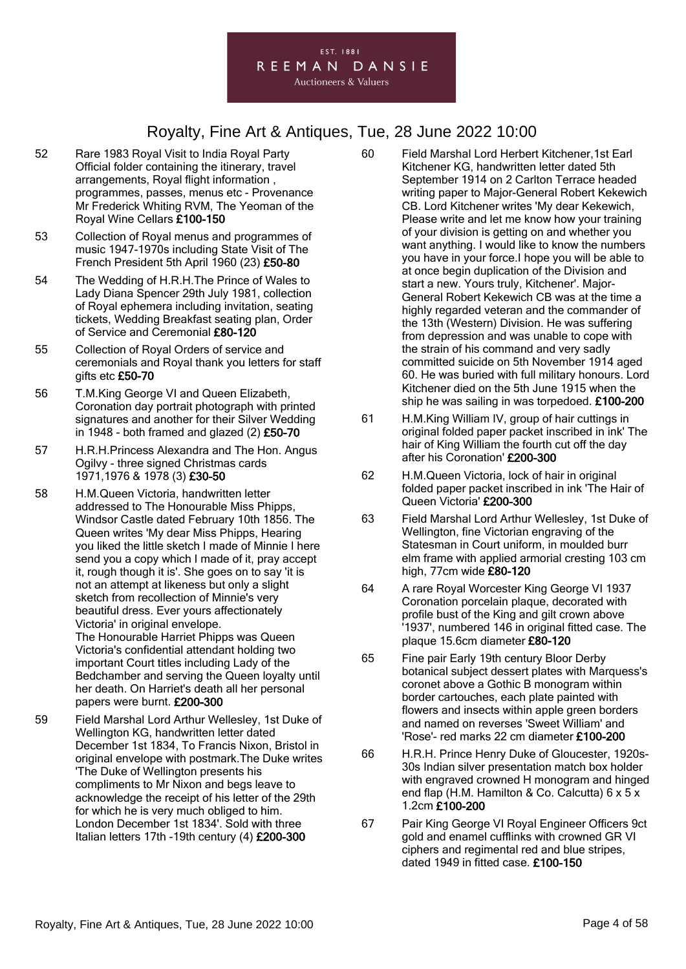#### EST. 1881 REEMAN DANSIE **Auctioneers & Valuers**

### Royalty, Fine Art & Antiques, Tue, 28 June 2022 10:00

- 52 Rare 1983 Royal Visit to India Royal Party Official folder containing the itinerary, travel arrangements, Royal flight information , programmes, passes, menus etc - Provenance Mr Frederick Whiting RVM, The Yeoman of the Royal Wine Cellars £100-150
- 53 Collection of Royal menus and programmes of music 1947-1970s including State Visit of The French President 5th April 1960 (23) £50-80
- 54 The Wedding of H.R.H.The Prince of Wales to Lady Diana Spencer 29th July 1981, collection of Royal ephemera including invitation, seating tickets, Wedding Breakfast seating plan, Order of Service and Ceremonial £80-120
- 55 Collection of Royal Orders of service and ceremonials and Royal thank you letters for staff gifts etc £50-70
- 56 T.M.King George VI and Queen Elizabeth, Coronation day portrait photograph with printed signatures and another for their Silver Wedding in  $1948$  - both framed and glazed (2) £50-70
- 57 H.R.H.Princess Alexandra and The Hon. Angus Ogilvy - three signed Christmas cards 1971,1976 & 1978 (3) £30-50
- 58 H.M.Queen Victoria, handwritten letter addressed to The Honourable Miss Phipps, Windsor Castle dated February 10th 1856. The Queen writes 'My dear Miss Phipps, Hearing you liked the little sketch I made of Minnie I here send you a copy which I made of it, pray accept it, rough though it is'. She goes on to say 'it is not an attempt at likeness but only a slight sketch from recollection of Minnie's very beautiful dress. Ever yours affectionately Victoria' in original envelope. The Honourable Harriet Phipps was Queen Victoria's confidential attendant holding two important Court titles including Lady of the Bedchamber and serving the Queen loyalty until her death. On Harriet's death all her personal
- 59 Field Marshal Lord Arthur Wellesley, 1st Duke of Wellington KG, handwritten letter dated December 1st 1834, To Francis Nixon, Bristol in original envelope with postmark.The Duke writes 'The Duke of Wellington presents his compliments to Mr Nixon and begs leave to acknowledge the receipt of his letter of the 29th for which he is very much obliged to him. London December 1st 1834'. Sold with three Italian letters 17th -19th century (4) £200-300

papers were burnt. £200-300

- 60 Field Marshal Lord Herbert Kitchener,1st Earl Kitchener KG, handwritten letter dated 5th September 1914 on 2 Carlton Terrace headed writing paper to Major-General Robert Kekewich CB. Lord Kitchener writes 'My dear Kekewich, Please write and let me know how your training of your division is getting on and whether you want anything. I would like to know the numbers you have in your force.I hope you will be able to at once begin duplication of the Division and start a new. Yours truly, Kitchener'. Major-General Robert Kekewich CB was at the time a highly regarded veteran and the commander of the 13th (Western) Division. He was suffering from depression and was unable to cope with the strain of his command and very sadly committed suicide on 5th November 1914 aged 60. He was buried with full military honours. Lord Kitchener died on the 5th June 1915 when the ship he was sailing in was torpedoed. £100-200
- 61 H.M.King William IV, group of hair cuttings in original folded paper packet inscribed in ink' The hair of King William the fourth cut off the day after his Coronation' £200-300
- 62 H.M.Queen Victoria, lock of hair in original folded paper packet inscribed in ink 'The Hair of Queen Victoria' £200-300
- 63 Field Marshal Lord Arthur Wellesley, 1st Duke of Wellington, fine Victorian engraving of the Statesman in Court uniform, in moulded burr elm frame with applied armorial cresting 103 cm high, 77cm wide £80-120
- 64 A rare Royal Worcester King George VI 1937 Coronation porcelain plaque, decorated with profile bust of the King and gilt crown above '1937', numbered 146 in original fitted case. The plaque 15.6cm diameter £80-120
- 65 Fine pair Early 19th century Bloor Derby botanical subject dessert plates with Marquess's coronet above a Gothic B monogram within border cartouches, each plate painted with flowers and insects within apple green borders and named on reverses 'Sweet William' and 'Rose'- red marks 22 cm diameter £100-200
- 66 H.R.H. Prince Henry Duke of Gloucester, 1920s-30s Indian silver presentation match box holder with engraved crowned H monogram and hinged end flap (H.M. Hamilton & Co. Calcutta) 6 x 5 x 1.2cm £100-200
- 67 Pair King George VI Royal Engineer Officers 9ct gold and enamel cufflinks with crowned GR VI ciphers and regimental red and blue stripes, dated 1949 in fitted case. £100-150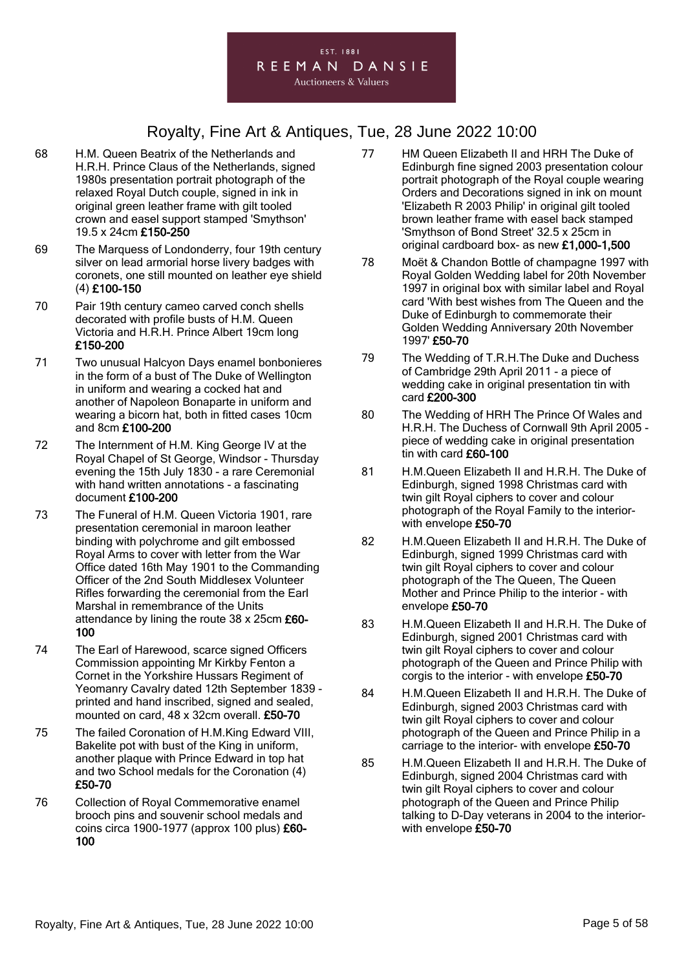

- 68 H.M. Queen Beatrix of the Netherlands and H.R.H. Prince Claus of the Netherlands, signed 1980s presentation portrait photograph of the relaxed Royal Dutch couple, signed in ink in original green leather frame with gilt tooled crown and easel support stamped 'Smythson' 19.5 x 24cm £150-250
- 69 The Marquess of Londonderry, four 19th century silver on lead armorial horse livery badges with coronets, one still mounted on leather eye shield (4) £100-150
- 70 Pair 19th century cameo carved conch shells decorated with profile busts of H.M. Queen Victoria and H.R.H. Prince Albert 19cm long £150-200
- 71 Two unusual Halcyon Days enamel bonbonieres in the form of a bust of The Duke of Wellington in uniform and wearing a cocked hat and another of Napoleon Bonaparte in uniform and wearing a bicorn hat, both in fitted cases 10cm and 8cm £100-200
- 72 The Internment of H.M. King George IV at the Royal Chapel of St George, Windsor - Thursday evening the 15th July 1830 - a rare Ceremonial with hand written annotations - a fascinating document £100-200
- 73 The Funeral of H.M. Queen Victoria 1901, rare presentation ceremonial in maroon leather binding with polychrome and gilt embossed Royal Arms to cover with letter from the War Office dated 16th May 1901 to the Commanding Officer of the 2nd South Middlesex Volunteer Rifles forwarding the ceremonial from the Earl Marshal in remembrance of the Units attendance by lining the route 38 x 25cm £60-100
- 74 The Earl of Harewood, scarce signed Officers Commission appointing Mr Kirkby Fenton a Cornet in the Yorkshire Hussars Regiment of Yeomanry Cavalry dated 12th September 1839 printed and hand inscribed, signed and sealed, mounted on card, 48 x 32cm overall. £50-70
- 75 The failed Coronation of H.M.King Edward VIII, Bakelite pot with bust of the King in uniform, another plaque with Prince Edward in top hat and two School medals for the Coronation (4) £50-70
- 76 Collection of Royal Commemorative enamel brooch pins and souvenir school medals and coins circa 1900-1977 (approx 100 plus) £60- 100
- 77 HM Queen Elizabeth II and HRH The Duke of Edinburgh fine signed 2003 presentation colour portrait photograph of the Royal couple wearing Orders and Decorations signed in ink on mount 'Elizabeth R 2003 Philip' in original gilt tooled brown leather frame with easel back stamped 'Smythson of Bond Street' 32.5 x 25cm in original cardboard box- as new £1,000-1,500
- 78 Moët & Chandon Bottle of champagne 1997 with Royal Golden Wedding label for 20th November 1997 in original box with similar label and Royal card 'With best wishes from The Queen and the Duke of Edinburgh to commemorate their Golden Wedding Anniversary 20th November 1997' £50-70
- 79 The Wedding of T.R.H.The Duke and Duchess of Cambridge 29th April 2011 - a piece of wedding cake in original presentation tin with card £200-300
- 80 The Wedding of HRH The Prince Of Wales and H.R.H. The Duchess of Cornwall 9th April 2005 piece of wedding cake in original presentation tin with card £60-100
- 81 H.M.Queen Elizabeth II and H.R.H. The Duke of Edinburgh, signed 1998 Christmas card with twin gilt Royal ciphers to cover and colour photograph of the Royal Family to the interiorwith envelope £50-70
- 82 H.M.Queen Elizabeth II and H.R.H. The Duke of Edinburgh, signed 1999 Christmas card with twin gilt Royal ciphers to cover and colour photograph of the The Queen, The Queen Mother and Prince Philip to the interior - with envelope £50-70
- 83 H.M.Queen Elizabeth II and H.R.H. The Duke of Edinburgh, signed 2001 Christmas card with twin gilt Royal ciphers to cover and colour photograph of the Queen and Prince Philip with corgis to the interior - with envelope £50-70
- 84 H.M.Queen Elizabeth II and H.R.H. The Duke of Edinburgh, signed 2003 Christmas card with twin gilt Royal ciphers to cover and colour photograph of the Queen and Prince Philip in a carriage to the interior- with envelope £50-70
- 85 H.M.Queen Elizabeth II and H.R.H. The Duke of Edinburgh, signed 2004 Christmas card with twin gilt Royal ciphers to cover and colour photograph of the Queen and Prince Philip talking to D-Day veterans in 2004 to the interiorwith envelope £50-70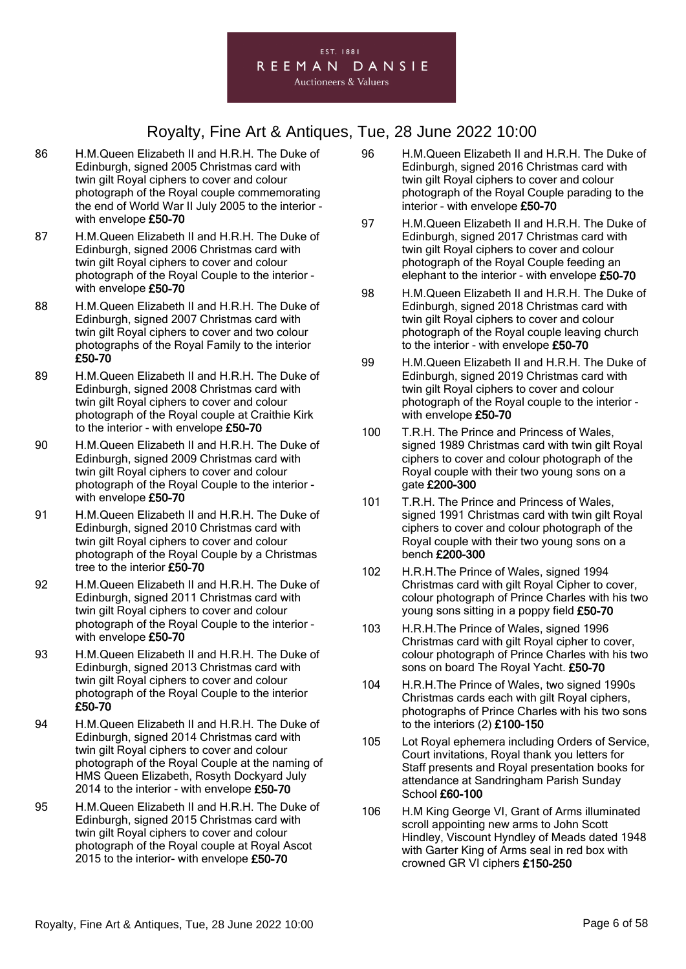

- 86 H.M.Queen Elizabeth II and H.R.H. The Duke of Edinburgh, signed 2005 Christmas card with twin gilt Royal ciphers to cover and colour photograph of the Royal couple commemorating the end of World War II July 2005 to the interior with envelope £50-70
- 87 H.M.Queen Elizabeth II and H.R.H. The Duke of Edinburgh, signed 2006 Christmas card with twin gilt Royal ciphers to cover and colour photograph of the Royal Couple to the interior with envelope £50-70
- 88 H.M.Queen Elizabeth II and H.R.H. The Duke of Edinburgh, signed 2007 Christmas card with twin gilt Royal ciphers to cover and two colour photographs of the Royal Family to the interior £50-70
- 89 H.M.Queen Elizabeth II and H.R.H. The Duke of Edinburgh, signed 2008 Christmas card with twin gilt Royal ciphers to cover and colour photograph of the Royal couple at Craithie Kirk to the interior - with envelope £50-70
- 90 H.M.Queen Elizabeth II and H.R.H. The Duke of Edinburgh, signed 2009 Christmas card with twin gilt Royal ciphers to cover and colour photograph of the Royal Couple to the interior with envelope £50-70
- 91 H.M.Queen Elizabeth II and H.R.H. The Duke of Edinburgh, signed 2010 Christmas card with twin gilt Royal ciphers to cover and colour photograph of the Royal Couple by a Christmas tree to the interior £50-70
- 92 H.M.Queen Elizabeth II and H.R.H. The Duke of Edinburgh, signed 2011 Christmas card with twin gilt Royal ciphers to cover and colour photograph of the Royal Couple to the interior with envelope £50-70
- 93 H.M.Queen Elizabeth II and H.R.H. The Duke of Edinburgh, signed 2013 Christmas card with twin gilt Royal ciphers to cover and colour photograph of the Royal Couple to the interior £50-70
- 94 H.M.Queen Elizabeth II and H.R.H. The Duke of Edinburgh, signed 2014 Christmas card with twin gilt Royal ciphers to cover and colour photograph of the Royal Couple at the naming of HMS Queen Elizabeth, Rosyth Dockyard July 2014 to the interior - with envelope £50-70
- 95 H.M.Queen Elizabeth II and H.R.H. The Duke of Edinburgh, signed 2015 Christmas card with twin gilt Royal ciphers to cover and colour photograph of the Royal couple at Royal Ascot 2015 to the interior- with envelope £50-70
- 96 H.M.Queen Elizabeth II and H.R.H. The Duke of Edinburgh, signed 2016 Christmas card with twin gilt Royal ciphers to cover and colour photograph of the Royal Couple parading to the interior - with envelope £50-70
- 97 H.M.Queen Elizabeth II and H.R.H. The Duke of Edinburgh, signed 2017 Christmas card with twin gilt Royal ciphers to cover and colour photograph of the Royal Couple feeding an elephant to the interior - with envelope £50-70
- 98 H.M.Queen Elizabeth II and H.R.H. The Duke of Edinburgh, signed 2018 Christmas card with twin gilt Royal ciphers to cover and colour photograph of the Royal couple leaving church to the interior - with envelope £50-70
- 99 H.M.Queen Elizabeth II and H.R.H. The Duke of Edinburgh, signed 2019 Christmas card with twin gilt Royal ciphers to cover and colour photograph of the Royal couple to the interior with envelope £50-70
- 100 T.R.H. The Prince and Princess of Wales, signed 1989 Christmas card with twin gilt Royal ciphers to cover and colour photograph of the Royal couple with their two young sons on a gate £200-300
- 101 T.R.H. The Prince and Princess of Wales, signed 1991 Christmas card with twin gilt Royal ciphers to cover and colour photograph of the Royal couple with their two young sons on a bench £200-300
- 102 H.R.H.The Prince of Wales, signed 1994 Christmas card with gilt Royal Cipher to cover, colour photograph of Prince Charles with his two young sons sitting in a poppy field £50-70
- 103 H.R.H.The Prince of Wales, signed 1996 Christmas card with gilt Royal cipher to cover, colour photograph of Prince Charles with his two sons on board The Royal Yacht. £50-70
- 104 H.R.H.The Prince of Wales, two signed 1990s Christmas cards each with gilt Royal ciphers, photographs of Prince Charles with his two sons to the interiors (2) £100-150
- 105 Lot Royal ephemera including Orders of Service, Court invitations, Royal thank you letters for Staff presents and Royal presentation books for attendance at Sandringham Parish Sunday School £60-100
- 106 H.M King George VI, Grant of Arms illuminated scroll appointing new arms to John Scott Hindley, Viscount Hyndley of Meads dated 1948 with Garter King of Arms seal in red box with crowned GR VI ciphers £150-250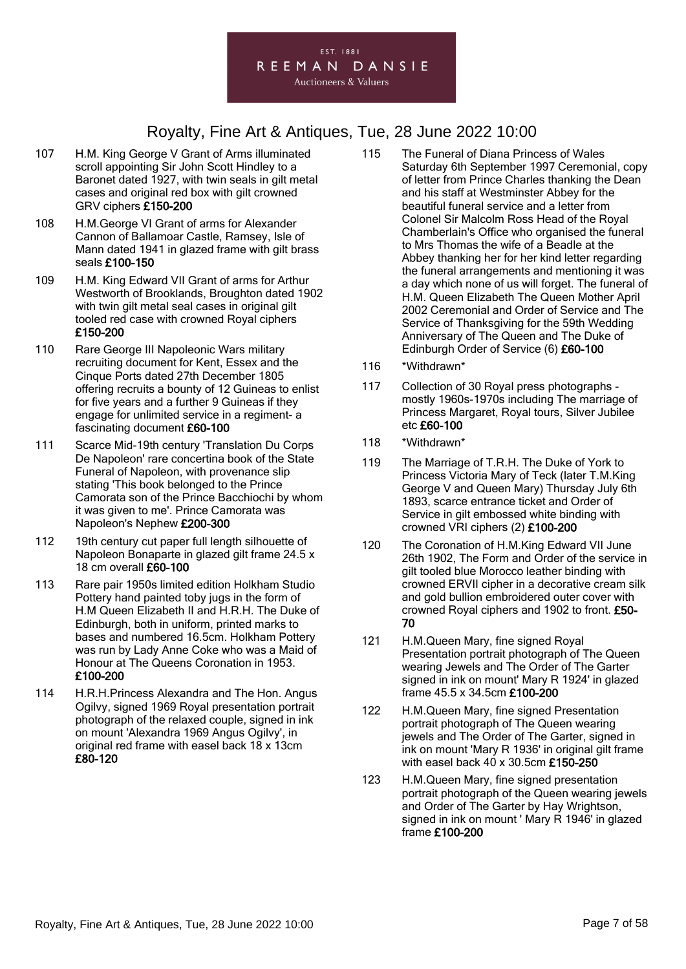#### EST. 1881 REEMAN DANSIE **Auctioneers & Valuers**

- 107 H.M. King George V Grant of Arms illuminated scroll appointing Sir John Scott Hindley to a Baronet dated 1927, with twin seals in gilt metal cases and original red box with gilt crowned GRV ciphers £150-200
- 108 H.M.George VI Grant of arms for Alexander Cannon of Ballamoar Castle, Ramsey, Isle of Mann dated 1941 in glazed frame with gilt brass seals £100-150
- 109 H.M. King Edward VII Grant of arms for Arthur Westworth of Brooklands, Broughton dated 1902 with twin gilt metal seal cases in original gilt tooled red case with crowned Royal ciphers £150-200
- 110 Rare George III Napoleonic Wars military recruiting document for Kent, Essex and the Cinque Ports dated 27th December 1805 offering recruits a bounty of 12 Guineas to enlist for five years and a further 9 Guineas if they engage for unlimited service in a regiment- a fascinating document £60-100
- 111 Scarce Mid-19th century 'Translation Du Corps De Napoleon' rare concertina book of the State Funeral of Napoleon, with provenance slip stating 'This book belonged to the Prince Camorata son of the Prince Bacchiochi by whom it was given to me'. Prince Camorata was Napoleon's Nephew £200-300
- 112 19th century cut paper full length silhouette of Napoleon Bonaparte in glazed gilt frame 24.5 x 18 cm overall £60-100
- 113 Rare pair 1950s limited edition Holkham Studio Pottery hand painted toby jugs in the form of H.M Queen Elizabeth II and H.R.H. The Duke of Edinburgh, both in uniform, printed marks to bases and numbered 16.5cm. Holkham Pottery was run by Lady Anne Coke who was a Maid of Honour at The Queens Coronation in 1953. £100-200
- 114 H.R.H.Princess Alexandra and The Hon. Angus Ogilvy, signed 1969 Royal presentation portrait photograph of the relaxed couple, signed in ink on mount 'Alexandra 1969 Angus Ogilvy', in original red frame with easel back 18 x 13cm £80-120
- 115 The Funeral of Diana Princess of Wales Saturday 6th September 1997 Ceremonial, copy of letter from Prince Charles thanking the Dean and his staff at Westminster Abbey for the beautiful funeral service and a letter from Colonel Sir Malcolm Ross Head of the Royal Chamberlain's Office who organised the funeral to Mrs Thomas the wife of a Beadle at the Abbey thanking her for her kind letter regarding the funeral arrangements and mentioning it was a day which none of us will forget. The funeral of H.M. Queen Elizabeth The Queen Mother April 2002 Ceremonial and Order of Service and The Service of Thanksgiving for the 59th Wedding Anniversary of The Queen and The Duke of Edinburgh Order of Service (6) £60-100
- 116 \*Withdrawn\*
- 117 Collection of 30 Royal press photographs mostly 1960s-1970s including The marriage of Princess Margaret, Royal tours, Silver Jubilee etc £60-100
- 118 \*Withdrawn\*
- 119 The Marriage of T.R.H. The Duke of York to Princess Victoria Mary of Teck (later T.M.King George V and Queen Mary) Thursday July 6th 1893, scarce entrance ticket and Order of Service in gilt embossed white binding with crowned VRI ciphers (2) £100-200
- 120 The Coronation of H.M.King Edward VII June 26th 1902, The Form and Order of the service in gilt tooled blue Morocco leather binding with crowned ERVII cipher in a decorative cream silk and gold bullion embroidered outer cover with crowned Royal ciphers and 1902 to front. £50- 70
- 121 H.M.Queen Mary, fine signed Royal Presentation portrait photograph of The Queen wearing Jewels and The Order of The Garter signed in ink on mount' Mary R 1924' in glazed frame 45.5 x 34.5cm £100-200
- 122 H.M.Queen Mary, fine signed Presentation portrait photograph of The Queen wearing jewels and The Order of The Garter, signed in ink on mount 'Mary R 1936' in original gilt frame with easel back 40 x 30.5cm £150-250
- 123 H.M.Queen Mary, fine signed presentation portrait photograph of the Queen wearing jewels and Order of The Garter by Hay Wrightson, signed in ink on mount ' Mary R 1946' in glazed frame £100-200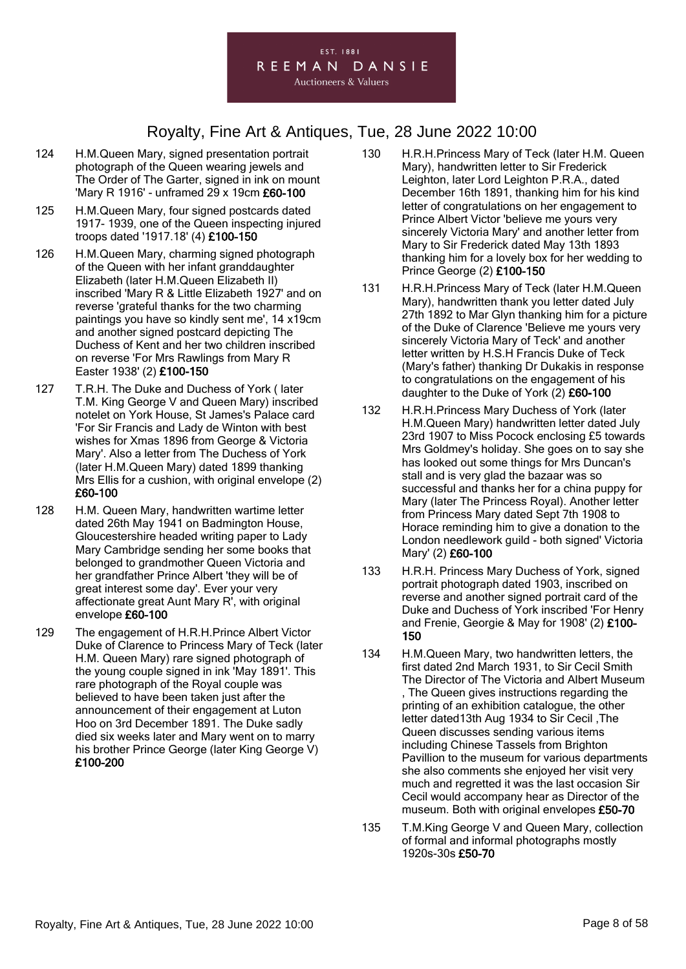

- 124 H.M.Queen Mary, signed presentation portrait photograph of the Queen wearing jewels and The Order of The Garter, signed in ink on mount 'Mary R 1916' - unframed 29 x 19cm £60-100
- 125 H.M.Queen Mary, four signed postcards dated 1917- 1939, one of the Queen inspecting injured troops dated '1917.18' (4) £100-150
- 126 H.M.Queen Mary, charming signed photograph of the Queen with her infant granddaughter Elizabeth (later H.M.Queen Elizabeth II) inscribed 'Mary R & Little Elizabeth 1927' and on reverse 'grateful thanks for the two charming paintings you have so kindly sent me', 14 x19cm and another signed postcard depicting The Duchess of Kent and her two children inscribed on reverse 'For Mrs Rawlings from Mary R Easter 1938' (2) £100-150
- 127 T.R.H. The Duke and Duchess of York ( later T.M. King George V and Queen Mary) inscribed notelet on York House, St James's Palace card 'For Sir Francis and Lady de Winton with best wishes for Xmas 1896 from George & Victoria Mary'. Also a letter from The Duchess of York (later H.M.Queen Mary) dated 1899 thanking Mrs Ellis for a cushion, with original envelope (2) £60-100
- 128 H.M. Queen Mary, handwritten wartime letter dated 26th May 1941 on Badmington House, Gloucestershire headed writing paper to Lady Mary Cambridge sending her some books that belonged to grandmother Queen Victoria and her grandfather Prince Albert 'they will be of great interest some day'. Ever your very affectionate great Aunt Mary R', with original envelope £60-100
- 129 The engagement of H.R.H.Prince Albert Victor Duke of Clarence to Princess Mary of Teck (later H.M. Queen Mary) rare signed photograph of the young couple signed in ink 'May 1891'. This rare photograph of the Royal couple was believed to have been taken just after the announcement of their engagement at Luton Hoo on 3rd December 1891. The Duke sadly died six weeks later and Mary went on to marry his brother Prince George (later King George V) £100-200
- 130 H.R.H.Princess Mary of Teck (later H.M. Queen Mary), handwritten letter to Sir Frederick Leighton, later Lord Leighton P.R.A., dated December 16th 1891, thanking him for his kind letter of congratulations on her engagement to Prince Albert Victor 'believe me yours very sincerely Victoria Mary' and another letter from Mary to Sir Frederick dated May 13th 1893 thanking him for a lovely box for her wedding to Prince George (2) £100-150
- 131 H.R.H.Princess Mary of Teck (later H.M.Queen Mary), handwritten thank you letter dated July 27th 1892 to Mar Glyn thanking him for a picture of the Duke of Clarence 'Believe me yours very sincerely Victoria Mary of Teck' and another letter written by H.S.H Francis Duke of Teck (Mary's father) thanking Dr Dukakis in response to congratulations on the engagement of his daughter to the Duke of York (2) £60-100
- 132 H.R.H.Princess Mary Duchess of York (later H.M.Queen Mary) handwritten letter dated July 23rd 1907 to Miss Pocock enclosing £5 towards Mrs Goldmey's holiday. She goes on to say she has looked out some things for Mrs Duncan's stall and is very glad the bazaar was so successful and thanks her for a china puppy for Mary (later The Princess Royal). Another letter from Princess Mary dated Sept 7th 1908 to Horace reminding him to give a donation to the London needlework guild - both signed' Victoria Mary' (2) £60-100
- 133 H.R.H. Princess Mary Duchess of York, signed portrait photograph dated 1903, inscribed on reverse and another signed portrait card of the Duke and Duchess of York inscribed 'For Henry and Frenie, Georgie & May for 1908' (2) £100- 150
- 134 H.M.Queen Mary, two handwritten letters, the first dated 2nd March 1931, to Sir Cecil Smith The Director of The Victoria and Albert Museum , The Queen gives instructions regarding the printing of an exhibition catalogue, the other letter dated13th Aug 1934 to Sir Cecil ,The Queen discusses sending various items including Chinese Tassels from Brighton Pavillion to the museum for various departments she also comments she enjoyed her visit very much and regretted it was the last occasion Sir Cecil would accompany hear as Director of the museum. Both with original envelopes £50-70
- 135 T.M.King George V and Queen Mary, collection of formal and informal photographs mostly 1920s-30s £50-70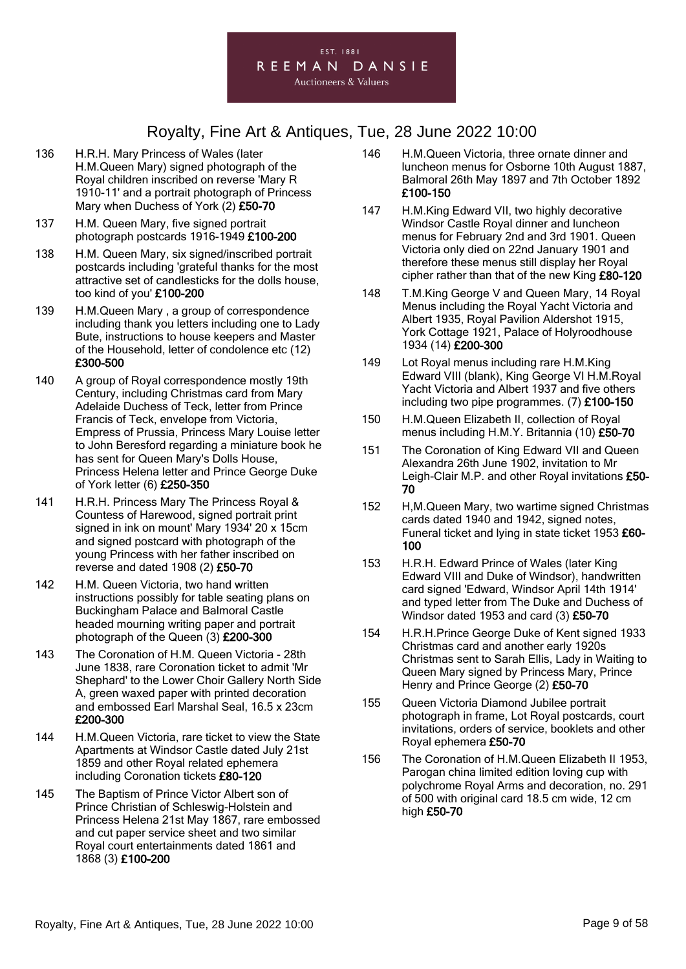

- 136 H.R.H. Mary Princess of Wales (later H.M.Queen Mary) signed photograph of the Royal children inscribed on reverse 'Mary R 1910-11' and a portrait photograph of Princess Mary when Duchess of York (2) £50-70
- 137 H.M. Queen Mary, five signed portrait photograph postcards 1916-1949 £100-200
- 138 H.M. Queen Mary, six signed/inscribed portrait postcards including 'grateful thanks for the most attractive set of candlesticks for the dolls house, too kind of you' £100-200
- 139 H.M.Queen Mary , a group of correspondence including thank you letters including one to Lady Bute, instructions to house keepers and Master of the Household, letter of condolence etc (12) £300-500
- 140 A group of Royal correspondence mostly 19th Century, including Christmas card from Mary Adelaide Duchess of Teck, letter from Prince Francis of Teck, envelope from Victoria, Empress of Prussia, Princess Mary Louise letter to John Beresford regarding a miniature book he has sent for Queen Mary's Dolls House, Princess Helena letter and Prince George Duke of York letter (6) £250-350
- 141 H.R.H. Princess Mary The Princess Royal & Countess of Harewood, signed portrait print signed in ink on mount' Mary 1934' 20 x 15cm and signed postcard with photograph of the young Princess with her father inscribed on reverse and dated 1908 (2) £50-70
- 142 H.M. Queen Victoria, two hand written instructions possibly for table seating plans on Buckingham Palace and Balmoral Castle headed mourning writing paper and portrait photograph of the Queen (3) £200-300
- 143 The Coronation of H.M. Queen Victoria 28th June 1838, rare Coronation ticket to admit 'Mr Shephard' to the Lower Choir Gallery North Side A, green waxed paper with printed decoration and embossed Earl Marshal Seal, 16.5 x 23cm £200-300
- 144 H.M.Queen Victoria, rare ticket to view the State Apartments at Windsor Castle dated July 21st 1859 and other Royal related ephemera including Coronation tickets £80-120
- 145 The Baptism of Prince Victor Albert son of Prince Christian of Schleswig-Holstein and Princess Helena 21st May 1867, rare embossed and cut paper service sheet and two similar Royal court entertainments dated 1861 and 1868 (3) £100-200
- 146 H.M.Queen Victoria, three ornate dinner and luncheon menus for Osborne 10th August 1887, Balmoral 26th May 1897 and 7th October 1892 £100-150
- 147 H.M.King Edward VII, two highly decorative Windsor Castle Royal dinner and luncheon menus for February 2nd and 3rd 1901. Queen Victoria only died on 22nd January 1901 and therefore these menus still display her Royal cipher rather than that of the new King £80-120
- 148 T.M.King George V and Queen Mary, 14 Royal Menus including the Royal Yacht Victoria and Albert 1935, Royal Pavilion Aldershot 1915, York Cottage 1921, Palace of Holyroodhouse 1934 (14) £200-300
- 149 Lot Royal menus including rare H.M.King Edward VIII (blank), King George VI H.M.Royal Yacht Victoria and Albert 1937 and five others including two pipe programmes. (7) £100-150
- 150 H.M.Queen Elizabeth II, collection of Royal menus including H.M.Y. Britannia (10) £50-70
- 151 The Coronation of King Edward VII and Queen Alexandra 26th June 1902, invitation to Mr Leigh-Clair M.P. and other Royal invitations £50- 70
- 152 H,M.Queen Mary, two wartime signed Christmas cards dated 1940 and 1942, signed notes, Funeral ticket and lying in state ticket 1953 £60-100
- 153 H.R.H. Edward Prince of Wales (later King Edward VIII and Duke of Windsor), handwritten card signed 'Edward, Windsor April 14th 1914' and typed letter from The Duke and Duchess of Windsor dated 1953 and card (3) £50-70
- 154 H.R.H.Prince George Duke of Kent signed 1933 Christmas card and another early 1920s Christmas sent to Sarah Ellis, Lady in Waiting to Queen Mary signed by Princess Mary, Prince Henry and Prince George (2) £50-70
- 155 Queen Victoria Diamond Jubilee portrait photograph in frame, Lot Royal postcards, court invitations, orders of service, booklets and other Royal ephemera £50-70
- 156 The Coronation of H.M.Queen Elizabeth II 1953, Parogan china limited edition loving cup with polychrome Royal Arms and decoration, no. 291 of 500 with original card 18.5 cm wide, 12 cm high £50-70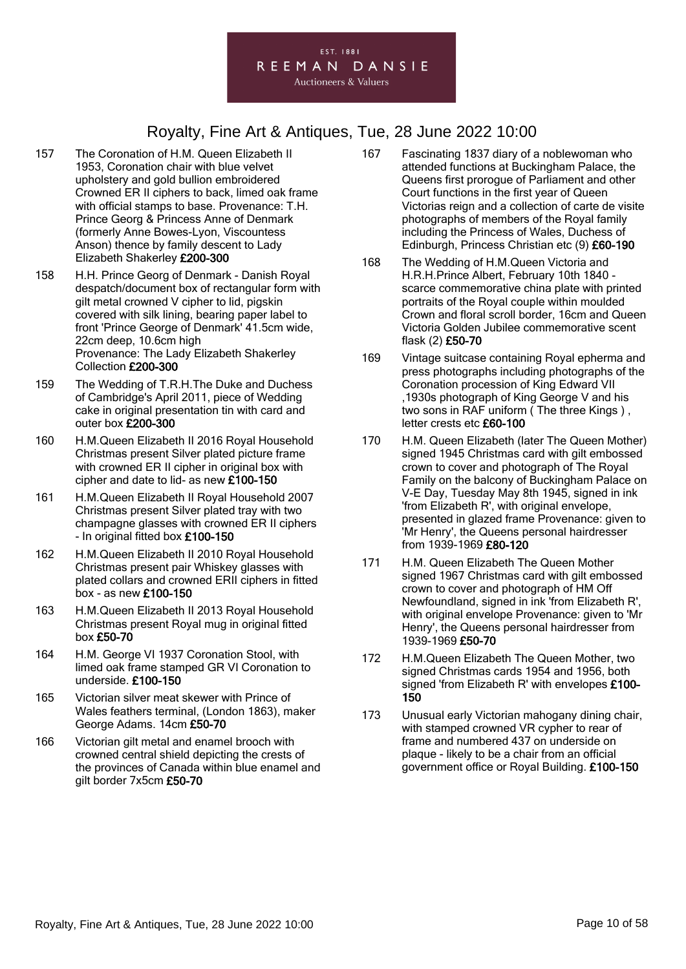- 157 The Coronation of H.M. Queen Elizabeth II 1953, Coronation chair with blue velvet upholstery and gold bullion embroidered Crowned ER II ciphers to back, limed oak frame with official stamps to base. Provenance: T.H. Prince Georg & Princess Anne of Denmark (formerly Anne Bowes-Lyon, Viscountess Anson) thence by family descent to Lady Elizabeth Shakerley £200-300
- 158 H.H. Prince Georg of Denmark Danish Royal despatch/document box of rectangular form with gilt metal crowned V cipher to lid, pigskin covered with silk lining, bearing paper label to front 'Prince George of Denmark' 41.5cm wide, 22cm deep, 10.6cm high Provenance: The Lady Elizabeth Shakerley Collection £200-300
- 159 The Wedding of T.R.H.The Duke and Duchess of Cambridge's April 2011, piece of Wedding cake in original presentation tin with card and outer box £200-300
- 160 H.M.Queen Elizabeth II 2016 Royal Household Christmas present Silver plated picture frame with crowned ER II cipher in original box with cipher and date to lid- as new £100-150
- 161 H.M.Queen Elizabeth II Royal Household 2007 Christmas present Silver plated tray with two champagne glasses with crowned ER II ciphers - In original fitted box £100-150
- 162 H.M.Queen Elizabeth II 2010 Royal Household Christmas present pair Whiskey glasses with plated collars and crowned ERII ciphers in fitted box - as new £100-150
- 163 H.M.Queen Elizabeth II 2013 Royal Household Christmas present Royal mug in original fitted box £50-70
- 164 H.M. George VI 1937 Coronation Stool, with limed oak frame stamped GR VI Coronation to underside. £100-150
- 165 Victorian silver meat skewer with Prince of Wales feathers terminal, (London 1863), maker George Adams. 14cm £50-70
- 166 Victorian gilt metal and enamel brooch with crowned central shield depicting the crests of the provinces of Canada within blue enamel and gilt border 7x5cm £50-70
- 167 Fascinating 1837 diary of a noblewoman who attended functions at Buckingham Palace, the Queens first prorogue of Parliament and other Court functions in the first year of Queen Victorias reign and a collection of carte de visite photographs of members of the Royal family including the Princess of Wales, Duchess of Edinburgh, Princess Christian etc (9) £60-190
- 168 The Wedding of H.M.Queen Victoria and H.R.H.Prince Albert, February 10th 1840 scarce commemorative china plate with printed portraits of the Royal couple within moulded Crown and floral scroll border, 16cm and Queen Victoria Golden Jubilee commemorative scent flask (2) £50-70
- 169 Vintage suitcase containing Royal epherma and press photographs including photographs of the Coronation procession of King Edward VII ,1930s photograph of King George V and his two sons in RAF uniform ( The three Kings ) , letter crests etc £60-100
- 170 H.M. Queen Elizabeth (later The Queen Mother) signed 1945 Christmas card with gilt embossed crown to cover and photograph of The Royal Family on the balcony of Buckingham Palace on V-E Day, Tuesday May 8th 1945, signed in ink 'from Elizabeth R', with original envelope, presented in glazed frame Provenance: given to 'Mr Henry', the Queens personal hairdresser from 1939-1969 £80-120
- 171 H.M. Queen Elizabeth The Queen Mother signed 1967 Christmas card with gilt embossed crown to cover and photograph of HM Off Newfoundland, signed in ink 'from Elizabeth R', with original envelope Provenance: given to 'Mr Henry', the Queens personal hairdresser from 1939-1969 £50-70
- 172 H.M.Queen Elizabeth The Queen Mother, two signed Christmas cards 1954 and 1956, both signed 'from Elizabeth R' with envelopes £100- 150
- 173 Unusual early Victorian mahogany dining chair, with stamped crowned VR cypher to rear of frame and numbered 437 on underside on plaque - likely to be a chair from an official government office or Royal Building. £100-150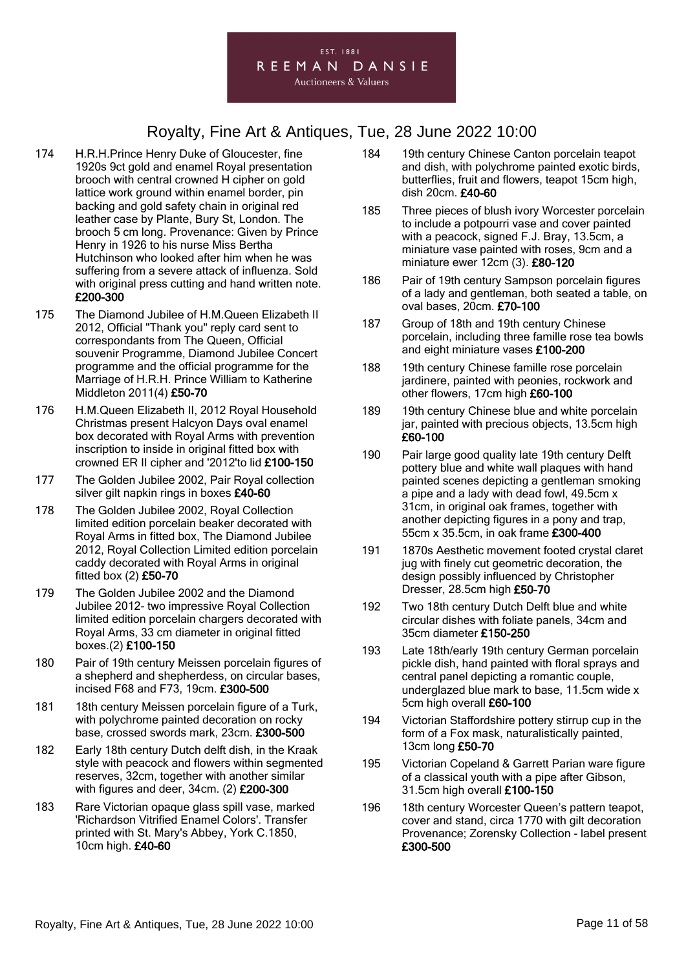#### EST. 1881 REEMAN DANSIE **Auctioneers & Valuers**

- 174 H.R.H.Prince Henry Duke of Gloucester, fine 1920s 9ct gold and enamel Royal presentation brooch with central crowned H cipher on gold lattice work ground within enamel border, pin backing and gold safety chain in original red leather case by Plante, Bury St, London. The brooch 5 cm long. Provenance: Given by Prince Henry in 1926 to his nurse Miss Bertha Hutchinson who looked after him when he was suffering from a severe attack of influenza. Sold with original press cutting and hand written note. £200-300
- 175 The Diamond Jubilee of H.M.Queen Elizabeth II 2012, Official "Thank you" reply card sent to correspondants from The Queen, Official souvenir Programme, Diamond Jubilee Concert programme and the official programme for the Marriage of H.R.H. Prince William to Katherine Middleton 2011(4) £50-70
- 176 H.M.Queen Elizabeth II, 2012 Royal Household Christmas present Halcyon Days oval enamel box decorated with Royal Arms with prevention inscription to inside in original fitted box with crowned ER II cipher and '2012'to lid £100-150
- 177 The Golden Jubilee 2002, Pair Royal collection silver gilt napkin rings in boxes £40-60
- 178 The Golden Jubilee 2002, Royal Collection limited edition porcelain beaker decorated with Royal Arms in fitted box, The Diamond Jubilee 2012, Royal Collection Limited edition porcelain caddy decorated with Royal Arms in original fitted box (2) £50-70
- 179 The Golden Jubilee 2002 and the Diamond Jubilee 2012- two impressive Royal Collection limited edition porcelain chargers decorated with Royal Arms, 33 cm diameter in original fitted boxes.(2) £100-150
- 180 Pair of 19th century Meissen porcelain figures of a shepherd and shepherdess, on circular bases, incised F68 and F73, 19cm. £300-500
- 181 18th century Meissen porcelain figure of a Turk, with polychrome painted decoration on rocky base, crossed swords mark, 23cm. £300-500
- 182 Early 18th century Dutch delft dish, in the Kraak style with peacock and flowers within segmented reserves, 32cm, together with another similar with figures and deer, 34cm. (2) £200-300
- 183 Rare Victorian opaque glass spill vase, marked 'Richardson Vitrified Enamel Colors'. Transfer printed with St. Mary's Abbey, York C.1850, 10cm high. £40-60
- 184 19th century Chinese Canton porcelain teapot and dish, with polychrome painted exotic birds, butterflies, fruit and flowers, teapot 15cm high, dish 20cm. £40-60
- 185 Three pieces of blush ivory Worcester porcelain to include a potpourri vase and cover painted with a peacock, signed F.J. Bray, 13.5cm, a miniature vase painted with roses, 9cm and a miniature ewer 12cm (3). £80-120
- 186 Pair of 19th century Sampson porcelain figures of a lady and gentleman, both seated a table, on oval bases, 20cm. £70-100
- 187 Group of 18th and 19th century Chinese porcelain, including three famille rose tea bowls and eight miniature vases £100-200
- 188 19th century Chinese famille rose porcelain jardinere, painted with peonies, rockwork and other flowers, 17cm high £60-100
- 189 19th century Chinese blue and white porcelain jar, painted with precious objects, 13.5cm high £60-100
- 190 Pair large good quality late 19th century Delft pottery blue and white wall plaques with hand painted scenes depicting a gentleman smoking a pipe and a lady with dead fowl, 49.5cm x 31cm, in original oak frames, together with another depicting figures in a pony and trap, 55cm x 35.5cm, in oak frame £300-400
- 191 1870s Aesthetic movement footed crystal claret jug with finely cut geometric decoration, the design possibly influenced by Christopher Dresser, 28.5cm high £50-70
- 192 Two 18th century Dutch Delft blue and white circular dishes with foliate panels, 34cm and 35cm diameter £150-250
- 193 Late 18th/early 19th century German porcelain pickle dish, hand painted with floral sprays and central panel depicting a romantic couple, underglazed blue mark to base, 11.5cm wide x 5cm high overall £60-100
- 194 Victorian Staffordshire pottery stirrup cup in the form of a Fox mask, naturalistically painted, 13cm long £50-70
- 195 Victorian Copeland & Garrett Parian ware figure of a classical youth with a pipe after Gibson, 31.5cm high overall £100-150
- 196 18th century Worcester Queen's pattern teapot, cover and stand, circa 1770 with gilt decoration Provenance; Zorensky Collection - label present £300-500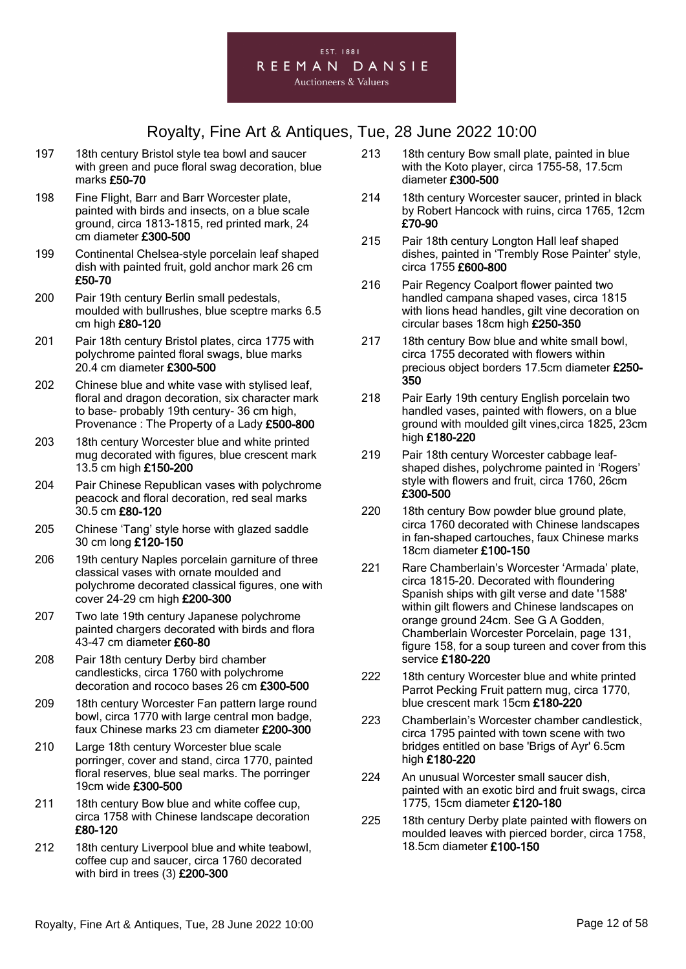- 197 18th century Bristol style tea bowl and saucer with green and puce floral swag decoration, blue marks £50-70
- 198 Fine Flight, Barr and Barr Worcester plate, painted with birds and insects, on a blue scale ground, circa 1813-1815, red printed mark, 24 cm diameter £300-500
- 199 Continental Chelsea-style porcelain leaf shaped dish with painted fruit, gold anchor mark 26 cm £50-70
- 200 Pair 19th century Berlin small pedestals, moulded with bullrushes, blue sceptre marks 6.5 cm high £80-120
- 201 Pair 18th century Bristol plates, circa 1775 with polychrome painted floral swags, blue marks 20.4 cm diameter £300-500
- 202 Chinese blue and white vase with stylised leaf, floral and dragon decoration, six character mark to base- probably 19th century- 36 cm high, Provenance : The Property of a Lady £500-800
- 203 18th century Worcester blue and white printed mug decorated with figures, blue crescent mark 13.5 cm high £150-200
- 204 Pair Chinese Republican vases with polychrome peacock and floral decoration, red seal marks 30.5 cm £80-120
- 205 Chinese 'Tang' style horse with glazed saddle 30 cm long £120-150
- 206 19th century Naples porcelain garniture of three classical vases with ornate moulded and polychrome decorated classical figures, one with cover 24-29 cm high £200-300
- 207 Two late 19th century Japanese polychrome painted chargers decorated with birds and flora 43-47 cm diameter £60-80
- 208 Pair 18th century Derby bird chamber candlesticks, circa 1760 with polychrome decoration and rococo bases 26 cm £300-500
- 209 18th century Worcester Fan pattern large round bowl, circa 1770 with large central mon badge, faux Chinese marks 23 cm diameter £200-300
- 210 Large 18th century Worcester blue scale porringer, cover and stand, circa 1770, painted floral reserves, blue seal marks. The porringer 19cm wide £300-500
- 211 18th century Bow blue and white coffee cup. circa 1758 with Chinese landscape decoration £80-120
- 212 18th century Liverpool blue and white teabowl, coffee cup and saucer, circa 1760 decorated with bird in trees (3) £200-300
- 213 18th century Bow small plate, painted in blue with the Koto player, circa 1755-58, 17.5cm diameter £300-500
- 214 18th century Worcester saucer, printed in black by Robert Hancock with ruins, circa 1765, 12cm £70-90
- 215 Pair 18th century Longton Hall leaf shaped dishes, painted in 'Trembly Rose Painter' style, circa 1755 £600-800
- 216 Pair Regency Coalport flower painted two handled campana shaped vases, circa 1815 with lions head handles, gilt vine decoration on circular bases 18cm high £250-350
- 217 18th century Bow blue and white small bowl, circa 1755 decorated with flowers within precious object borders 17.5cm diameter £250- 350
- 218 Pair Early 19th century English porcelain two handled vases, painted with flowers, on a blue ground with moulded gilt vines,circa 1825, 23cm high £180-220
- 219 Pair 18th century Worcester cabbage leafshaped dishes, polychrome painted in 'Rogers' style with flowers and fruit, circa 1760, 26cm £300-500
- 220 18th century Bow powder blue ground plate. circa 1760 decorated with Chinese landscapes in fan-shaped cartouches, faux Chinese marks 18cm diameter £100-150
- 221 Rare Chamberlain's Worcester 'Armada' plate, circa 1815-20. Decorated with floundering Spanish ships with gilt verse and date '1588' within gilt flowers and Chinese landscapes on orange ground 24cm. See G A Godden, Chamberlain Worcester Porcelain, page 131, figure 158, for a soup tureen and cover from this service £180-220
- 222 18th century Worcester blue and white printed Parrot Pecking Fruit pattern mug, circa 1770, blue crescent mark 15cm £180-220
- 223 Chamberlain's Worcester chamber candlestick, circa 1795 painted with town scene with two bridges entitled on base 'Brigs of Ayr' 6.5cm high £180-220
- 224 An unusual Worcester small saucer dish, painted with an exotic bird and fruit swags, circa 1775, 15cm diameter £120-180
- 225 18th century Derby plate painted with flowers on moulded leaves with pierced border, circa 1758, 18.5cm diameter £100-150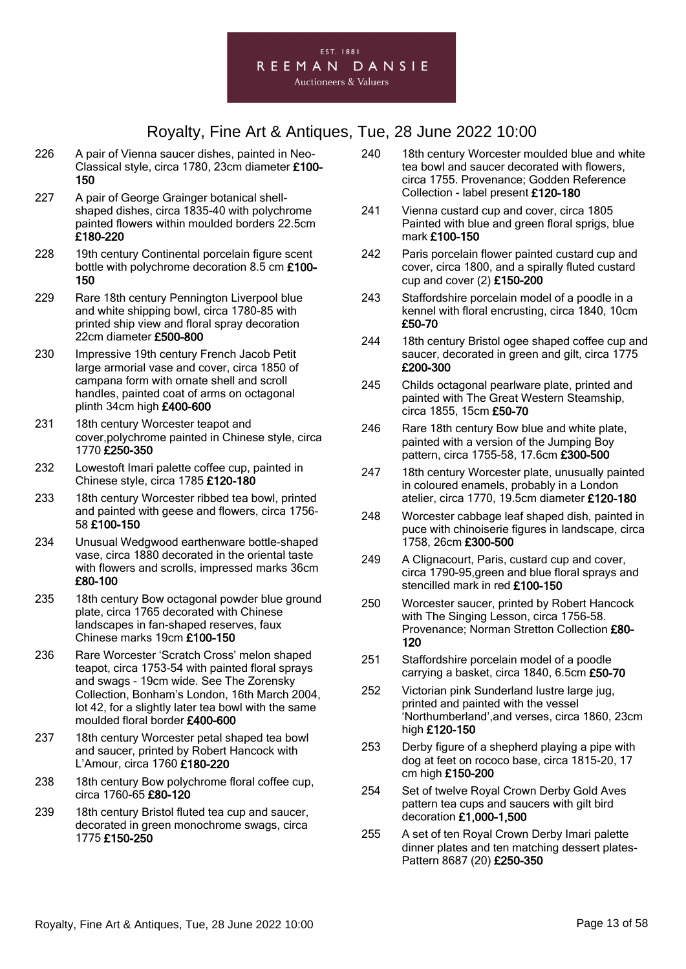- 226 A pair of Vienna saucer dishes, painted in Neo-Classical style, circa 1780, 23cm diameter £100- 150
- 227 A pair of George Grainger botanical shellshaped dishes, circa 1835-40 with polychrome painted flowers within moulded borders 22.5cm £180-220
- 228 19th century Continental porcelain figure scent bottle with polychrome decoration 8.5 cm £100- 150
- 229 Rare 18th century Pennington Liverpool blue and white shipping bowl, circa 1780-85 with printed ship view and floral spray decoration 22cm diameter £500-800
- 230 Impressive 19th century French Jacob Petit large armorial vase and cover, circa 1850 of campana form with ornate shell and scroll handles, painted coat of arms on octagonal plinth 34cm high £400-600
- 231 18th century Worcester teapot and cover,polychrome painted in Chinese style, circa 1770 £250-350
- 232 Lowestoft Imari palette coffee cup, painted in Chinese style, circa 1785 £120-180
- 233 18th century Worcester ribbed tea bowl, printed and painted with geese and flowers, circa 1756- 58 £100-150
- 234 Unusual Wedgwood earthenware bottle-shaped vase, circa 1880 decorated in the oriental taste with flowers and scrolls, impressed marks 36cm £80-100
- 235 18th century Bow octagonal powder blue ground plate, circa 1765 decorated with Chinese landscapes in fan-shaped reserves, faux Chinese marks 19cm £100-150
- 236 Rare Worcester 'Scratch Cross' melon shaped teapot, circa 1753-54 with painted floral sprays and swags - 19cm wide. See The Zorensky Collection, Bonham's London, 16th March 2004, lot 42, for a slightly later tea bowl with the same moulded floral border £400-600
- 237 18th century Worcester petal shaped tea bowl and saucer, printed by Robert Hancock with L'Amour, circa 1760 £180-220
- 238 18th century Bow polychrome floral coffee cup, circa 1760-65 £80-120
- 239 18th century Bristol fluted tea cup and saucer, decorated in green monochrome swags, circa 1775 £150-250
- 240 18th century Worcester moulded blue and white tea bowl and saucer decorated with flowers, circa 1755. Provenance; Godden Reference Collection - label present £120-180
- 241 Vienna custard cup and cover, circa 1805 Painted with blue and green floral sprigs, blue mark £100-150
- 242 Paris porcelain flower painted custard cup and cover, circa 1800, and a spirally fluted custard cup and cover (2) £150-200
- 243 Staffordshire porcelain model of a poodle in a kennel with floral encrusting, circa 1840, 10cm £50-70
- 244 18th century Bristol ogee shaped coffee cup and saucer, decorated in green and gilt, circa 1775 £200-300
- 245 Childs octagonal pearlware plate, printed and painted with The Great Western Steamship, circa 1855, 15cm £50-70
- 246 Rare 18th century Bow blue and white plate, painted with a version of the Jumping Boy pattern, circa 1755-58, 17.6cm £300-500
- 247 18th century Worcester plate, unusually painted in coloured enamels, probably in a London atelier, circa 1770, 19.5cm diameter £120-180
- 248 Worcester cabbage leaf shaped dish, painted in puce with chinoiserie figures in landscape, circa 1758, 26cm £300-500
- 249 A Clignacourt, Paris, custard cup and cover, circa 1790-95,green and blue floral sprays and stencilled mark in red £100-150
- 250 Worcester saucer, printed by Robert Hancock with The Singing Lesson, circa 1756-58. Provenance; Norman Stretton Collection £80- 120
- 251 Staffordshire porcelain model of a poodle carrying a basket, circa 1840, 6.5cm £50-70
- 252 Victorian pink Sunderland lustre large jug, printed and painted with the vessel 'Northumberland',and verses, circa 1860, 23cm high £120-150
- 253 Derby figure of a shepherd playing a pipe with dog at feet on rococo base, circa 1815-20, 17 cm high £150-200
- 254 Set of twelve Royal Crown Derby Gold Aves pattern tea cups and saucers with gilt bird decoration £1,000-1,500
- 255 A set of ten Royal Crown Derby Imari palette dinner plates and ten matching dessert plates-Pattern 8687 (20) £250-350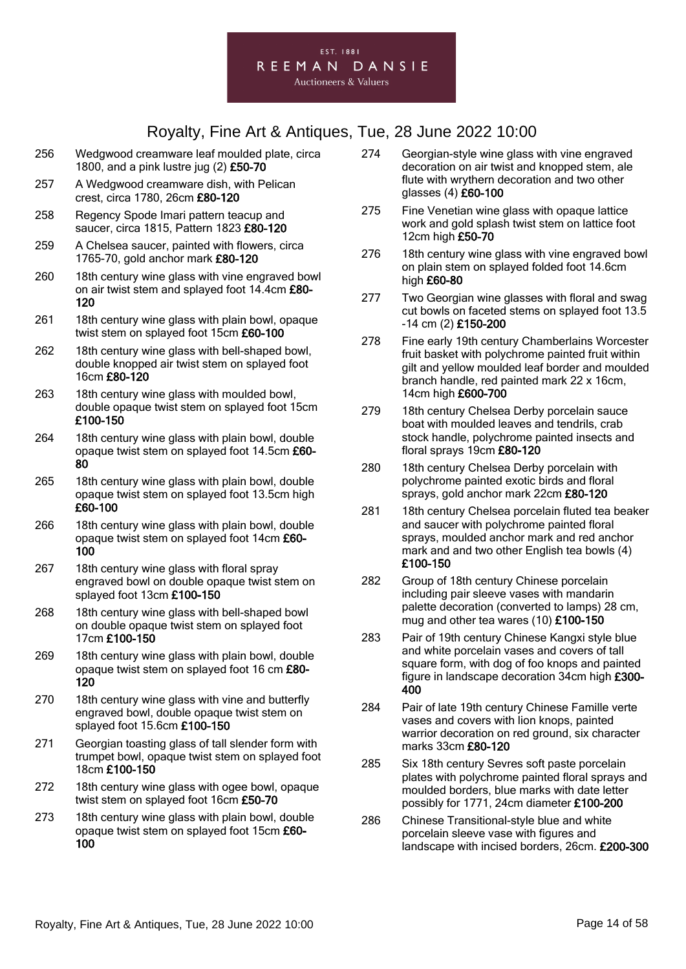#### **Auctioneers & Valuers**

- 256 Wedgwood creamware leaf moulded plate, circa 1800, and a pink lustre jug (2) £50-70
- 257 A Wedgwood creamware dish, with Pelican crest, circa 1780, 26cm £80-120
- 258 Regency Spode Imari pattern teacup and saucer, circa 1815, Pattern 1823 £80-120
- 259 A Chelsea saucer, painted with flowers, circa 1765-70, gold anchor mark £80-120
- 260 18th century wine glass with vine engraved bowl on air twist stem and splayed foot 14.4cm £80- 120
- 261 18th century wine glass with plain bowl, opaque twist stem on splayed foot 15cm £60-100
- 262 18th century wine glass with bell-shaped bowl, double knopped air twist stem on splayed foot 16cm £80-120
- 263 18th century wine glass with moulded bowl, double opaque twist stem on splayed foot 15cm £100-150
- 264 18th century wine glass with plain bowl, double opaque twist stem on splayed foot 14.5cm £60- 80
- 265 18th century wine glass with plain bowl, double opaque twist stem on splayed foot 13.5cm high £60-100
- 266 18th century wine glass with plain bowl, double opaque twist stem on splayed foot 14cm £60- 100
- 267 18th century wine glass with floral spray engraved bowl on double opaque twist stem on splayed foot 13cm £100-150
- 268 18th century wine glass with bell-shaped bowl on double opaque twist stem on splayed foot 17cm £100-150
- 269 18th century wine glass with plain bowl, double opaque twist stem on splayed foot 16 cm £80- 120
- 270 18th century wine glass with vine and butterfly engraved bowl, double opaque twist stem on splayed foot 15.6cm £100-150
- 271 Georgian toasting glass of tall slender form with trumpet bowl, opaque twist stem on splayed foot 18cm £100-150
- 272 18th century wine glass with ogee bowl, opaque twist stem on splayed foot 16cm £50-70
- 273 18th century wine glass with plain bowl, double opaque twist stem on splayed foot 15cm £60- 100
- 274 Georgian-style wine glass with vine engraved decoration on air twist and knopped stem, ale flute with wrythern decoration and two other glasses (4) £60-100
- 275 Fine Venetian wine glass with opaque lattice work and gold splash twist stem on lattice foot 12cm high £50-70
- 276 18th century wine glass with vine engraved bowl on plain stem on splayed folded foot 14.6cm high £60-80
- 277 Two Georgian wine glasses with floral and swag cut bowls on faceted stems on splayed foot 13.5 -14 cm (2) £150-200
- 278 Fine early 19th century Chamberlains Worcester fruit basket with polychrome painted fruit within gilt and yellow moulded leaf border and moulded branch handle, red painted mark 22 x 16cm, 14cm high £600-700
- 279 18th century Chelsea Derby porcelain sauce boat with moulded leaves and tendrils, crab stock handle, polychrome painted insects and floral sprays 19cm £80-120
- 280 18th century Chelsea Derby porcelain with polychrome painted exotic birds and floral sprays, gold anchor mark 22cm £80-120
- 281 18th century Chelsea porcelain fluted tea beaker and saucer with polychrome painted floral sprays, moulded anchor mark and red anchor mark and and two other English tea bowls (4) £100-150
- 282 Group of 18th century Chinese porcelain including pair sleeve vases with mandarin palette decoration (converted to lamps) 28 cm, mug and other tea wares (10) £100-150
- 283 Pair of 19th century Chinese Kangxi style blue and white porcelain vases and covers of tall square form, with dog of foo knops and painted figure in landscape decoration 34cm high £300- 400
- 284 Pair of late 19th century Chinese Famille verte vases and covers with lion knops, painted warrior decoration on red ground, six character marks 33cm £80-120
- 285 Six 18th century Sevres soft paste porcelain plates with polychrome painted floral sprays and moulded borders, blue marks with date letter possibly for 1771, 24cm diameter £100-200
- 286 Chinese Transitional-style blue and white porcelain sleeve vase with figures and landscape with incised borders, 26cm. £200-300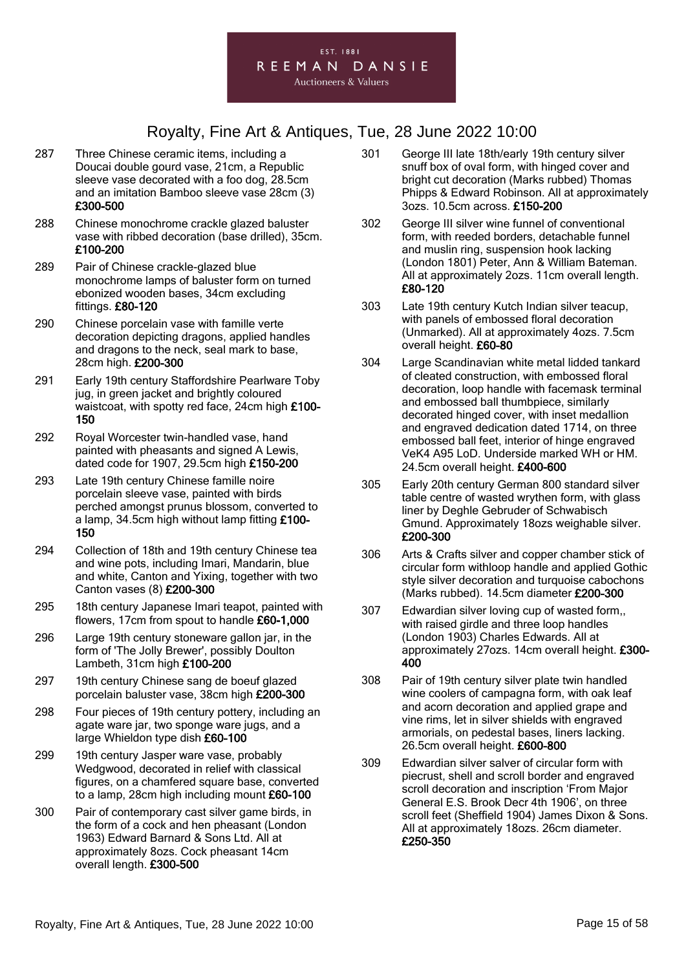

- 287 Three Chinese ceramic items, including a Doucai double gourd vase, 21cm, a Republic sleeve vase decorated with a foo dog, 28.5cm and an imitation Bamboo sleeve vase 28cm (3) £300-500
- 288 Chinese monochrome crackle glazed baluster vase with ribbed decoration (base drilled), 35cm. £100-200
- 289 Pair of Chinese crackle-glazed blue monochrome lamps of baluster form on turned ebonized wooden bases, 34cm excluding fittings. £80-120
- 290 Chinese porcelain vase with famille verte decoration depicting dragons, applied handles and dragons to the neck, seal mark to base, 28cm high. £200-300
- 291 Early 19th century Staffordshire Pearlware Toby jug, in green jacket and brightly coloured waistcoat, with spotty red face, 24cm high £100- 150
- 292 Royal Worcester twin-handled vase, hand painted with pheasants and signed A Lewis, dated code for 1907, 29.5cm high £150-200
- 293 Late 19th century Chinese famille noire porcelain sleeve vase, painted with birds perched amongst prunus blossom, converted to a lamp, 34.5cm high without lamp fitting £100- 150
- 294 Collection of 18th and 19th century Chinese tea and wine pots, including Imari, Mandarin, blue and white, Canton and Yixing, together with two Canton vases (8) £200-300
- 295 18th century Japanese Imari teapot, painted with flowers, 17cm from spout to handle £60-1,000
- 296 Large 19th century stoneware gallon jar, in the form of 'The Jolly Brewer', possibly Doulton Lambeth, 31cm high £100-200
- 297 19th century Chinese sang de boeuf glazed porcelain baluster vase, 38cm high £200-300
- 298 Four pieces of 19th century pottery, including an agate ware jar, two sponge ware jugs, and a large Whieldon type dish £60-100
- 299 19th century Jasper ware vase, probably Wedgwood, decorated in relief with classical figures, on a chamfered square base, converted to a lamp, 28cm high including mount £60-100
- 300 Pair of contemporary cast silver game birds, in the form of a cock and hen pheasant (London 1963) Edward Barnard & Sons Ltd. All at approximately 8ozs. Cock pheasant 14cm overall length. £300-500
- 301 George III late 18th/early 19th century silver snuff box of oval form, with hinged cover and bright cut decoration (Marks rubbed) Thomas Phipps & Edward Robinson. All at approximately 3ozs. 10.5cm across. £150-200
- 302 George III silver wine funnel of conventional form, with reeded borders, detachable funnel and muslin ring, suspension hook lacking (London 1801) Peter, Ann & William Bateman. All at approximately 2ozs. 11cm overall length. £80-120
- 303 Late 19th century Kutch Indian silver teacup, with panels of embossed floral decoration (Unmarked). All at approximately 4ozs. 7.5cm overall height. £60-80
- 304 Large Scandinavian white metal lidded tankard of cleated construction, with embossed floral decoration, loop handle with facemask terminal and embossed ball thumbpiece, similarly decorated hinged cover, with inset medallion and engraved dedication dated 1714, on three embossed ball feet, interior of hinge engraved VeK4 A95 LoD. Underside marked WH or HM. 24.5cm overall height. £400-600
- 305 Early 20th century German 800 standard silver table centre of wasted wrythen form, with glass liner by Deghle Gebruder of Schwabisch Gmund. Approximately 18ozs weighable silver. £200-300
- 306 Arts & Crafts silver and copper chamber stick of circular form withloop handle and applied Gothic style silver decoration and turquoise cabochons (Marks rubbed). 14.5cm diameter £200-300
- 307 Edwardian silver loving cup of wasted form,, with raised girdle and three loop handles (London 1903) Charles Edwards. All at approximately 27ozs. 14cm overall height. £300- 400
- 308 Pair of 19th century silver plate twin handled wine coolers of campagna form, with oak leaf and acorn decoration and applied grape and vine rims, let in silver shields with engraved armorials, on pedestal bases, liners lacking. 26.5cm overall height. £600-800
- 309 Edwardian silver salver of circular form with piecrust, shell and scroll border and engraved scroll decoration and inscription 'From Major General E.S. Brook Decr 4th 1906', on three scroll feet (Sheffield 1904) James Dixon & Sons. All at approximately 18ozs. 26cm diameter. £250-350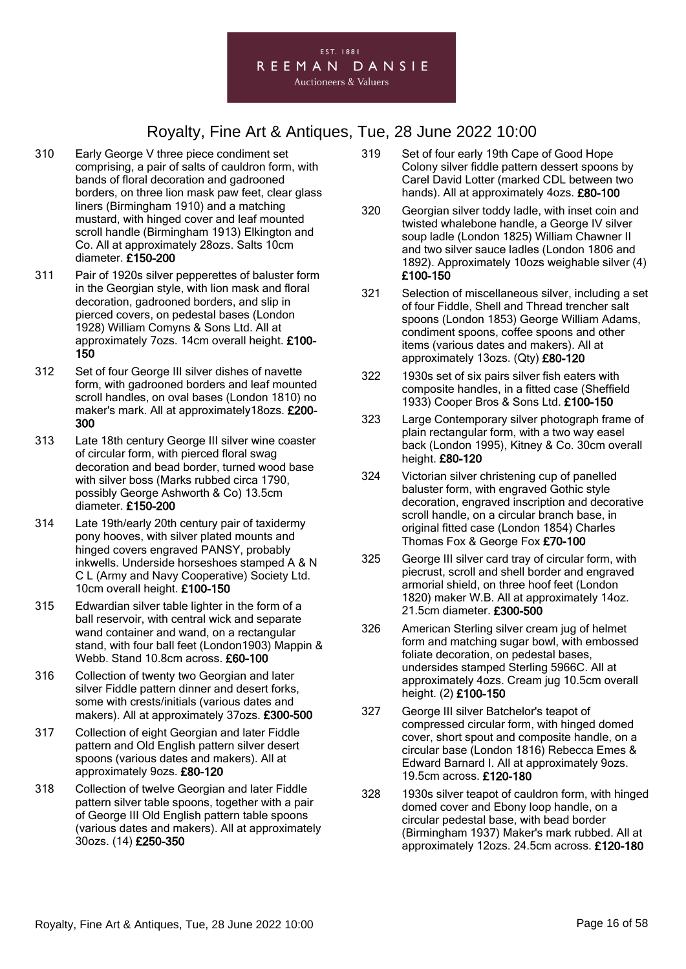

- 310 Early George V three piece condiment set comprising, a pair of salts of cauldron form, with bands of floral decoration and gadrooned borders, on three lion mask paw feet, clear glass liners (Birmingham 1910) and a matching mustard, with hinged cover and leaf mounted scroll handle (Birmingham 1913) Elkington and Co. All at approximately 28ozs. Salts 10cm diameter. £150-200
- 311 Pair of 1920s silver pepperettes of baluster form in the Georgian style, with lion mask and floral decoration, gadrooned borders, and slip in pierced covers, on pedestal bases (London 1928) William Comyns & Sons Ltd. All at approximately 7ozs. 14cm overall height. £100- 150
- 312 Set of four George III silver dishes of navette form, with gadrooned borders and leaf mounted scroll handles, on oval bases (London 1810) no maker's mark. All at approximately18ozs. £200- 300
- 313 Late 18th century George III silver wine coaster of circular form, with pierced floral swag decoration and bead border, turned wood base with silver boss (Marks rubbed circa 1790, possibly George Ashworth & Co) 13.5cm diameter. £150-200
- 314 Late 19th/early 20th century pair of taxidermy pony hooves, with silver plated mounts and hinged covers engraved PANSY, probably inkwells. Underside horseshoes stamped A & N C L (Army and Navy Cooperative) Society Ltd. 10cm overall height. £100-150
- 315 Edwardian silver table lighter in the form of a ball reservoir, with central wick and separate wand container and wand, on a rectangular stand, with four ball feet (London1903) Mappin & Webb. Stand 10.8cm across. £60-100
- 316 Collection of twenty two Georgian and later silver Fiddle pattern dinner and desert forks, some with crests/initials (various dates and makers). All at approximately 37ozs. £300-500
- 317 Collection of eight Georgian and later Fiddle pattern and Old English pattern silver desert spoons (various dates and makers). All at approximately 9ozs. £80-120
- 318 Collection of twelve Georgian and later Fiddle pattern silver table spoons, together with a pair of George III Old English pattern table spoons (various dates and makers). All at approximately 30ozs. (14) £250-350
- 319 Set of four early 19th Cape of Good Hope Colony silver fiddle pattern dessert spoons by Carel David Lotter (marked CDL between two hands). All at approximately 4ozs. £80-100
- 320 Georgian silver toddy ladle, with inset coin and twisted whalebone handle, a George IV silver soup ladle (London 1825) William Chawner II and two silver sauce ladles (London 1806 and 1892). Approximately 10ozs weighable silver (4) £100-150
- 321 Selection of miscellaneous silver, including a set of four Fiddle, Shell and Thread trencher salt spoons (London 1853) George William Adams, condiment spoons, coffee spoons and other items (various dates and makers). All at approximately 13ozs. (Qty) £80-120
- 322 1930s set of six pairs silver fish eaters with composite handles, in a fitted case (Sheffield 1933) Cooper Bros & Sons Ltd. £100-150
- 323 Large Contemporary silver photograph frame of plain rectangular form, with a two way easel back (London 1995), Kitney & Co. 30cm overall height. £80-120
- 324 Victorian silver christening cup of panelled baluster form, with engraved Gothic style decoration, engraved inscription and decorative scroll handle, on a circular branch base, in original fitted case (London 1854) Charles Thomas Fox & George Fox £70-100
- 325 George III silver card tray of circular form, with piecrust, scroll and shell border and engraved armorial shield, on three hoof feet (London 1820) maker W.B. All at approximately 14oz. 21.5cm diameter. £300-500
- 326 American Sterling silver cream jug of helmet form and matching sugar bowl, with embossed foliate decoration, on pedestal bases, undersides stamped Sterling 5966C. All at approximately 4ozs. Cream jug 10.5cm overall height. (2) £100-150
- 327 George III silver Batchelor's teapot of compressed circular form, with hinged domed cover, short spout and composite handle, on a circular base (London 1816) Rebecca Emes & Edward Barnard I. All at approximately 9ozs. 19.5cm across. £120-180
- 328 1930s silver teapot of cauldron form, with hinged domed cover and Ebony loop handle, on a circular pedestal base, with bead border (Birmingham 1937) Maker's mark rubbed. All at approximately 12ozs. 24.5cm across. £120-180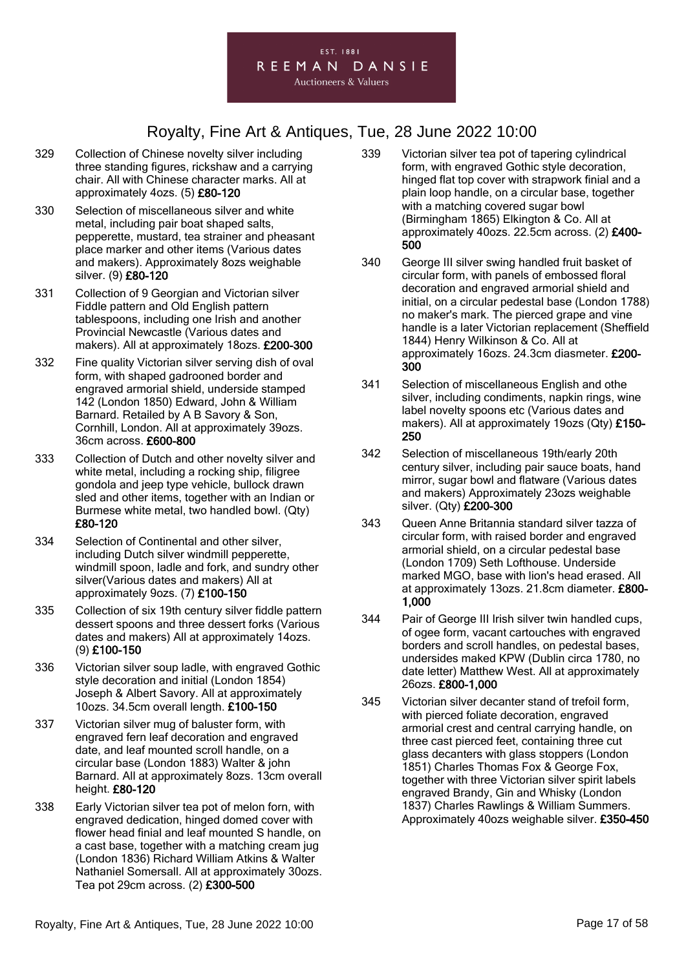

- 329 Collection of Chinese novelty silver including three standing figures, rickshaw and a carrying chair. All with Chinese character marks. All at approximately 4ozs. (5) £80-120
- 330 Selection of miscellaneous silver and white metal, including pair boat shaped salts, pepperette, mustard, tea strainer and pheasant place marker and other items (Various dates and makers). Approximately 8ozs weighable silver. (9) £80-120
- 331 Collection of 9 Georgian and Victorian silver Fiddle pattern and Old English pattern tablespoons, including one Irish and another Provincial Newcastle (Various dates and makers). All at approximately 18ozs. £200-300
- 332 Fine quality Victorian silver serving dish of oval form, with shaped gadrooned border and engraved armorial shield, underside stamped 142 (London 1850) Edward, John & William Barnard. Retailed by A B Savory & Son, Cornhill, London. All at approximately 39ozs. 36cm across. £600-800
- 333 Collection of Dutch and other novelty silver and white metal, including a rocking ship, filigree gondola and jeep type vehicle, bullock drawn sled and other items, together with an Indian or Burmese white metal, two handled bowl. (Qty) £80-120
- 334 Selection of Continental and other silver, including Dutch silver windmill pepperette, windmill spoon, ladle and fork, and sundry other silver(Various dates and makers) All at approximately 9ozs. (7) £100-150
- 335 Collection of six 19th century silver fiddle pattern dessert spoons and three dessert forks (Various dates and makers) All at approximately 14ozs. (9) £100-150
- 336 Victorian silver soup ladle, with engraved Gothic style decoration and initial (London 1854) Joseph & Albert Savory. All at approximately 10ozs. 34.5cm overall length. £100-150
- 337 Victorian silver mug of baluster form, with engraved fern leaf decoration and engraved date, and leaf mounted scroll handle, on a circular base (London 1883) Walter & john Barnard. All at approximately 8ozs. 13cm overall height. £80-120
- 338 Early Victorian silver tea pot of melon forn, with engraved dedication, hinged domed cover with flower head finial and leaf mounted S handle, on a cast base, together with a matching cream jug (London 1836) Richard William Atkins & Walter Nathaniel Somersall. All at approximately 30ozs. Tea pot 29cm across. (2) £300-500
- 339 Victorian silver tea pot of tapering cylindrical form, with engraved Gothic style decoration, hinged flat top cover with strapwork finial and a plain loop handle, on a circular base, together with a matching covered sugar bowl (Birmingham 1865) Elkington & Co. All at approximately 40ozs. 22.5cm across. (2) £400- 500
- 340 George III silver swing handled fruit basket of circular form, with panels of embossed floral decoration and engraved armorial shield and initial, on a circular pedestal base (London 1788) no maker's mark. The pierced grape and vine handle is a later Victorian replacement (Sheffield 1844) Henry Wilkinson & Co. All at approximately 16ozs. 24.3cm diasmeter. £200- 300
- 341 Selection of miscellaneous English and othe silver, including condiments, napkin rings, wine label novelty spoons etc (Various dates and makers). All at approximately 19ozs (Qty) £150- 250
- 342 Selection of miscellaneous 19th/early 20th century silver, including pair sauce boats, hand mirror, sugar bowl and flatware (Various dates and makers) Approximately 23ozs weighable silver. (Qty) £200-300
- 343 Queen Anne Britannia standard silver tazza of circular form, with raised border and engraved armorial shield, on a circular pedestal base (London 1709) Seth Lofthouse. Underside marked MGO, base with lion's head erased. All at approximately 13ozs. 21.8cm diameter. £800- 1,000
- 344 Pair of George III Irish silver twin handled cups, of ogee form, vacant cartouches with engraved borders and scroll handles, on pedestal bases, undersides maked KPW (Dublin circa 1780, no date letter) Matthew West. All at approximately 26ozs. £800-1,000
- 345 Victorian silver decanter stand of trefoil form, with pierced foliate decoration, engraved armorial crest and central carrying handle, on three cast pierced feet, containing three cut glass decanters with glass stoppers (London 1851) Charles Thomas Fox & George Fox, together with three Victorian silver spirit labels engraved Brandy, Gin and Whisky (London 1837) Charles Rawlings & William Summers. Approximately 40ozs weighable silver. £350-450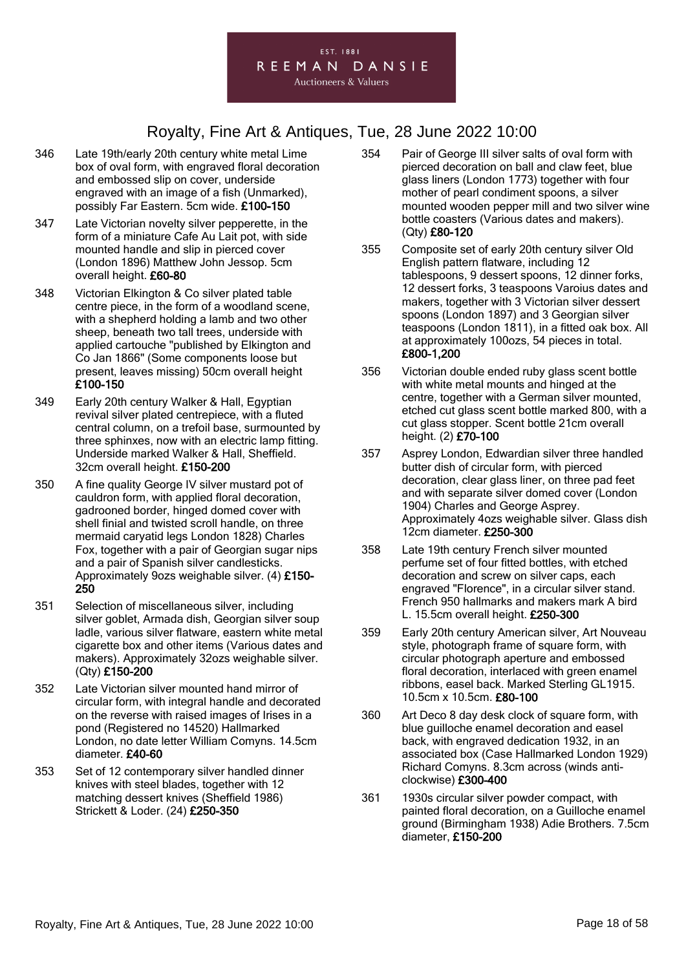

- 346 Late 19th/early 20th century white metal Lime box of oval form, with engraved floral decoration and embossed slip on cover, underside engraved with an image of a fish (Unmarked), possibly Far Eastern. 5cm wide. £100-150
- 347 Late Victorian novelty silver pepperette, in the form of a miniature Cafe Au Lait pot, with side mounted handle and slip in pierced cover (London 1896) Matthew John Jessop. 5cm overall height. £60-80
- 348 Victorian Elkington & Co silver plated table centre piece, in the form of a woodland scene, with a shepherd holding a lamb and two other sheep, beneath two tall trees, underside with applied cartouche "published by Elkington and Co Jan 1866" (Some components loose but present, leaves missing) 50cm overall height £100-150
- 349 Early 20th century Walker & Hall, Egyptian revival silver plated centrepiece, with a fluted central column, on a trefoil base, surmounted by three sphinxes, now with an electric lamp fitting. Underside marked Walker & Hall, Sheffield. 32cm overall height. £150-200
- 350 A fine quality George IV silver mustard pot of cauldron form, with applied floral decoration, gadrooned border, hinged domed cover with shell finial and twisted scroll handle, on three mermaid caryatid legs London 1828) Charles Fox, together with a pair of Georgian sugar nips and a pair of Spanish silver candlesticks. Approximately 9ozs weighable silver. (4) £150- 250
- 351 Selection of miscellaneous silver, including silver goblet, Armada dish, Georgian silver soup ladle, various silver flatware, eastern white metal cigarette box and other items (Various dates and makers). Approximately 32ozs weighable silver. (Qty) £150-200
- 352 Late Victorian silver mounted hand mirror of circular form, with integral handle and decorated on the reverse with raised images of Irises in a pond (Registered no 14520) Hallmarked London, no date letter William Comyns. 14.5cm diameter. £40-60
- 353 Set of 12 contemporary silver handled dinner knives with steel blades, together with 12 matching dessert knives (Sheffield 1986) Strickett & Loder. (24) £250-350
- 354 Pair of George III silver salts of oval form with pierced decoration on ball and claw feet, blue glass liners (London 1773) together with four mother of pearl condiment spoons, a silver mounted wooden pepper mill and two silver wine bottle coasters (Various dates and makers). (Qty) £80-120
- 355 Composite set of early 20th century silver Old English pattern flatware, including 12 tablespoons, 9 dessert spoons, 12 dinner forks, 12 dessert forks, 3 teaspoons Varoius dates and makers, together with 3 Victorian silver dessert spoons (London 1897) and 3 Georgian silver teaspoons (London 1811), in a fitted oak box. All at approximately 100ozs, 54 pieces in total. £800-1,200
- 356 Victorian double ended ruby glass scent bottle with white metal mounts and hinged at the centre, together with a German silver mounted, etched cut glass scent bottle marked 800, with a cut glass stopper. Scent bottle 21cm overall height. (2) £70-100
- 357 Asprey London, Edwardian silver three handled butter dish of circular form, with pierced decoration, clear glass liner, on three pad feet and with separate silver domed cover (London 1904) Charles and George Asprey. Approximately 4ozs weighable silver. Glass dish 12cm diameter. £250-300
- 358 Late 19th century French silver mounted perfume set of four fitted bottles, with etched decoration and screw on silver caps, each engraved "Florence", in a circular silver stand. French 950 hallmarks and makers mark A bird L. 15.5cm overall height. £250-300
- 359 Early 20th century American silver, Art Nouveau style, photograph frame of square form, with circular photograph aperture and embossed floral decoration, interlaced with green enamel ribbons, easel back. Marked Sterling GL1915. 10.5cm x 10.5cm. £80-100
- 360 Art Deco 8 day desk clock of square form, with blue guilloche enamel decoration and easel back, with engraved dedication 1932, in an associated box (Case Hallmarked London 1929) Richard Comyns. 8.3cm across (winds anticlockwise) £300-400
- 361 1930s circular silver powder compact, with painted floral decoration, on a Guilloche enamel ground (Birmingham 1938) Adie Brothers. 7.5cm diameter, £150-200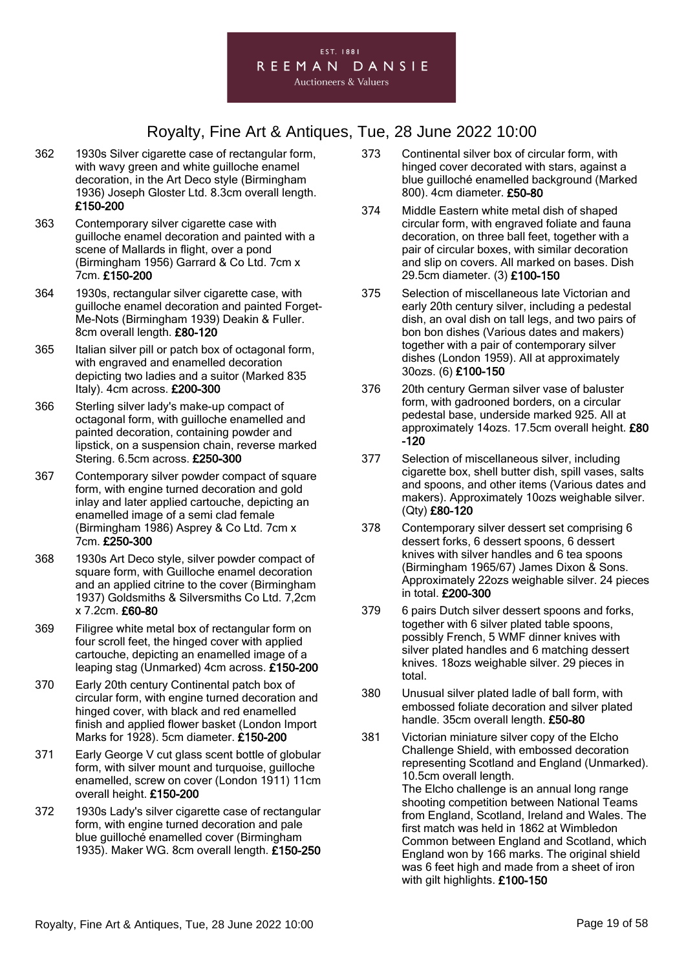

- 362 1930s Silver cigarette case of rectangular form, with wavy green and white guilloche enamel decoration, in the Art Deco style (Birmingham 1936) Joseph Gloster Ltd. 8.3cm overall length. £150-200
- 363 Contemporary silver cigarette case with guilloche enamel decoration and painted with a scene of Mallards in flight, over a pond (Birmingham 1956) Garrard & Co Ltd. 7cm x 7cm. £150-200
- 364 1930s, rectangular silver cigarette case, with guilloche enamel decoration and painted Forget-Me-Nots (Birmingham 1939) Deakin & Fuller. 8cm overall length. £80-120
- 365 Italian silver pill or patch box of octagonal form, with engraved and enamelled decoration depicting two ladies and a suitor (Marked 835 Italy). 4cm across. £200-300
- 366 Sterling silver lady's make-up compact of octagonal form, with guilloche enamelled and painted decoration, containing powder and lipstick, on a suspension chain, reverse marked Stering. 6.5cm across. £250-300
- 367 Contemporary silver powder compact of square form, with engine turned decoration and gold inlay and later applied cartouche, depicting an enamelled image of a semi clad female (Birmingham 1986) Asprey & Co Ltd. 7cm x 7cm. £250-300
- 368 1930s Art Deco style, silver powder compact of square form, with Guilloche enamel decoration and an applied citrine to the cover (Birmingham 1937) Goldsmiths & Silversmiths Co Ltd. 7,2cm x 7.2cm. £60-80
- 369 Filigree white metal box of rectangular form on four scroll feet, the hinged cover with applied cartouche, depicting an enamelled image of a leaping stag (Unmarked) 4cm across. £150-200
- 370 Early 20th century Continental patch box of circular form, with engine turned decoration and hinged cover, with black and red enamelled finish and applied flower basket (London Import Marks for 1928). 5cm diameter. £150-200
- 371 Early George V cut glass scent bottle of globular form, with silver mount and turquoise, guilloche enamelled, screw on cover (London 1911) 11cm overall height. £150-200
- 372 1930s Lady's silver cigarette case of rectangular form, with engine turned decoration and pale blue guilloché enamelled cover (Birmingham 1935). Maker WG. 8cm overall length. £150-250
- 373 Continental silver box of circular form, with hinged cover decorated with stars, against a blue guilloché enamelled background (Marked 800). 4cm diameter. £50-80
- 374 Middle Eastern white metal dish of shaped circular form, with engraved foliate and fauna decoration, on three ball feet, together with a pair of circular boxes, with similar decoration and slip on covers. All marked on bases. Dish 29.5cm diameter. (3) £100-150
- 375 Selection of miscellaneous late Victorian and early 20th century silver, including a pedestal dish, an oval dish on tall legs, and two pairs of bon bon dishes (Various dates and makers) together with a pair of contemporary silver dishes (London 1959). All at approximately 30ozs. (6) £100-150
- 376 20th century German silver vase of baluster form, with gadrooned borders, on a circular pedestal base, underside marked 925. All at approximately 14ozs. 17.5cm overall height. £80 -120
- 377 Selection of miscellaneous silver, including cigarette box, shell butter dish, spill vases, salts and spoons, and other items (Various dates and makers). Approximately 10ozs weighable silver. (Qty) £80-120
- 378 Contemporary silver dessert set comprising 6 dessert forks, 6 dessert spoons, 6 dessert knives with silver handles and 6 tea spoons (Birmingham 1965/67) James Dixon & Sons. Approximately 22ozs weighable silver. 24 pieces in total. £200-300
- 379 6 pairs Dutch silver dessert spoons and forks, together with 6 silver plated table spoons, possibly French, 5 WMF dinner knives with silver plated handles and 6 matching dessert knives. 18ozs weighable silver. 29 pieces in total.
- 380 Unusual silver plated ladle of ball form, with embossed foliate decoration and silver plated handle. 35cm overall length. £50-80
- 381 Victorian miniature silver copy of the Elcho Challenge Shield, with embossed decoration representing Scotland and England (Unmarked). 10.5cm overall length. The Elcho challenge is an annual long range shooting competition between National Teams from England, Scotland, Ireland and Wales. The first match was held in 1862 at Wimbledon Common between England and Scotland, which England won by 166 marks. The original shield was 6 feet high and made from a sheet of iron with gilt highlights. £100-150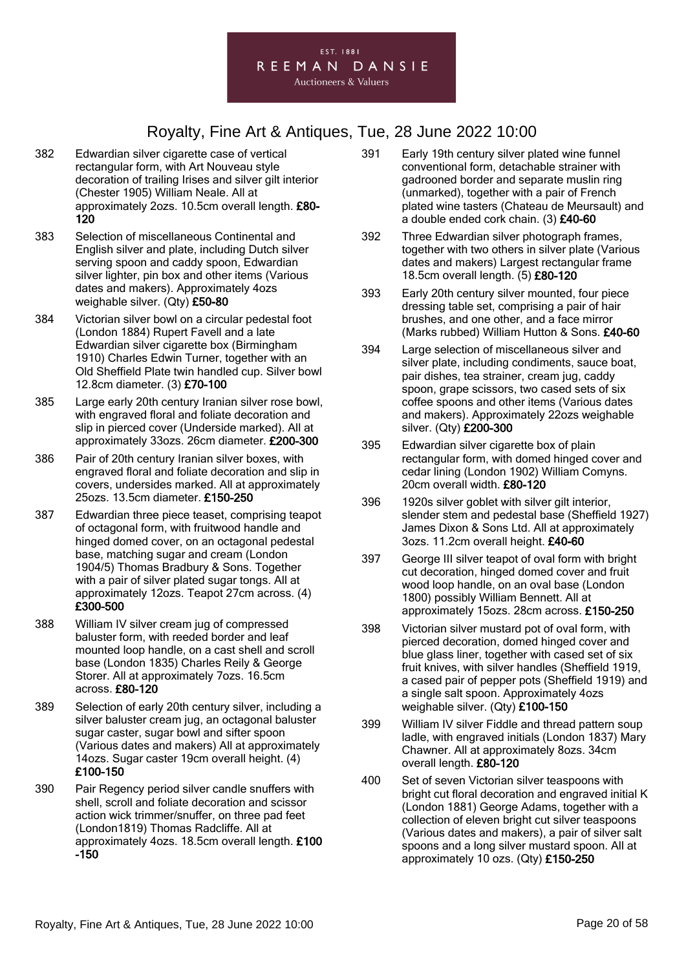

- 382 Edwardian silver cigarette case of vertical rectangular form, with Art Nouveau style decoration of trailing Irises and silver gilt interior (Chester 1905) William Neale. All at approximately 2ozs. 10.5cm overall length. £80- 120
- 383 Selection of miscellaneous Continental and English silver and plate, including Dutch silver serving spoon and caddy spoon, Edwardian silver lighter, pin box and other items (Various dates and makers). Approximately 4ozs weighable silver. (Qty) £50-80
- 384 Victorian silver bowl on a circular pedestal foot (London 1884) Rupert Favell and a late Edwardian silver cigarette box (Birmingham 1910) Charles Edwin Turner, together with an Old Sheffield Plate twin handled cup. Silver bowl 12.8cm diameter. (3) £70-100
- 385 Large early 20th century Iranian silver rose bowl, with engraved floral and foliate decoration and slip in pierced cover (Underside marked). All at approximately 33ozs. 26cm diameter. £200-300
- 386 Pair of 20th century Iranian silver boxes, with engraved floral and foliate decoration and slip in covers, undersides marked. All at approximately 25ozs. 13.5cm diameter. £150-250
- 387 Edwardian three piece teaset, comprising teapot of octagonal form, with fruitwood handle and hinged domed cover, on an octagonal pedestal base, matching sugar and cream (London 1904/5) Thomas Bradbury & Sons. Together with a pair of silver plated sugar tongs. All at approximately 12ozs. Teapot 27cm across. (4) £300-500
- 388 William IV silver cream jug of compressed baluster form, with reeded border and leaf mounted loop handle, on a cast shell and scroll base (London 1835) Charles Reily & George Storer. All at approximately 7ozs. 16.5cm across. £80-120
- 389 Selection of early 20th century silver, including a silver baluster cream jug, an octagonal baluster sugar caster, sugar bowl and sifter spoon (Various dates and makers) All at approximately 14ozs. Sugar caster 19cm overall height. (4) £100-150
- 390 Pair Regency period silver candle snuffers with shell, scroll and foliate decoration and scissor action wick trimmer/snuffer, on three pad feet (London1819) Thomas Radcliffe. All at approximately 4ozs. 18.5cm overall length. £100 -150
- 391 Early 19th century silver plated wine funnel conventional form, detachable strainer with gadrooned border and separate muslin ring (unmarked), together with a pair of French plated wine tasters (Chateau de Meursault) and a double ended cork chain. (3) £40-60
- 392 Three Edwardian silver photograph frames, together with two others in silver plate (Various dates and makers) Largest rectangular frame 18.5cm overall length. (5) £80-120
- 393 Early 20th century silver mounted, four piece dressing table set, comprising a pair of hair brushes, and one other, and a face mirror (Marks rubbed) William Hutton & Sons. £40-60
- 394 Large selection of miscellaneous silver and silver plate, including condiments, sauce boat, pair dishes, tea strainer, cream jug, caddy spoon, grape scissors, two cased sets of six coffee spoons and other items (Various dates and makers). Approximately 22ozs weighable silver. (Qty) £200-300
- 395 Edwardian silver cigarette box of plain rectangular form, with domed hinged cover and cedar lining (London 1902) William Comyns. 20cm overall width. £80-120
- 396 1920s silver goblet with silver gilt interior, slender stem and pedestal base (Sheffield 1927) James Dixon & Sons Ltd. All at approximately 3ozs. 11.2cm overall height. £40-60
- 397 George III silver teapot of oval form with bright cut decoration, hinged domed cover and fruit wood loop handle, on an oval base (London 1800) possibly William Bennett. All at approximately 15ozs. 28cm across. £150-250
- 398 Victorian silver mustard pot of oval form, with pierced decoration, domed hinged cover and blue glass liner, together with cased set of six fruit knives, with silver handles (Sheffield 1919, a cased pair of pepper pots (Sheffield 1919) and a single salt spoon. Approximately 4ozs weighable silver. (Qty) £100-150
- 399 William IV silver Fiddle and thread pattern soup ladle, with engraved initials (London 1837) Mary Chawner. All at approximately 8ozs. 34cm overall length. £80-120
- 400 Set of seven Victorian silver teaspoons with bright cut floral decoration and engraved initial K (London 1881) George Adams, together with a collection of eleven bright cut silver teaspoons (Various dates and makers), a pair of silver salt spoons and a long silver mustard spoon. All at approximately 10 ozs. (Qty) £150-250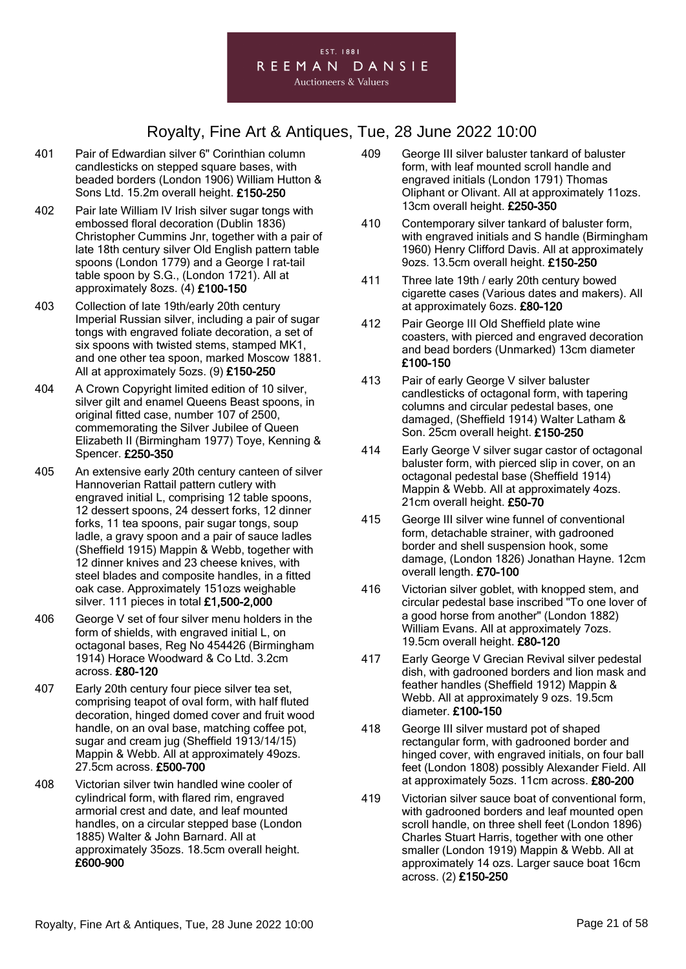- 401 Pair of Edwardian silver 6" Corinthian column candlesticks on stepped square bases, with beaded borders (London 1906) William Hutton & Sons Ltd. 15.2m overall height. £150-250
- 402 Pair late William IV Irish silver sugar tongs with embossed floral decoration (Dublin 1836) Christopher Cummins Jnr, together with a pair of late 18th century silver Old English pattern table spoons (London 1779) and a George I rat-tail table spoon by S.G., (London 1721). All at approximately 8ozs. (4) £100-150
- 403 Collection of late 19th/early 20th century Imperial Russian silver, including a pair of sugar tongs with engraved foliate decoration, a set of six spoons with twisted stems, stamped MK1, and one other tea spoon, marked Moscow 1881. All at approximately 5ozs. (9) £150-250
- 404 A Crown Copyright limited edition of 10 silver, silver gilt and enamel Queens Beast spoons, in original fitted case, number 107 of 2500, commemorating the Silver Jubilee of Queen Elizabeth II (Birmingham 1977) Toye, Kenning & Spencer. £250-350
- 405 An extensive early 20th century canteen of silver Hannoverian Rattail pattern cutlery with engraved initial L, comprising 12 table spoons, 12 dessert spoons, 24 dessert forks, 12 dinner forks, 11 tea spoons, pair sugar tongs, soup ladle, a gravy spoon and a pair of sauce ladles (Sheffield 1915) Mappin & Webb, together with 12 dinner knives and 23 cheese knives, with steel blades and composite handles, in a fitted oak case. Approximately 151ozs weighable silver. 111 pieces in total £1,500-2,000
- 406 George V set of four silver menu holders in the form of shields, with engraved initial L, on octagonal bases, Reg No 454426 (Birmingham 1914) Horace Woodward & Co Ltd. 3.2cm across. £80-120
- 407 Early 20th century four piece silver tea set, comprising teapot of oval form, with half fluted decoration, hinged domed cover and fruit wood handle, on an oval base, matching coffee pot, sugar and cream jug (Sheffield 1913/14/15) Mappin & Webb. All at approximately 49ozs. 27.5cm across. £500-700
- 408 Victorian silver twin handled wine cooler of cylindrical form, with flared rim, engraved armorial crest and date, and leaf mounted handles, on a circular stepped base (London 1885) Walter & John Barnard. All at approximately 35ozs. 18.5cm overall height. £600-900
- 409 George III silver baluster tankard of baluster form, with leaf mounted scroll handle and engraved initials (London 1791) Thomas Oliphant or Olivant. All at approximately 11ozs. 13cm overall height. £250-350
- 410 Contemporary silver tankard of baluster form, with engraved initials and S handle (Birmingham 1960) Henry Clifford Davis. All at approximately 9ozs. 13.5cm overall height. £150-250
- 411 Three late 19th / early 20th century bowed cigarette cases (Various dates and makers). All at approximately 6ozs. £80-120
- 412 Pair George III Old Sheffield plate wine coasters, with pierced and engraved decoration and bead borders (Unmarked) 13cm diameter £100-150
- 413 Pair of early George V silver baluster candlesticks of octagonal form, with tapering columns and circular pedestal bases, one damaged, (Sheffield 1914) Walter Latham & Son. 25cm overall height. £150-250
- 414 Early George V silver sugar castor of octagonal baluster form, with pierced slip in cover, on an octagonal pedestal base (Sheffield 1914) Mappin & Webb. All at approximately 4ozs. 21cm overall height. £50-70
- 415 George III silver wine funnel of conventional form, detachable strainer, with gadrooned border and shell suspension hook, some damage, (London 1826) Jonathan Hayne. 12cm overall length. £70-100
- 416 Victorian silver goblet, with knopped stem, and circular pedestal base inscribed "To one lover of a good horse from another" (London 1882) William Evans. All at approximately 7ozs. 19.5cm overall height. £80-120
- 417 Early George V Grecian Revival silver pedestal dish, with gadrooned borders and lion mask and feather handles (Sheffield 1912) Mappin & Webb. All at approximately 9 ozs. 19.5cm diameter. £100-150
- 418 George III silver mustard pot of shaped rectangular form, with gadrooned border and hinged cover, with engraved initials, on four ball feet (London 1808) possibly Alexander Field. All at approximately 5ozs. 11cm across. £80-200
- 419 Victorian silver sauce boat of conventional form, with gadrooned borders and leaf mounted open scroll handle, on three shell feet (London 1896) Charles Stuart Harris, together with one other smaller (London 1919) Mappin & Webb. All at approximately 14 ozs. Larger sauce boat 16cm across. (2) £150-250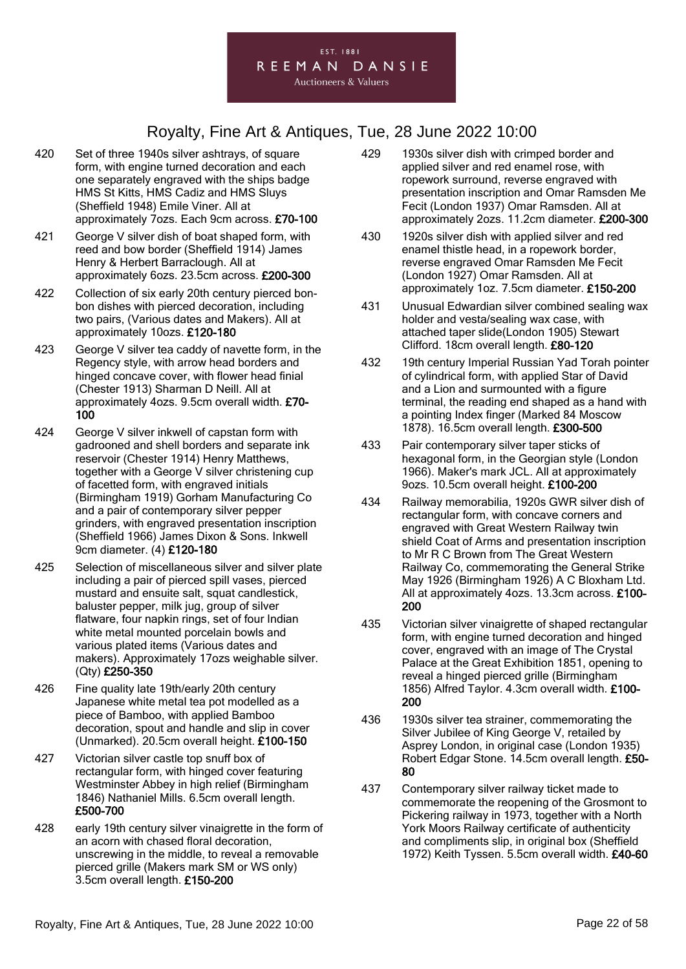

- 420 Set of three 1940s silver ashtrays, of square form, with engine turned decoration and each one separately engraved with the ships badge HMS St Kitts, HMS Cadiz and HMS Sluys (Sheffield 1948) Emile Viner. All at approximately 7ozs. Each 9cm across. £70-100
- 421 George V silver dish of boat shaped form, with reed and bow border (Sheffield 1914) James Henry & Herbert Barraclough. All at approximately 6ozs. 23.5cm across. £200-300
- 422 Collection of six early 20th century pierced bonbon dishes with pierced decoration, including two pairs, (Various dates and Makers). All at approximately 10ozs. £120-180
- 423 George V silver tea caddy of navette form, in the Regency style, with arrow head borders and hinged concave cover, with flower head finial (Chester 1913) Sharman D Neill. All at approximately 4ozs. 9.5cm overall width. £70- 100
- 424 George V silver inkwell of capstan form with gadrooned and shell borders and separate ink reservoir (Chester 1914) Henry Matthews, together with a George V silver christening cup of facetted form, with engraved initials (Birmingham 1919) Gorham Manufacturing Co and a pair of contemporary silver pepper grinders, with engraved presentation inscription (Sheffield 1966) James Dixon & Sons. Inkwell 9cm diameter. (4) £120-180
- 425 Selection of miscellaneous silver and silver plate including a pair of pierced spill vases, pierced mustard and ensuite salt, squat candlestick, baluster pepper, milk jug, group of silver flatware, four napkin rings, set of four Indian white metal mounted porcelain bowls and various plated items (Various dates and makers). Approximately 17ozs weighable silver. (Qty) £250-350
- 426 Fine quality late 19th/early 20th century Japanese white metal tea pot modelled as a piece of Bamboo, with applied Bamboo decoration, spout and handle and slip in cover (Unmarked). 20.5cm overall height. £100-150
- 427 Victorian silver castle top snuff box of rectangular form, with hinged cover featuring Westminster Abbey in high relief (Birmingham 1846) Nathaniel Mills. 6.5cm overall length. £500-700
- 428 early 19th century silver vinaigrette in the form of an acorn with chased floral decoration, unscrewing in the middle, to reveal a removable pierced grille (Makers mark SM or WS only) 3.5cm overall length. £150-200
- 429 1930s silver dish with crimped border and applied silver and red enamel rose, with ropework surround, reverse engraved with presentation inscription and Omar Ramsden Me Fecit (London 1937) Omar Ramsden. All at approximately 2ozs. 11.2cm diameter. £200-300
- 430 1920s silver dish with applied silver and red enamel thistle head, in a ropework border, reverse engraved Omar Ramsden Me Fecit (London 1927) Omar Ramsden. All at approximately 1oz. 7.5cm diameter. £150-200
- 431 Unusual Edwardian silver combined sealing wax holder and vesta/sealing wax case, with attached taper slide(London 1905) Stewart Clifford. 18cm overall length. £80-120
- 432 19th century Imperial Russian Yad Torah pointer of cylindrical form, with applied Star of David and a Lion and surmounted with a figure terminal, the reading end shaped as a hand with a pointing Index finger (Marked 84 Moscow 1878). 16.5cm overall length. £300-500
- 433 Pair contemporary silver taper sticks of hexagonal form, in the Georgian style (London 1966). Maker's mark JCL. All at approximately 9ozs. 10.5cm overall height. £100-200
- 434 Railway memorabilia, 1920s GWR silver dish of rectangular form, with concave corners and engraved with Great Western Railway twin shield Coat of Arms and presentation inscription to Mr R C Brown from The Great Western Railway Co, commemorating the General Strike May 1926 (Birmingham 1926) A C Bloxham Ltd. All at approximately 4ozs. 13.3cm across. £100- 200
- 435 Victorian silver vinaigrette of shaped rectangular form, with engine turned decoration and hinged cover, engraved with an image of The Crystal Palace at the Great Exhibition 1851, opening to reveal a hinged pierced grille (Birmingham 1856) Alfred Taylor. 4.3cm overall width. £100- 200
- 436 1930s silver tea strainer, commemorating the Silver Jubilee of King George V, retailed by Asprey London, in original case (London 1935) Robert Edgar Stone. 14.5cm overall length. £50- 80
- 437 Contemporary silver railway ticket made to commemorate the reopening of the Grosmont to Pickering railway in 1973, together with a North York Moors Railway certificate of authenticity and compliments slip, in original box (Sheffield 1972) Keith Tyssen. 5.5cm overall width. £40-60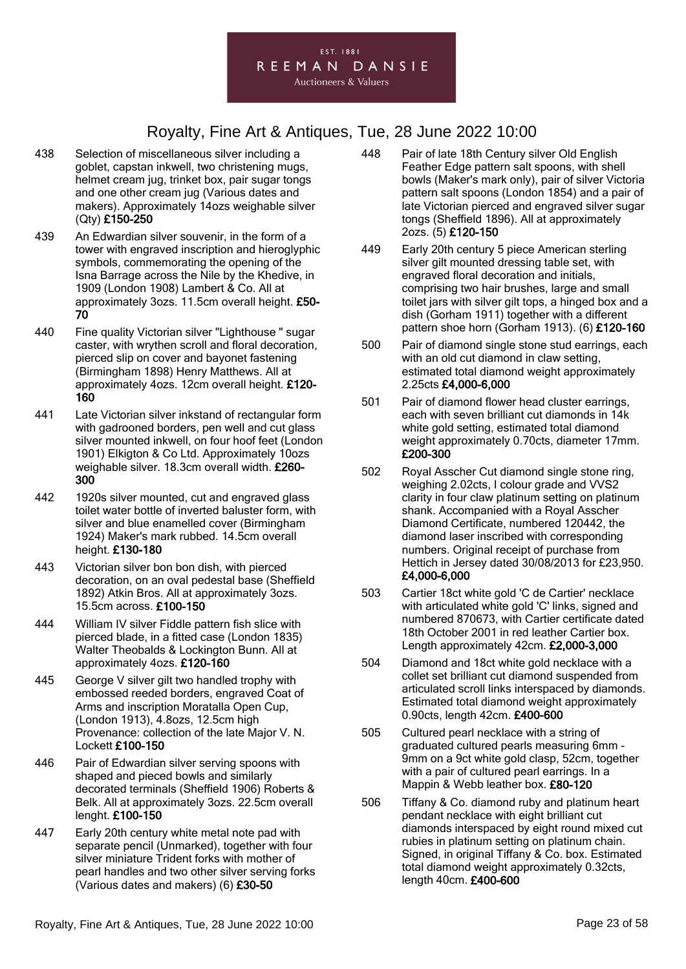

- 438 Selection of miscellaneous silver including a goblet, capstan inkwell, two christening mugs, helmet cream jug, trinket box, pair sugar tongs and one other cream jug (Various dates and makers). Approximately 14ozs weighable silver (Qty) £150-250
- 439 An Edwardian silver souvenir, in the form of a tower with engraved inscription and hieroglyphic symbols, commemorating the opening of the Isna Barrage across the Nile by the Khedive, in 1909 (London 1908) Lambert & Co. All at approximately 3ozs. 11.5cm overall height. £50- 70
- 440 Fine quality Victorian silver "Lighthouse " sugar caster, with wrythen scroll and floral decoration, pierced slip on cover and bayonet fastening (Birmingham 1898) Henry Matthews. All at approximately 4ozs. 12cm overall height. £120- 160
- 441 Late Victorian silver inkstand of rectangular form with gadrooned borders, pen well and cut glass silver mounted inkwell, on four hoof feet (London 1901) Elkigton & Co Ltd. Approximately 10ozs weighable silver. 18.3cm overall width. £260- 300
- 442 1920s silver mounted, cut and engraved glass toilet water bottle of inverted baluster form, with silver and blue enamelled cover (Birmingham 1924) Maker's mark rubbed. 14.5cm overall height. £130-180
- 443 Victorian silver bon bon dish, with pierced decoration, on an oval pedestal base (Sheffield 1892) Atkin Bros. All at approximately 3ozs. 15.5cm across. £100-150
- 444 William IV silver Fiddle pattern fish slice with pierced blade, in a fitted case (London 1835) Walter Theobalds & Lockington Bunn. All at approximately 4ozs. £120-160
- 445 George V silver gilt two handled trophy with embossed reeded borders, engraved Coat of Arms and inscription Moratalla Open Cup, (London 1913), 4.8ozs, 12.5cm high Provenance: collection of the late Major V. N. Lockett £100-150
- 446 Pair of Edwardian silver serving spoons with shaped and pieced bowls and similarly decorated terminals (Sheffield 1906) Roberts & Belk. All at approximately 3ozs. 22.5cm overall lenght. £100-150
- 447 Early 20th century white metal note pad with separate pencil (Unmarked), together with four silver miniature Trident forks with mother of pearl handles and two other silver serving forks (Various dates and makers) (6) £30-50
- 448 Pair of late 18th Century silver Old English Feather Edge pattern salt spoons, with shell bowls (Maker's mark only), pair of silver Victoria pattern salt spoons (London 1854) and a pair of late Victorian pierced and engraved silver sugar tongs (Sheffield 1896). All at approximately 2ozs. (5) £120-150
- 449 Early 20th century 5 piece American sterling silver gilt mounted dressing table set, with engraved floral decoration and initials, comprising two hair brushes, large and small toilet jars with silver gilt tops, a hinged box and a dish (Gorham 1911) together with a different pattern shoe horn (Gorham 1913). (6) £120-160
- 500 Pair of diamond single stone stud earrings, each with an old cut diamond in claw setting, estimated total diamond weight approximately 2.25cts £4,000-6,000
- 501 Pair of diamond flower head cluster earrings, each with seven brilliant cut diamonds in 14k white gold setting, estimated total diamond weight approximately 0.70cts, diameter 17mm. £200-300
- 502 Royal Asscher Cut diamond single stone ring, weighing 2.02cts, I colour grade and VVS2 clarity in four claw platinum setting on platinum shank. Accompanied with a Royal Asscher Diamond Certificate, numbered 120442, the diamond laser inscribed with corresponding numbers. Original receipt of purchase from Hettich in Jersey dated 30/08/2013 for £23,950. £4,000-6,000
- 503 Cartier 18ct white gold 'C de Cartier' necklace with articulated white gold 'C' links, signed and numbered 870673, with Cartier certificate dated 18th October 2001 in red leather Cartier box. Length approximately 42cm. £2,000-3,000
- 504 Diamond and 18ct white gold necklace with a collet set brilliant cut diamond suspended from articulated scroll links interspaced by diamonds. Estimated total diamond weight approximately 0.90cts, length 42cm. £400-600
- 505 Cultured pearl necklace with a string of graduated cultured pearls measuring 6mm - 9mm on a 9ct white gold clasp, 52cm, together with a pair of cultured pearl earrings. In a Mappin & Webb leather box. £80-120
- 506 Tiffany & Co. diamond ruby and platinum heart pendant necklace with eight brilliant cut diamonds interspaced by eight round mixed cut rubies in platinum setting on platinum chain. Signed, in original Tiffany & Co. box. Estimated total diamond weight approximately 0.32cts, length 40cm. £400-600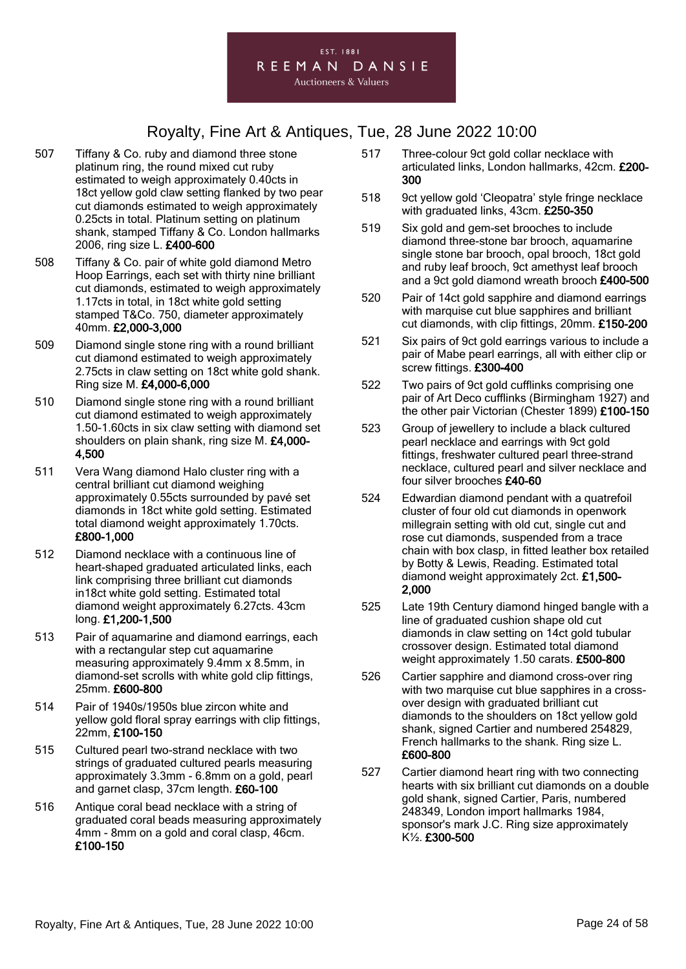- 507 Tiffany & Co. ruby and diamond three stone platinum ring, the round mixed cut ruby estimated to weigh approximately 0.40cts in 18ct yellow gold claw setting flanked by two pear cut diamonds estimated to weigh approximately 0.25cts in total. Platinum setting on platinum shank, stamped Tiffany & Co. London hallmarks 2006, ring size L. £400-600
- 508 Tiffany & Co. pair of white gold diamond Metro Hoop Earrings, each set with thirty nine brilliant cut diamonds, estimated to weigh approximately 1.17cts in total, in 18ct white gold setting stamped T&Co. 750, diameter approximately 40mm. £2,000-3,000
- 509 Diamond single stone ring with a round brilliant cut diamond estimated to weigh approximately 2.75cts in claw setting on 18ct white gold shank. Ring size M. £4,000-6,000
- 510 Diamond single stone ring with a round brilliant cut diamond estimated to weigh approximately 1.50-1.60cts in six claw setting with diamond set shoulders on plain shank, ring size M. £4,000- 4,500
- 511 Vera Wang diamond Halo cluster ring with a central brilliant cut diamond weighing approximately 0.55cts surrounded by pavé set diamonds in 18ct white gold setting. Estimated total diamond weight approximately 1.70cts. £800-1,000
- 512 Diamond necklace with a continuous line of heart-shaped graduated articulated links, each link comprising three brilliant cut diamonds in18ct white gold setting. Estimated total diamond weight approximately 6.27cts. 43cm long. £1,200-1,500
- 513 Pair of aquamarine and diamond earrings, each with a rectangular step cut aquamarine measuring approximately 9.4mm x 8.5mm, in diamond-set scrolls with white gold clip fittings, 25mm. £600-800
- 514 Pair of 1940s/1950s blue zircon white and yellow gold floral spray earrings with clip fittings, 22mm, £100-150
- 515 Cultured pearl two-strand necklace with two strings of graduated cultured pearls measuring approximately 3.3mm - 6.8mm on a gold, pearl and garnet clasp, 37cm length. £60-100
- 516 Antique coral bead necklace with a string of graduated coral beads measuring approximately 4mm - 8mm on a gold and coral clasp, 46cm. £100-150
- 517 Three-colour 9ct gold collar necklace with articulated links, London hallmarks, 42cm. £200- 300
- 518 9ct yellow gold 'Cleopatra' style fringe necklace with graduated links, 43cm. £250-350
- 519 Six gold and gem-set brooches to include diamond three-stone bar brooch, aquamarine single stone bar brooch, opal brooch, 18ct gold and ruby leaf brooch, 9ct amethyst leaf brooch and a 9ct gold diamond wreath brooch £400-500
- 520 Pair of 14ct gold sapphire and diamond earrings with marquise cut blue sapphires and brilliant cut diamonds, with clip fittings, 20mm. £150-200
- 521 Six pairs of 9ct gold earrings various to include a pair of Mabe pearl earrings, all with either clip or screw fittings. £300-400
- 522 Two pairs of 9ct gold cufflinks comprising one pair of Art Deco cufflinks (Birmingham 1927) and the other pair Victorian (Chester 1899) £100-150
- 523 Group of jewellery to include a black cultured pearl necklace and earrings with 9ct gold fittings, freshwater cultured pearl three-strand necklace, cultured pearl and silver necklace and four silver brooches £40-60
- 524 Edwardian diamond pendant with a quatrefoil cluster of four old cut diamonds in openwork millegrain setting with old cut, single cut and rose cut diamonds, suspended from a trace chain with box clasp, in fitted leather box retailed by Botty & Lewis, Reading. Estimated total diamond weight approximately 2ct. £1,500- 2,000
- 525 Late 19th Century diamond hinged bangle with a line of graduated cushion shape old cut diamonds in claw setting on 14ct gold tubular crossover design. Estimated total diamond weight approximately 1.50 carats. £500-800
- 526 Cartier sapphire and diamond cross-over ring with two marquise cut blue sapphires in a crossover design with graduated brilliant cut diamonds to the shoulders on 18ct yellow gold shank, signed Cartier and numbered 254829, French hallmarks to the shank. Ring size L. £600-800
- 527 Cartier diamond heart ring with two connecting hearts with six brilliant cut diamonds on a double gold shank, signed Cartier, Paris, numbered 248349, London import hallmarks 1984, sponsor's mark J.C. Ring size approximately K½. £300-500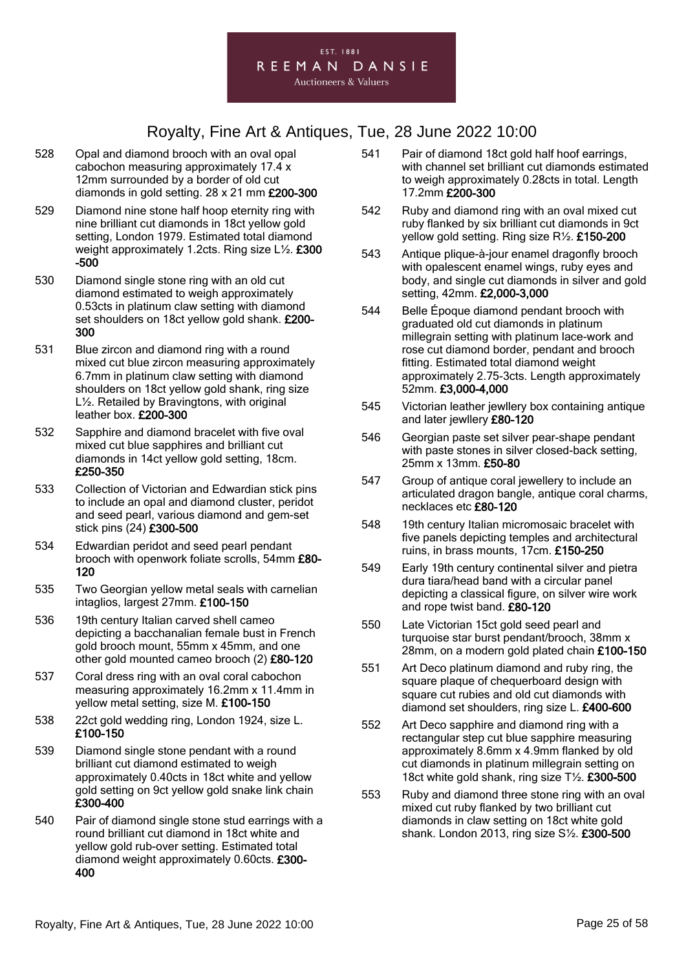

- 528 Opal and diamond brooch with an oval opal cabochon measuring approximately 17.4 x 12mm surrounded by a border of old cut diamonds in gold setting. 28 x 21 mm £200-300
- 529 Diamond nine stone half hoop eternity ring with nine brilliant cut diamonds in 18ct yellow gold setting, London 1979. Estimated total diamond weight approximately 1.2cts. Ring size L½. £300 -500
- 530 Diamond single stone ring with an old cut diamond estimated to weigh approximately 0.53cts in platinum claw setting with diamond set shoulders on 18ct yellow gold shank. £200- 300
- 531 Blue zircon and diamond ring with a round mixed cut blue zircon measuring approximately 6.7mm in platinum claw setting with diamond shoulders on 18ct yellow gold shank, ring size L½. Retailed by Bravingtons, with original leather box. £200-300
- 532 Sapphire and diamond bracelet with five oval mixed cut blue sapphires and brilliant cut diamonds in 14ct yellow gold setting, 18cm. £250-350
- 533 Collection of Victorian and Edwardian stick pins to include an opal and diamond cluster, peridot and seed pearl, various diamond and gem-set stick pins (24) £300-500
- 534 Edwardian peridot and seed pearl pendant brooch with openwork foliate scrolls, 54mm £80- 120
- 535 Two Georgian yellow metal seals with carnelian intaglios, largest 27mm. £100-150
- 536 19th century Italian carved shell cameo depicting a bacchanalian female bust in French gold brooch mount, 55mm x 45mm, and one other gold mounted cameo brooch (2) £80-120
- 537 Coral dress ring with an oval coral cabochon measuring approximately 16.2mm x 11.4mm in yellow metal setting, size M. £100-150
- 538 22ct gold wedding ring, London 1924, size L. £100-150
- 539 Diamond single stone pendant with a round brilliant cut diamond estimated to weigh approximately 0.40cts in 18ct white and yellow gold setting on 9ct yellow gold snake link chain £300-400
- 540 Pair of diamond single stone stud earrings with a round brilliant cut diamond in 18ct white and yellow gold rub-over setting. Estimated total diamond weight approximately 0.60cts. £300- 400
- 541 Pair of diamond 18ct gold half hoof earrings, with channel set brilliant cut diamonds estimated to weigh approximately 0.28cts in total. Length 17.2mm £200-300
- 542 Ruby and diamond ring with an oval mixed cut ruby flanked by six brilliant cut diamonds in 9ct yellow gold setting. Ring size R½. £150-200
- 543 Antique plique-à-jour enamel dragonfly brooch with opalescent enamel wings, ruby eyes and body, and single cut diamonds in silver and gold setting, 42mm. £2,000-3,000
- 544 Belle Époque diamond pendant brooch with graduated old cut diamonds in platinum millegrain setting with platinum lace-work and rose cut diamond border, pendant and brooch fitting. Estimated total diamond weight approximately 2.75-3cts. Length approximately 52mm. £3,000-4,000
- 545 Victorian leather jewllery box containing antique and later jewllery £80-120
- 546 Georgian paste set silver pear-shape pendant with paste stones in silver closed-back setting. 25mm x 13mm. £50-80
- 547 Group of antique coral jewellery to include an articulated dragon bangle, antique coral charms, necklaces etc £80-120
- 548 19th century Italian micromosaic bracelet with five panels depicting temples and architectural ruins, in brass mounts, 17cm. £150-250
- 549 Early 19th century continental silver and pietra dura tiara/head band with a circular panel depicting a classical figure, on silver wire work and rope twist band. £80-120
- 550 Late Victorian 15ct gold seed pearl and turquoise star burst pendant/brooch, 38mm x 28mm, on a modern gold plated chain  $£100-150$
- 551 Art Deco platinum diamond and ruby ring, the square plaque of chequerboard design with square cut rubies and old cut diamonds with diamond set shoulders, ring size L. £400-600
- 552 Art Deco sapphire and diamond ring with a rectangular step cut blue sapphire measuring approximately 8.6mm x 4.9mm flanked by old cut diamonds in platinum millegrain setting on 18ct white gold shank, ring size T½. £300-500
- 553 Ruby and diamond three stone ring with an oval mixed cut ruby flanked by two brilliant cut diamonds in claw setting on 18ct white gold shank. London 2013, ring size S½. £300-500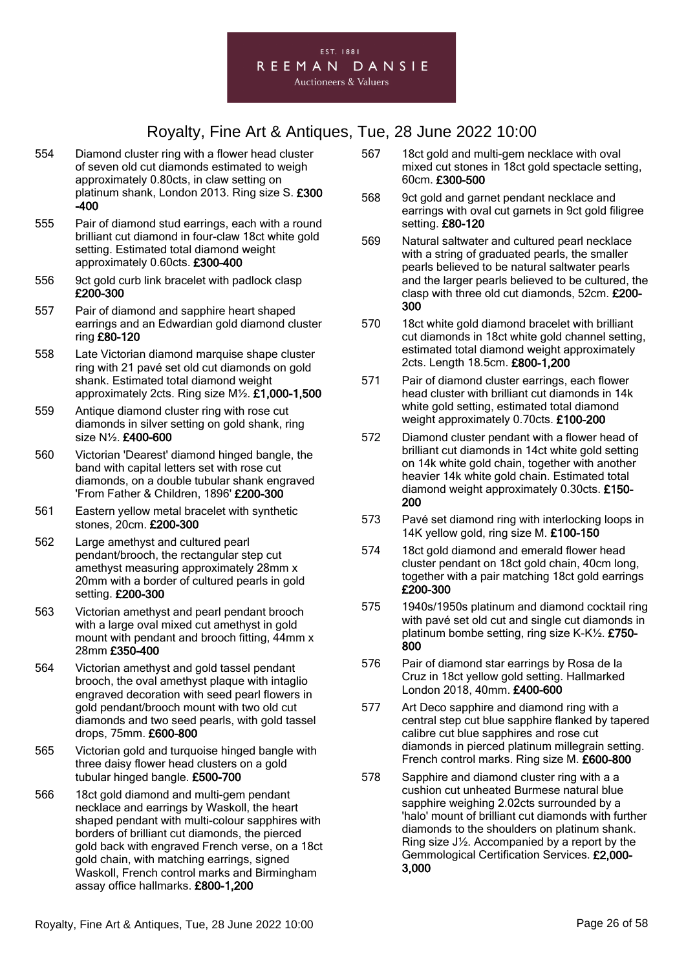

- 554 Diamond cluster ring with a flower head cluster of seven old cut diamonds estimated to weigh approximately 0.80cts, in claw setting on platinum shank, London 2013. Ring size S. £300 -400
- 555 Pair of diamond stud earrings, each with a round brilliant cut diamond in four-claw 18ct white gold setting. Estimated total diamond weight approximately 0.60cts. £300-400
- 556 9ct gold curb link bracelet with padlock clasp £200-300
- 557 Pair of diamond and sapphire heart shaped earrings and an Edwardian gold diamond cluster ring £80-120
- 558 Late Victorian diamond marquise shape cluster ring with 21 pavé set old cut diamonds on gold shank. Estimated total diamond weight approximately 2cts. Ring size M½. £1,000-1,500
- 559 Antique diamond cluster ring with rose cut diamonds in silver setting on gold shank, ring size N½. £400-600
- 560 Victorian 'Dearest' diamond hinged bangle, the band with capital letters set with rose cut diamonds, on a double tubular shank engraved 'From Father & Children, 1896' £200-300
- 561 Eastern yellow metal bracelet with synthetic stones, 20cm. £200-300
- 562 Large amethyst and cultured pearl pendant/brooch, the rectangular step cut amethyst measuring approximately 28mm x 20mm with a border of cultured pearls in gold setting. £200-300
- 563 Victorian amethyst and pearl pendant brooch with a large oval mixed cut amethyst in gold mount with pendant and brooch fitting, 44mm x 28mm £350-400
- 564 Victorian amethyst and gold tassel pendant brooch, the oval amethyst plaque with intaglio engraved decoration with seed pearl flowers in gold pendant/brooch mount with two old cut diamonds and two seed pearls, with gold tassel drops, 75mm. £600-800
- 565 Victorian gold and turquoise hinged bangle with three daisy flower head clusters on a gold tubular hinged bangle. £500-700
- 566 18ct gold diamond and multi-gem pendant necklace and earrings by Waskoll, the heart shaped pendant with multi-colour sapphires with borders of brilliant cut diamonds, the pierced gold back with engraved French verse, on a 18ct gold chain, with matching earrings, signed Waskoll, French control marks and Birmingham assay office hallmarks. £800-1,200
- 567 18ct gold and multi-gem necklace with oval mixed cut stones in 18ct gold spectacle setting, 60cm. £300-500
- 568 9ct gold and garnet pendant necklace and earrings with oval cut garnets in 9ct gold filigree setting. £80-120
- 569 Natural saltwater and cultured pearl necklace with a string of graduated pearls, the smaller pearls believed to be natural saltwater pearls and the larger pearls believed to be cultured, the clasp with three old cut diamonds, 52cm. £200- 300
- 570 18ct white gold diamond bracelet with brilliant cut diamonds in 18ct white gold channel setting, estimated total diamond weight approximately 2cts. Length 18.5cm. £800-1,200
- 571 Pair of diamond cluster earrings, each flower head cluster with brilliant cut diamonds in 14k white gold setting, estimated total diamond weight approximately 0.70cts. £100-200
- 572 Diamond cluster pendant with a flower head of brilliant cut diamonds in 14ct white gold setting on 14k white gold chain, together with another heavier 14k white gold chain. Estimated total diamond weight approximately 0.30cts. £150- 200
- 573 Pavé set diamond ring with interlocking loops in 14K yellow gold, ring size M. £100-150
- 574 18ct gold diamond and emerald flower head cluster pendant on 18ct gold chain, 40cm long, together with a pair matching 18ct gold earrings £200-300
- 575 1940s/1950s platinum and diamond cocktail ring with pavé set old cut and single cut diamonds in platinum bombe setting, ring size K-K½. £750- 800
- 576 Pair of diamond star earrings by Rosa de la Cruz in 18ct yellow gold setting. Hallmarked London 2018, 40mm. £400-600
- 577 Art Deco sapphire and diamond ring with a central step cut blue sapphire flanked by tapered calibre cut blue sapphires and rose cut diamonds in pierced platinum millegrain setting. French control marks. Ring size M. £600-800
- 578 Sapphire and diamond cluster ring with a a cushion cut unheated Burmese natural blue sapphire weighing 2.02cts surrounded by a 'halo' mount of brilliant cut diamonds with further diamonds to the shoulders on platinum shank. Ring size J½. Accompanied by a report by the Gemmological Certification Services. £2,000- 3,000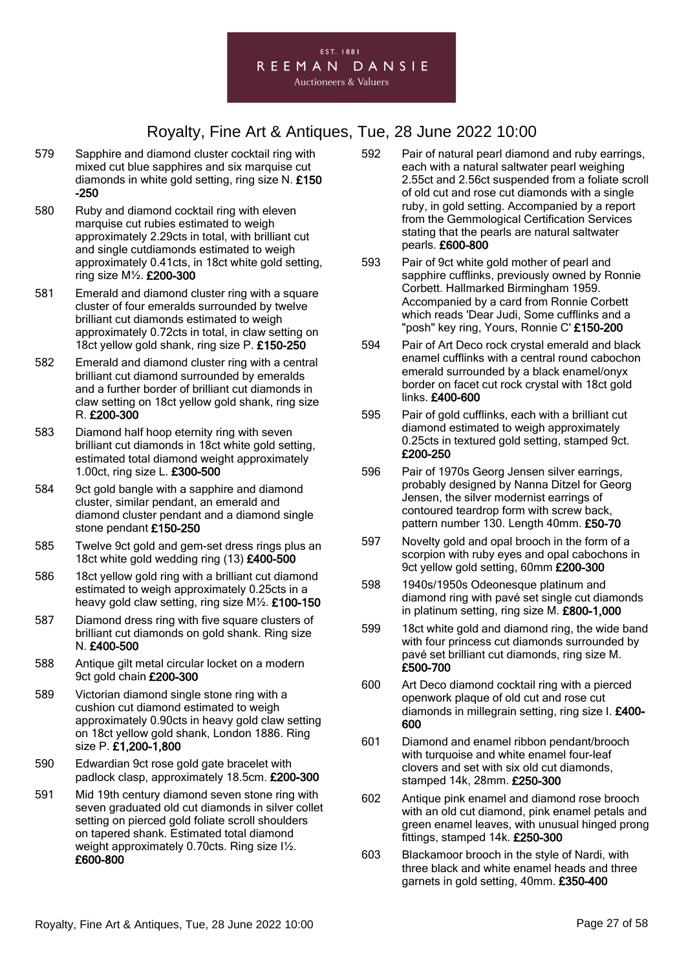

- 579 Sapphire and diamond cluster cocktail ring with mixed cut blue sapphires and six marquise cut diamonds in white gold setting, ring size N. £150 -250
- 580 Ruby and diamond cocktail ring with eleven marquise cut rubies estimated to weigh approximately 2.29cts in total, with brilliant cut and single cutdiamonds estimated to weigh approximately 0.41cts, in 18ct white gold setting, ring size M½. £200-300
- 581 Emerald and diamond cluster ring with a square cluster of four emeralds surrounded by twelve brilliant cut diamonds estimated to weigh approximately 0.72cts in total, in claw setting on 18ct yellow gold shank, ring size P. £150-250
- 582 Emerald and diamond cluster ring with a central brilliant cut diamond surrounded by emeralds and a further border of brilliant cut diamonds in claw setting on 18ct yellow gold shank, ring size R. £200-300
- 583 Diamond half hoop eternity ring with seven brilliant cut diamonds in 18ct white gold setting, estimated total diamond weight approximately 1.00ct, ring size L. £300-500
- 584 9ct gold bangle with a sapphire and diamond cluster, similar pendant, an emerald and diamond cluster pendant and a diamond single stone pendant £150-250
- 585 Twelve 9ct gold and gem-set dress rings plus an 18ct white gold wedding ring (13) £400-500
- 586 18ct yellow gold ring with a brilliant cut diamond estimated to weigh approximately 0.25cts in a heavy gold claw setting, ring size M½. £100-150
- 587 Diamond dress ring with five square clusters of brilliant cut diamonds on gold shank. Ring size N. £400-500
- 588 Antique gilt metal circular locket on a modern 9ct gold chain £200-300
- 589 Victorian diamond single stone ring with a cushion cut diamond estimated to weigh approximately 0.90cts in heavy gold claw setting on 18ct yellow gold shank, London 1886. Ring size P. £1,200-1,800
- 590 Edwardian 9ct rose gold gate bracelet with padlock clasp, approximately 18.5cm. £200-300
- 591 Mid 19th century diamond seven stone ring with seven graduated old cut diamonds in silver collet setting on pierced gold foliate scroll shoulders on tapered shank. Estimated total diamond weight approximately 0.70cts. Ring size I½. £600-800
- 592 Pair of natural pearl diamond and ruby earrings, each with a natural saltwater pearl weighing 2.55ct and 2.56ct suspended from a foliate scroll of old cut and rose cut diamonds with a single ruby, in gold setting. Accompanied by a report from the Gemmological Certification Services stating that the pearls are natural saltwater pearls. £600-800
- 593 Pair of 9ct white gold mother of pearl and sapphire cufflinks, previously owned by Ronnie Corbett. Hallmarked Birmingham 1959. Accompanied by a card from Ronnie Corbett which reads 'Dear Judi, Some cufflinks and a "posh" key ring, Yours, Ronnie C' £150-200
- 594 Pair of Art Deco rock crystal emerald and black enamel cufflinks with a central round cabochon emerald surrounded by a black enamel/onyx border on facet cut rock crystal with 18ct gold links. £400-600
- 595 Pair of gold cufflinks, each with a brilliant cut diamond estimated to weigh approximately 0.25cts in textured gold setting, stamped 9ct. £200-250
- 596 Pair of 1970s Georg Jensen silver earrings, probably designed by Nanna Ditzel for Georg Jensen, the silver modernist earrings of contoured teardrop form with screw back, pattern number 130. Length 40mm. £50-70
- 597 Novelty gold and opal brooch in the form of a scorpion with ruby eyes and opal cabochons in 9ct yellow gold setting, 60mm £200-300
- 598 1940s/1950s Odeonesque platinum and diamond ring with pavé set single cut diamonds in platinum setting, ring size M. £800-1,000
- 599 18ct white gold and diamond ring, the wide band with four princess cut diamonds surrounded by pavé set brilliant cut diamonds, ring size M. £500-700
- 600 Art Deco diamond cocktail ring with a pierced openwork plaque of old cut and rose cut diamonds in millegrain setting, ring size I. £400- 600
- 601 Diamond and enamel ribbon pendant/brooch with turquoise and white enamel four-leaf clovers and set with six old cut diamonds, stamped 14k, 28mm. £250-300
- 602 Antique pink enamel and diamond rose brooch with an old cut diamond, pink enamel petals and green enamel leaves, with unusual hinged prong fittings, stamped 14k. £250-300
- 603 Blackamoor brooch in the style of Nardi, with three black and white enamel heads and three garnets in gold setting, 40mm. £350-400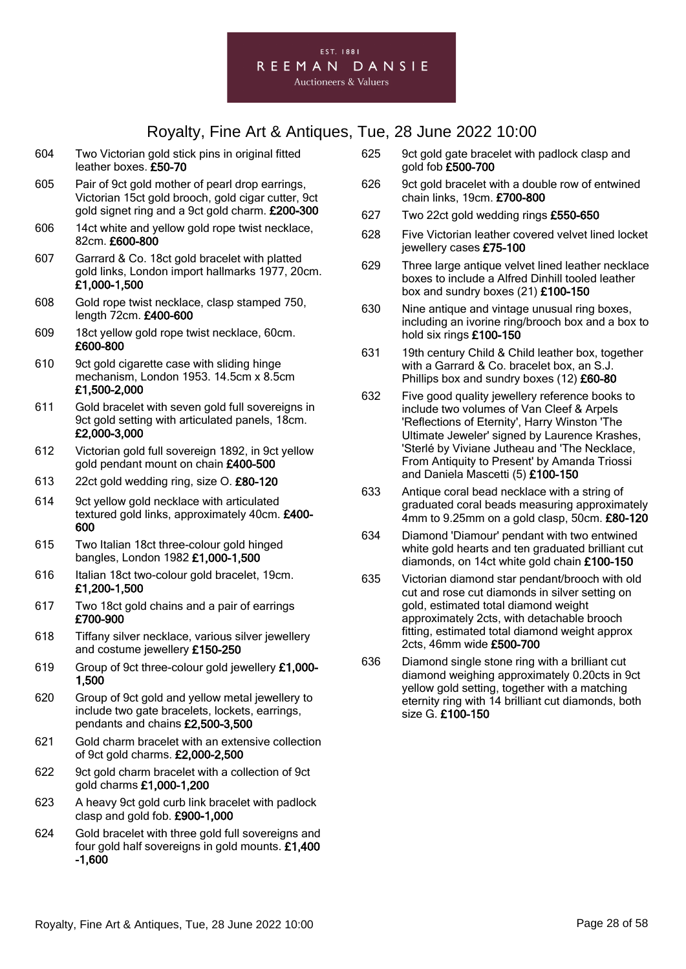

- 604 Two Victorian gold stick pins in original fitted leather boxes. £50-70
- 605 Pair of 9ct gold mother of pearl drop earrings, Victorian 15ct gold brooch, gold cigar cutter, 9ct gold signet ring and a 9ct gold charm. £200-300
- 606 14ct white and yellow gold rope twist necklace, 82cm. £600-800
- 607 Garrard & Co. 18ct gold bracelet with platted gold links, London import hallmarks 1977, 20cm. £1,000-1,500
- 608 Gold rope twist necklace, clasp stamped 750, length 72cm. £400-600
- 609 18ct yellow gold rope twist necklace, 60cm. £600-800
- 610 9ct gold cigarette case with sliding hinge mechanism, London 1953. 14.5cm x 8.5cm £1,500-2,000
- 611 Gold bracelet with seven gold full sovereigns in 9ct gold setting with articulated panels, 18cm. £2,000-3,000
- 612 Victorian gold full sovereign 1892, in 9ct yellow gold pendant mount on chain £400-500
- 613 22ct gold wedding ring, size O. £80-120
- 614 9ct yellow gold necklace with articulated textured gold links, approximately 40cm. £400- 600
- 615 Two Italian 18ct three-colour gold hinged bangles, London 1982 £1,000-1,500
- 616 Italian 18ct two-colour gold bracelet, 19cm. £1,200-1,500
- 617 Two 18ct gold chains and a pair of earrings £700-900
- 618 Tiffany silver necklace, various silver jewellery and costume jewellery £150-250
- 619 Group of 9ct three-colour gold jewellery £1,000- 1,500
- 620 Group of 9ct gold and yellow metal jewellery to include two gate bracelets, lockets, earrings, pendants and chains £2,500-3,500
- 621 Gold charm bracelet with an extensive collection of 9ct gold charms. £2,000-2,500
- 622 9ct gold charm bracelet with a collection of 9ct gold charms £1,000-1,200
- 623 A heavy 9ct gold curb link bracelet with padlock clasp and gold fob. £900-1,000
- 624 Gold bracelet with three gold full sovereigns and four gold half sovereigns in gold mounts. £1,400 -1,600
- 625 9ct gold gate bracelet with padlock clasp and gold fob £500-700
- 626 9ct gold bracelet with a double row of entwined chain links, 19cm. £700-800
- 627 Two 22ct gold wedding rings £550-650
- 628 Five Victorian leather covered velvet lined locket jewellery cases £75-100
- 629 Three large antique velvet lined leather necklace boxes to include a Alfred Dinhill tooled leather box and sundry boxes (21) £100-150
- 630 Nine antique and vintage unusual ring boxes, including an ivorine ring/brooch box and a box to hold six rings £100-150
- 631 19th century Child & Child leather box, together with a Garrard & Co. bracelet box, an S.J. Phillips box and sundry boxes (12) £60-80
- 632 Five good quality jewellery reference books to include two volumes of Van Cleef & Arpels 'Reflections of Eternity', Harry Winston 'The Ultimate Jeweler' signed by Laurence Krashes, 'Sterlé by Viviane Jutheau and 'The Necklace, From Antiquity to Present' by Amanda Triossi and Daniela Mascetti (5) £100-150
- 633 Antique coral bead necklace with a string of graduated coral beads measuring approximately 4mm to 9.25mm on a gold clasp, 50cm. £80-120
- 634 Diamond 'Diamour' pendant with two entwined white gold hearts and ten graduated brilliant cut diamonds, on 14ct white gold chain £100-150
- 635 Victorian diamond star pendant/brooch with old cut and rose cut diamonds in silver setting on gold, estimated total diamond weight approximately 2cts, with detachable brooch fitting, estimated total diamond weight approx 2cts, 46mm wide £500-700
- 636 Diamond single stone ring with a brilliant cut diamond weighing approximately 0.20cts in 9ct yellow gold setting, together with a matching eternity ring with 14 brilliant cut diamonds, both size G. £100-150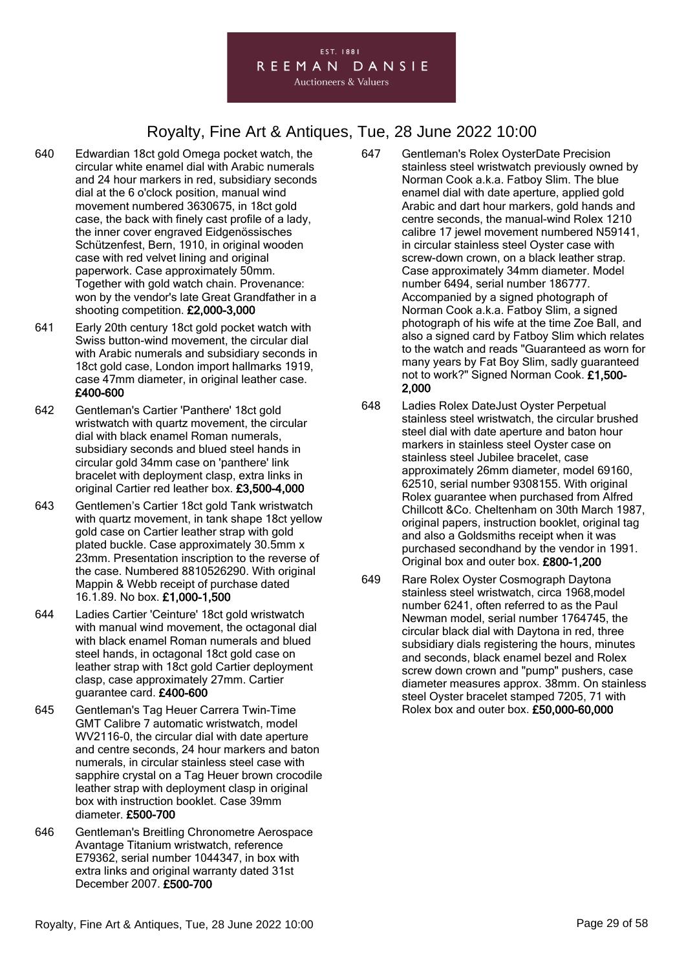#### EST. 1881 REEMAN DANSIE **Auctioneers & Valuers**

- 640 Edwardian 18ct gold Omega pocket watch, the circular white enamel dial with Arabic numerals and 24 hour markers in red, subsidiary seconds dial at the 6 o'clock position, manual wind movement numbered 3630675, in 18ct gold case, the back with finely cast profile of a lady, the inner cover engraved Eidgenössisches Schützenfest, Bern, 1910, in original wooden case with red velvet lining and original paperwork. Case approximately 50mm. Together with gold watch chain. Provenance: won by the vendor's late Great Grandfather in a shooting competition. £2,000-3,000
- 641 Early 20th century 18ct gold pocket watch with Swiss button-wind movement, the circular dial with Arabic numerals and subsidiary seconds in 18ct gold case, London import hallmarks 1919, case 47mm diameter, in original leather case. £400-600
- 642 Gentleman's Cartier 'Panthere' 18ct gold wristwatch with quartz movement, the circular dial with black enamel Roman numerals, subsidiary seconds and blued steel hands in circular gold 34mm case on 'panthere' link bracelet with deployment clasp, extra links in original Cartier red leather box. £3,500-4,000
- 643 Gentlemen's Cartier 18ct gold Tank wristwatch with quartz movement, in tank shape 18ct yellow gold case on Cartier leather strap with gold plated buckle. Case approximately 30.5mm x 23mm. Presentation inscription to the reverse of the case. Numbered 8810526290. With original Mappin & Webb receipt of purchase dated 16.1.89. No box. £1,000-1,500
- 644 Ladies Cartier 'Ceinture' 18ct gold wristwatch with manual wind movement, the octagonal dial with black enamel Roman numerals and blued steel hands, in octagonal 18ct gold case on leather strap with 18ct gold Cartier deployment clasp, case approximately 27mm. Cartier guarantee card. £400-600
- 645 Gentleman's Tag Heuer Carrera Twin-Time GMT Calibre 7 automatic wristwatch, model WV2116-0, the circular dial with date aperture and centre seconds, 24 hour markers and baton numerals, in circular stainless steel case with sapphire crystal on a Tag Heuer brown crocodile leather strap with deployment clasp in original box with instruction booklet. Case 39mm diameter. £500-700
- 646 Gentleman's Breitling Chronometre Aerospace Avantage Titanium wristwatch, reference E79362, serial number 1044347, in box with extra links and original warranty dated 31st December 2007. £500-700
- 647 Gentleman's Rolex OysterDate Precision stainless steel wristwatch previously owned by Norman Cook a.k.a. Fatboy Slim. The blue enamel dial with date aperture, applied gold Arabic and dart hour markers, gold hands and centre seconds, the manual-wind Rolex 1210 calibre 17 jewel movement numbered N59141, in circular stainless steel Oyster case with screw-down crown, on a black leather strap. Case approximately 34mm diameter. Model number 6494, serial number 186777. Accompanied by a signed photograph of Norman Cook a.k.a. Fatboy Slim, a signed photograph of his wife at the time Zoe Ball, and also a signed card by Fatboy Slim which relates to the watch and reads "Guaranteed as worn for many years by Fat Boy Slim, sadly guaranteed not to work?" Signed Norman Cook. £1,500- 2,000
- 648 Ladies Rolex DateJust Oyster Perpetual stainless steel wristwatch, the circular brushed steel dial with date aperture and baton hour markers in stainless steel Oyster case on stainless steel Jubilee bracelet, case approximately 26mm diameter, model 69160, 62510, serial number 9308155. With original Rolex guarantee when purchased from Alfred Chillcott &Co. Cheltenham on 30th March 1987, original papers, instruction booklet, original tag and also a Goldsmiths receipt when it was purchased secondhand by the vendor in 1991. Original box and outer box. £800-1,200
- 649 Rare Rolex Oyster Cosmograph Daytona stainless steel wristwatch, circa 1968,model number 6241, often referred to as the Paul Newman model, serial number 1764745, the circular black dial with Daytona in red, three subsidiary dials registering the hours, minutes and seconds, black enamel bezel and Rolex screw down crown and "pump" pushers, case diameter measures approx. 38mm. On stainless steel Oyster bracelet stamped 7205, 71 with Rolex box and outer box. £50,000-60,000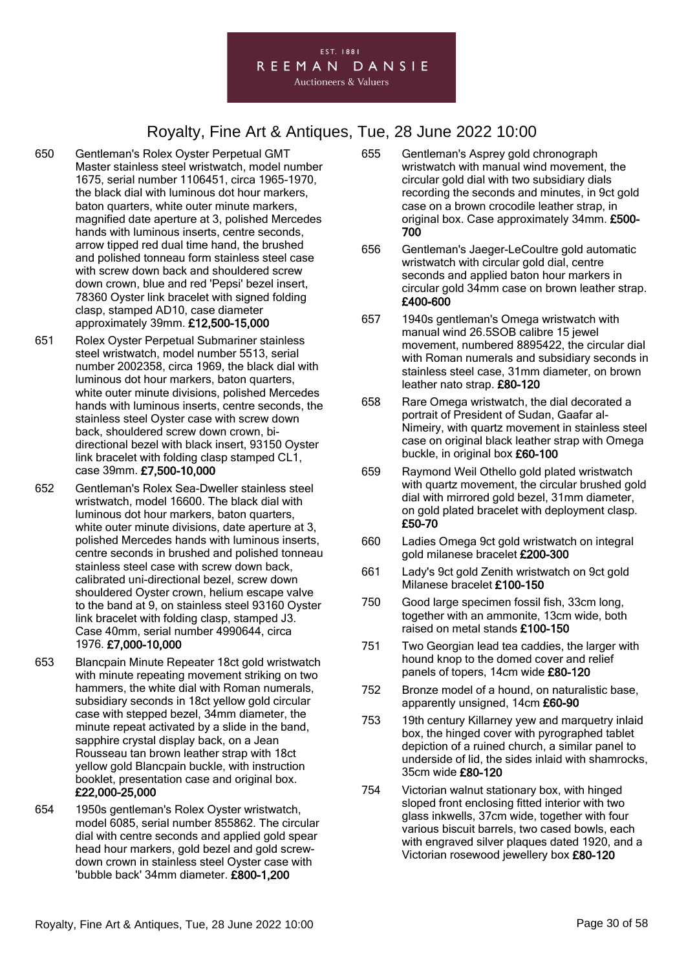#### EST. 1881 REEMAN DANSIE

**Auctioneers & Valuers** 

- 650 Gentleman's Rolex Oyster Perpetual GMT Master stainless steel wristwatch, model number 1675, serial number 1106451, circa 1965-1970, the black dial with luminous dot hour markers, baton quarters, white outer minute markers, magnified date aperture at 3, polished Mercedes hands with luminous inserts, centre seconds, arrow tipped red dual time hand, the brushed and polished tonneau form stainless steel case with screw down back and shouldered screw down crown, blue and red 'Pepsi' bezel insert, 78360 Oyster link bracelet with signed folding clasp, stamped AD10, case diameter approximately 39mm. £12,500-15,000
- 651 Rolex Oyster Perpetual Submariner stainless steel wristwatch, model number 5513, serial number 2002358, circa 1969, the black dial with luminous dot hour markers, baton quarters, white outer minute divisions, polished Mercedes hands with luminous inserts, centre seconds, the stainless steel Oyster case with screw down back, shouldered screw down crown, bidirectional bezel with black insert, 93150 Oyster link bracelet with folding clasp stamped CL1, case 39mm. £7,500-10,000
- 652 Gentleman's Rolex Sea-Dweller stainless steel wristwatch, model 16600. The black dial with luminous dot hour markers, baton quarters, white outer minute divisions, date aperture at 3, polished Mercedes hands with luminous inserts, centre seconds in brushed and polished tonneau stainless steel case with screw down back, calibrated uni-directional bezel, screw down shouldered Oyster crown, helium escape valve to the band at 9, on stainless steel 93160 Oyster link bracelet with folding clasp, stamped J3. Case 40mm, serial number 4990644, circa 1976. £7,000-10,000
- 653 Blancpain Minute Repeater 18ct gold wristwatch with minute repeating movement striking on two hammers, the white dial with Roman numerals, subsidiary seconds in 18ct yellow gold circular case with stepped bezel, 34mm diameter, the minute repeat activated by a slide in the band, sapphire crystal display back, on a Jean Rousseau tan brown leather strap with 18ct yellow gold Blancpain buckle, with instruction booklet, presentation case and original box. £22,000-25,000
- 654 1950s gentleman's Rolex Oyster wristwatch, model 6085, serial number 855862. The circular dial with centre seconds and applied gold spear head hour markers, gold bezel and gold screwdown crown in stainless steel Oyster case with 'bubble back' 34mm diameter. £800-1,200
- 655 Gentleman's Asprey gold chronograph wristwatch with manual wind movement, the circular gold dial with two subsidiary dials recording the seconds and minutes, in 9ct gold case on a brown crocodile leather strap, in original box. Case approximately 34mm. £500-700
- 656 Gentleman's Jaeger-LeCoultre gold automatic wristwatch with circular gold dial, centre seconds and applied baton hour markers in circular gold 34mm case on brown leather strap. £400-600
- 657 1940s gentleman's Omega wristwatch with manual wind 26.5SOB calibre 15 jewel movement, numbered 8895422, the circular dial with Roman numerals and subsidiary seconds in stainless steel case, 31mm diameter, on brown leather nato strap. £80-120
- 658 Rare Omega wristwatch, the dial decorated a portrait of President of Sudan, Gaafar al-Nimeiry, with quartz movement in stainless steel case on original black leather strap with Omega buckle, in original box £60-100
- 659 Raymond Weil Othello gold plated wristwatch with quartz movement, the circular brushed gold dial with mirrored gold bezel, 31mm diameter, on gold plated bracelet with deployment clasp. £50-70
- 660 Ladies Omega 9ct gold wristwatch on integral gold milanese bracelet £200-300
- 661 Lady's 9ct gold Zenith wristwatch on 9ct gold Milanese bracelet £100-150
- 750 Good large specimen fossil fish, 33cm long, together with an ammonite, 13cm wide, both raised on metal stands £100-150
- 751 Two Georgian lead tea caddies, the larger with hound knop to the domed cover and relief panels of topers, 14cm wide £80-120
- 752 Bronze model of a hound, on naturalistic base, apparently unsigned, 14cm £60-90
- 753 19th century Killarney yew and marquetry inlaid box, the hinged cover with pyrographed tablet depiction of a ruined church, a similar panel to underside of lid, the sides inlaid with shamrocks, 35cm wide £80-120
- 754 Victorian walnut stationary box, with hinged sloped front enclosing fitted interior with two glass inkwells, 37cm wide, together with four various biscuit barrels, two cased bowls, each with engraved silver plaques dated 1920, and a Victorian rosewood jewellery box £80-120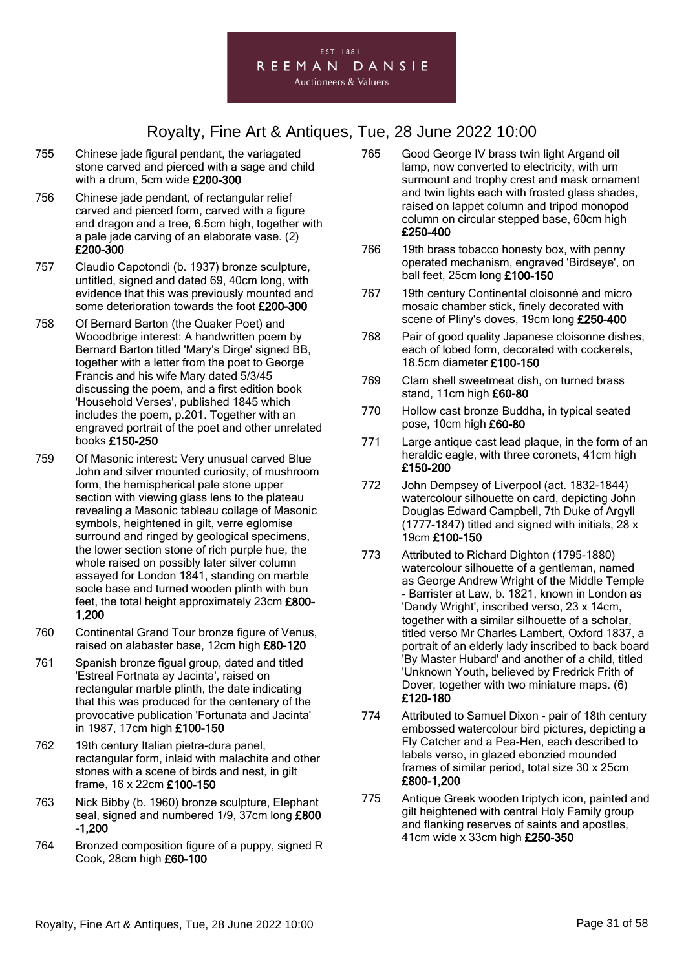- 755 Chinese jade figural pendant, the variagated stone carved and pierced with a sage and child with a drum, 5cm wide £200-300
- 756 Chinese jade pendant, of rectangular relief carved and pierced form, carved with a figure and dragon and a tree, 6.5cm high, together with a pale jade carving of an elaborate vase. (2) £200-300
- 757 Claudio Capotondi (b. 1937) bronze sculpture, untitled, signed and dated 69, 40cm long, with evidence that this was previously mounted and some deterioration towards the foot £200-300
- 758 Of Bernard Barton (the Quaker Poet) and Wooodbrige interest: A handwritten poem by Bernard Barton titled 'Mary's Dirge' signed BB, together with a letter from the poet to George Francis and his wife Mary dated 5/3/45 discussing the poem, and a first edition book 'Household Verses', published 1845 which includes the poem, p.201. Together with an engraved portrait of the poet and other unrelated books £150-250
- 759 Of Masonic interest: Very unusual carved Blue John and silver mounted curiosity, of mushroom form, the hemispherical pale stone upper section with viewing glass lens to the plateau revealing a Masonic tableau collage of Masonic symbols, heightened in gilt, verre eglomise surround and ringed by geological specimens, the lower section stone of rich purple hue, the whole raised on possibly later silver column assayed for London 1841, standing on marble socle base and turned wooden plinth with bun feet, the total height approximately 23cm £800- 1,200
- 760 Continental Grand Tour bronze figure of Venus, raised on alabaster base, 12cm high £80-120
- 761 Spanish bronze figual group, dated and titled 'Estreal Fortnata ay Jacinta', raised on rectangular marble plinth, the date indicating that this was produced for the centenary of the provocative publication 'Fortunata and Jacinta' in 1987, 17cm high £100-150
- 762 19th century Italian pietra-dura panel, rectangular form, inlaid with malachite and other stones with a scene of birds and nest, in gilt frame, 16 x 22cm £100-150
- 763 Nick Bibby (b. 1960) bronze sculpture, Elephant seal, signed and numbered 1/9, 37cm long £800 -1,200
- 764 Bronzed composition figure of a puppy, signed R Cook, 28cm high £60-100
- 765 Good George IV brass twin light Argand oil lamp, now converted to electricity, with urn surmount and trophy crest and mask ornament and twin lights each with frosted glass shades, raised on lappet column and tripod monopod column on circular stepped base, 60cm high £250-400
- 766 19th brass tobacco honesty box, with penny operated mechanism, engraved 'Birdseye', on ball feet, 25cm long £100-150
- 767 19th century Continental cloisonné and micro mosaic chamber stick, finely decorated with scene of Pliny's doves, 19cm long £250-400
- 768 Pair of good quality Japanese cloisonne dishes, each of lobed form, decorated with cockerels, 18.5cm diameter £100-150
- 769 Clam shell sweetmeat dish, on turned brass stand, 11cm high £60-80
- 770 Hollow cast bronze Buddha, in typical seated pose, 10cm high £60-80
- 771 Large antique cast lead plaque, in the form of an heraldic eagle, with three coronets, 41cm high £150-200
- 772 John Dempsey of Liverpool (act. 1832-1844) watercolour silhouette on card, depicting John Douglas Edward Campbell, 7th Duke of Argyll  $(1777-1847)$  titled and signed with initials, 28 x 19cm £100-150
- 773 Attributed to Richard Dighton (1795-1880) watercolour silhouette of a gentleman, named as George Andrew Wright of the Middle Temple - Barrister at Law, b. 1821, known in London as 'Dandy Wright', inscribed verso, 23 x 14cm, together with a similar silhouette of a scholar, titled verso Mr Charles Lambert, Oxford 1837, a portrait of an elderly lady inscribed to back board 'By Master Hubard' and another of a child, titled 'Unknown Youth, believed by Fredrick Frith of Dover, together with two miniature maps. (6) £120-180
- 774 Attributed to Samuel Dixon pair of 18th century embossed watercolour bird pictures, depicting a Fly Catcher and a Pea-Hen, each described to labels verso, in glazed ebonzied mounded frames of similar period, total size 30 x 25cm £800-1,200
- 775 Antique Greek wooden triptych icon, painted and gilt heightened with central Holy Family group and flanking reserves of saints and apostles, 41cm wide x 33cm high £250-350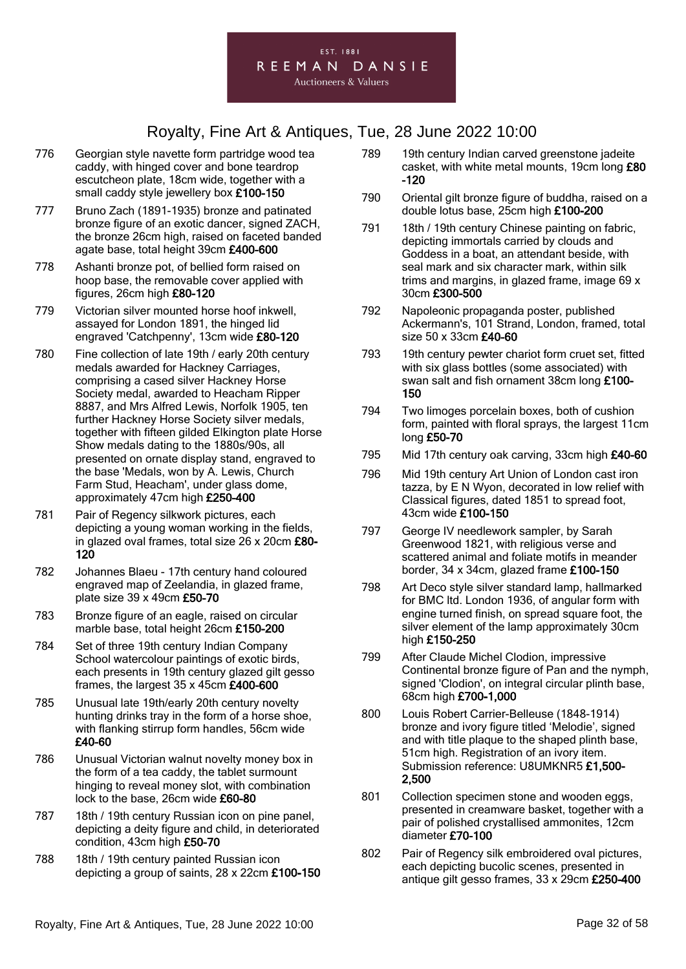- 776 Georgian style navette form partridge wood tea caddy, with hinged cover and bone teardrop escutcheon plate, 18cm wide, together with a small caddy style jewellery box £100-150
- 777 Bruno Zach (1891-1935) bronze and patinated bronze figure of an exotic dancer, signed ZACH, the bronze 26cm high, raised on faceted banded agate base, total height 39cm £400-600
- 778 Ashanti bronze pot, of bellied form raised on hoop base, the removable cover applied with figures, 26cm high £80-120
- 779 Victorian silver mounted horse hoof inkwell, assayed for London 1891, the hinged lid engraved 'Catchpenny', 13cm wide £80-120
- 780 Fine collection of late 19th / early 20th century medals awarded for Hackney Carriages, comprising a cased silver Hackney Horse Society medal, awarded to Heacham Ripper 8887, and Mrs Alfred Lewis, Norfolk 1905, ten further Hackney Horse Society silver medals, together with fifteen gilded Elkington plate Horse Show medals dating to the 1880s/90s, all presented on ornate display stand, engraved to the base 'Medals, won by A. Lewis, Church Farm Stud, Heacham', under glass dome, approximately 47cm high £250-400
- 781 Pair of Regency silkwork pictures, each depicting a young woman working in the fields, in glazed oval frames, total size 26 x 20cm £80- 120
- 782 Johannes Blaeu 17th century hand coloured engraved map of Zeelandia, in glazed frame, plate size 39 x 49cm £50-70
- 783 Bronze figure of an eagle, raised on circular marble base, total height 26cm £150-200
- 784 Set of three 19th century Indian Company School watercolour paintings of exotic birds, each presents in 19th century glazed gilt gesso frames, the largest 35 x 45cm £400-600
- 785 Unusual late 19th/early 20th century novelty hunting drinks tray in the form of a horse shoe, with flanking stirrup form handles, 56cm wide £40-60
- 786 Unusual Victorian walnut novelty money box in the form of a tea caddy, the tablet surmount hinging to reveal money slot, with combination lock to the base, 26cm wide £60-80
- 787 18th / 19th century Russian icon on pine panel, depicting a deity figure and child, in deteriorated condition, 43cm high £50-70
- 788 18th / 19th century painted Russian icon depicting a group of saints, 28 x 22cm £100-150
- 789 19th century Indian carved greenstone jadeite casket, with white metal mounts, 19cm long £80 -120
- 790 Oriental gilt bronze figure of buddha, raised on a double lotus base, 25cm high £100-200
- 791 18th / 19th century Chinese painting on fabric, depicting immortals carried by clouds and Goddess in a boat, an attendant beside, with seal mark and six character mark, within silk trims and margins, in glazed frame, image 69 x 30cm £300-500
- 792 Napoleonic propaganda poster, published Ackermann's, 101 Strand, London, framed, total size 50 x 33cm £40-60
- 793 19th century pewter chariot form cruet set, fitted with six glass bottles (some associated) with swan salt and fish ornament 38cm long £100-150
- 794 Two limoges porcelain boxes, both of cushion form, painted with floral sprays, the largest 11cm long £50-70
- 795 Mid 17th century oak carving, 33cm high £40-60
- 796 Mid 19th century Art Union of London cast iron tazza, by E N Wyon, decorated in low relief with Classical figures, dated 1851 to spread foot, 43cm wide £100-150
- 797 George IV needlework sampler, by Sarah Greenwood 1821, with religious verse and scattered animal and foliate motifs in meander border, 34 x 34cm, glazed frame £100-150
- 798 Art Deco style silver standard lamp, hallmarked for BMC ltd. London 1936, of angular form with engine turned finish, on spread square foot, the silver element of the lamp approximately 30cm high £150-250
- 799 After Claude Michel Clodion, impressive Continental bronze figure of Pan and the nymph, signed 'Clodion', on integral circular plinth base, 68cm high £700-1,000
- 800 Louis Robert Carrier-Belleuse (1848-1914) bronze and ivory figure titled 'Melodie', signed and with title plaque to the shaped plinth base, 51cm high. Registration of an ivory item. Submission reference: U8UMKNR5 £1,500- 2,500
- 801 Collection specimen stone and wooden eggs, presented in creamware basket, together with a pair of polished crystallised ammonites, 12cm diameter £70-100
- 802 Pair of Regency silk embroidered oval pictures, each depicting bucolic scenes, presented in antique gilt gesso frames, 33 x 29cm £250-400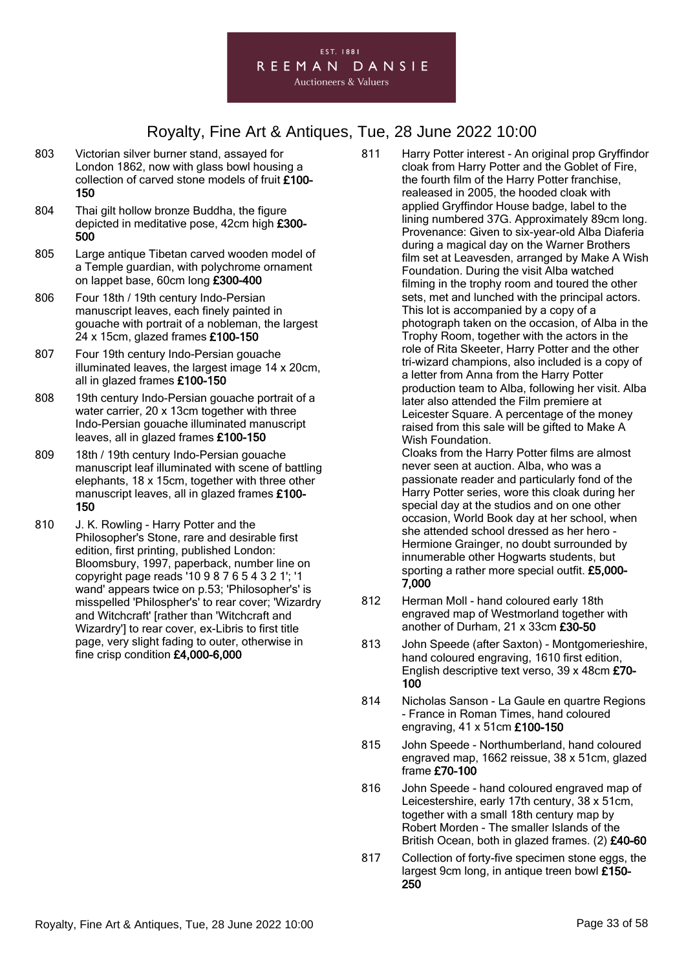

- 803 Victorian silver burner stand, assayed for London 1862, now with glass bowl housing a collection of carved stone models of fruit £100- 150
- 804 Thai gilt hollow bronze Buddha, the figure depicted in meditative pose, 42cm high £300- 500
- 805 Large antique Tibetan carved wooden model of a Temple guardian, with polychrome ornament on lappet base, 60cm long £300-400
- 806 Four 18th / 19th century Indo-Persian manuscript leaves, each finely painted in gouache with portrait of a nobleman, the largest 24 x 15cm, glazed frames £100-150
- 807 Four 19th century Indo-Persian gouache illuminated leaves, the largest image 14 x 20cm, all in glazed frames £100-150
- 808 19th century Indo-Persian gouache portrait of a water carrier, 20 x 13cm together with three Indo-Persian gouache illuminated manuscript leaves, all in glazed frames £100-150
- 809 18th / 19th century Indo-Persian gouache manuscript leaf illuminated with scene of battling elephants, 18 x 15cm, together with three other manuscript leaves, all in glazed frames £100- 150
- 810 J. K. Rowling Harry Potter and the Philosopher's Stone, rare and desirable first edition, first printing, published London: Bloomsbury, 1997, paperback, number line on copyright page reads '10 9 8 7 6 5 4 3 2 1'; '1 wand' appears twice on p.53; 'Philosopher's' is misspelled 'Philospher's' to rear cover; 'Wizardry and Witchcraft' [rather than 'Witchcraft and Wizardry'] to rear cover, ex-Libris to first title page, very slight fading to outer, otherwise in fine crisp condition £4,000-6,000
- 811 Harry Potter interest An original prop Gryffindor cloak from Harry Potter and the Goblet of Fire, the fourth film of the Harry Potter franchise, realeased in 2005, the hooded cloak with applied Gryffindor House badge, label to the lining numbered 37G. Approximately 89cm long. Provenance: Given to six-year-old Alba Diaferia during a magical day on the Warner Brothers film set at Leavesden, arranged by Make A Wish Foundation. During the visit Alba watched filming in the trophy room and toured the other sets, met and lunched with the principal actors. This lot is accompanied by a copy of a photograph taken on the occasion, of Alba in the Trophy Room, together with the actors in the role of Rita Skeeter, Harry Potter and the other tri-wizard champions, also included is a copy of a letter from Anna from the Harry Potter production team to Alba, following her visit. Alba later also attended the Film premiere at Leicester Square. A percentage of the money raised from this sale will be gifted to Make A Wish Foundation.

Cloaks from the Harry Potter films are almost never seen at auction. Alba, who was a passionate reader and particularly fond of the Harry Potter series, wore this cloak during her special day at the studios and on one other occasion, World Book day at her school, when she attended school dressed as her hero - Hermione Grainger, no doubt surrounded by innumerable other Hogwarts students, but sporting a rather more special outfit. £5,000- 7,000

- 812 Herman Moll hand coloured early 18th engraved map of Westmorland together with another of Durham, 21 x 33cm £30-50
- 813 John Speede (after Saxton) Montgomerieshire, hand coloured engraving, 1610 first edition, English descriptive text verso, 39 x 48cm £70- 100
- 814 Nicholas Sanson La Gaule en quartre Regions - France in Roman Times, hand coloured engraving, 41 x 51cm £100-150
- 815 John Speede Northumberland, hand coloured engraved map, 1662 reissue, 38 x 51cm, glazed frame £70-100
- 816 John Speede hand coloured engraved map of Leicestershire, early 17th century, 38 x 51cm, together with a small 18th century map by Robert Morden - The smaller Islands of the British Ocean, both in glazed frames. (2) £40-60
- 817 Collection of forty-five specimen stone eggs, the largest 9cm long, in antique treen bowl £150-250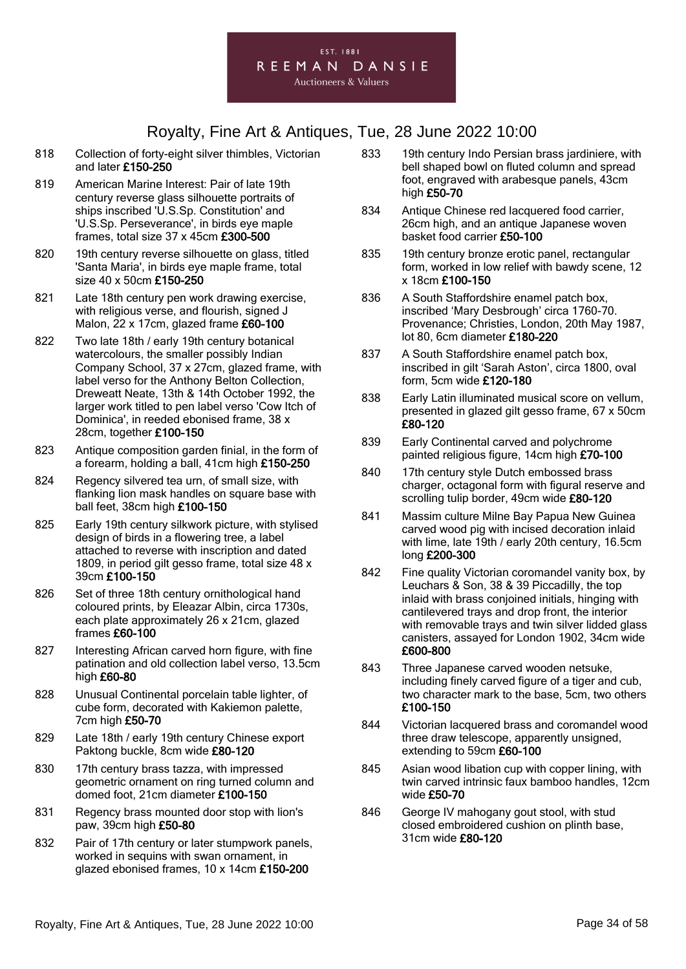

- 818 Collection of forty-eight silver thimbles, Victorian and later £150-250
- 819 American Marine Interest: Pair of late 19th century reverse glass silhouette portraits of ships inscribed 'U.S.Sp. Constitution' and 'U.S.Sp. Perseverance', in birds eye maple frames, total size 37 x 45cm £300-500
- 820 19th century reverse silhouette on glass, titled 'Santa Maria', in birds eye maple frame, total size 40 x 50cm £150-250
- 821 Late 18th century pen work drawing exercise, with religious verse, and flourish, signed J Malon, 22 x 17cm, glazed frame £60-100
- 822 Two late 18th / early 19th century botanical watercolours, the smaller possibly Indian Company School, 37 x 27cm, glazed frame, with label verso for the Anthony Belton Collection, Dreweatt Neate, 13th & 14th October 1992, the larger work titled to pen label verso 'Cow Itch of Dominica', in reeded ebonised frame, 38 x 28cm, together £100-150
- 823 Antique composition garden finial, in the form of a forearm, holding a ball, 41cm high £150-250
- 824 Regency silvered tea urn, of small size, with flanking lion mask handles on square base with ball feet, 38cm high £100-150
- 825 Early 19th century silkwork picture, with stylised design of birds in a flowering tree, a label attached to reverse with inscription and dated 1809, in period gilt gesso frame, total size 48 x 39cm £100-150
- 826 Set of three 18th century ornithological hand coloured prints, by Eleazar Albin, circa 1730s, each plate approximately 26 x 21cm, glazed frames £60-100
- 827 Interesting African carved horn figure, with fine patination and old collection label verso, 13.5cm high £60-80
- 828 Unusual Continental porcelain table lighter, of cube form, decorated with Kakiemon palette, 7cm high £50-70
- 829 Late 18th / early 19th century Chinese export Paktong buckle, 8cm wide £80-120
- 830 17th century brass tazza, with impressed geometric ornament on ring turned column and domed foot, 21cm diameter £100-150
- 831 Regency brass mounted door stop with lion's paw, 39cm high £50-80
- 832 Pair of 17th century or later stumpwork panels, worked in sequins with swan ornament, in glazed ebonised frames, 10 x 14cm £150-200
- 833 19th century Indo Persian brass jardiniere, with bell shaped bowl on fluted column and spread foot, engraved with arabesque panels, 43cm high £50-70
- 834 Antique Chinese red lacquered food carrier, 26cm high, and an antique Japanese woven basket food carrier £50-100
- 835 19th century bronze erotic panel, rectangular form, worked in low relief with bawdy scene, 12 x 18cm £100-150
- 836 A South Staffordshire enamel patch box. inscribed 'Mary Desbrough' circa 1760-70. Provenance; Christies, London, 20th May 1987, lot 80, 6cm diameter £180-220
- 837 A South Staffordshire enamel patch box, inscribed in gilt 'Sarah Aston', circa 1800, oval form, 5cm wide £120-180
- 838 Early Latin illuminated musical score on vellum, presented in glazed gilt gesso frame, 67 x 50cm £80-120
- 839 Early Continental carved and polychrome painted religious figure, 14cm high £70-100
- 840 17th century style Dutch embossed brass charger, octagonal form with figural reserve and scrolling tulip border, 49cm wide £80-120
- 841 Massim culture Milne Bay Papua New Guinea carved wood pig with incised decoration inlaid with lime, late 19th / early 20th century, 16.5cm long £200-300
- 842 Fine quality Victorian coromandel vanity box, by Leuchars & Son, 38 & 39 Piccadilly, the top inlaid with brass conjoined initials, hinging with cantilevered trays and drop front, the interior with removable trays and twin silver lidded glass canisters, assayed for London 1902, 34cm wide £600-800
- 843 Three Japanese carved wooden netsuke, including finely carved figure of a tiger and cub, two character mark to the base, 5cm, two others £100-150
- 844 Victorian lacquered brass and coromandel wood three draw telescope, apparently unsigned, extending to 59cm £60-100
- 845 Asian wood libation cup with copper lining, with twin carved intrinsic faux bamboo handles, 12cm wide £50-70
- 846 George IV mahogany gout stool, with stud closed embroidered cushion on plinth base, 31cm wide £80-120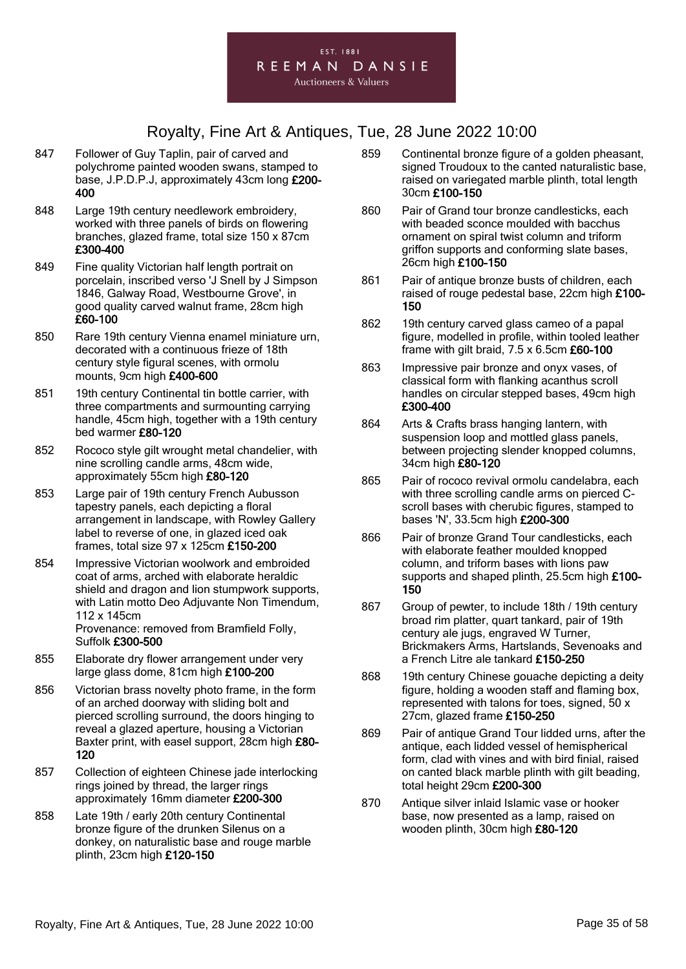

- 847 Follower of Guy Taplin, pair of carved and polychrome painted wooden swans, stamped to base, J.P.D.P.J, approximately 43cm long £200- 400
- 848 Large 19th century needlework embroidery, worked with three panels of birds on flowering branches, glazed frame, total size 150 x 87cm £300-400
- 849 Fine quality Victorian half length portrait on porcelain, inscribed verso 'J Snell by J Simpson 1846, Galway Road, Westbourne Grove', in good quality carved walnut frame, 28cm high £60-100
- 850 Rare 19th century Vienna enamel miniature urn, decorated with a continuous frieze of 18th century style figural scenes, with ormolu mounts, 9cm high £400-600
- 851 19th century Continental tin bottle carrier, with three compartments and surmounting carrying handle, 45cm high, together with a 19th century bed warmer £80-120
- 852 Rococo style gilt wrought metal chandelier, with nine scrolling candle arms, 48cm wide, approximately 55cm high £80-120
- 853 Large pair of 19th century French Aubusson tapestry panels, each depicting a floral arrangement in landscape, with Rowley Gallery label to reverse of one, in glazed iced oak frames, total size 97 x 125cm £150-200
- 854 Impressive Victorian woolwork and embroided coat of arms, arched with elaborate heraldic shield and dragon and lion stumpwork supports, with Latin motto Deo Adjuvante Non Timendum, 112 x 145cm Provenance: removed from Bramfield Folly, Suffolk £300-500
- 855 Elaborate dry flower arrangement under very large glass dome, 81cm high £100-200
- 856 Victorian brass novelty photo frame, in the form of an arched doorway with sliding bolt and pierced scrolling surround, the doors hinging to reveal a glazed aperture, housing a Victorian Baxter print, with easel support, 28cm high £80- 120
- 857 Collection of eighteen Chinese jade interlocking rings joined by thread, the larger rings approximately 16mm diameter £200-300
- 858 Late 19th / early 20th century Continental bronze figure of the drunken Silenus on a donkey, on naturalistic base and rouge marble plinth, 23cm high £120-150
- 859 Continental bronze figure of a golden pheasant, signed Troudoux to the canted naturalistic base, raised on variegated marble plinth, total length 30cm £100-150
- 860 Pair of Grand tour bronze candlesticks, each with beaded sconce moulded with bacchus ornament on spiral twist column and triform griffon supports and conforming slate bases, 26cm high £100-150
- 861 Pair of antique bronze busts of children, each raised of rouge pedestal base, 22cm high £100- 150
- 862 19th century carved glass cameo of a papal figure, modelled in profile, within tooled leather frame with gilt braid, 7.5 x 6.5cm £60-100
- 863 Impressive pair bronze and onyx vases, of classical form with flanking acanthus scroll handles on circular stepped bases, 49cm high £300-400
- 864 Arts & Crafts brass hanging lantern, with suspension loop and mottled glass panels. between projecting slender knopped columns, 34cm high £80-120
- 865 Pair of rococo revival ormolu candelabra, each with three scrolling candle arms on pierced Cscroll bases with cherubic figures, stamped to bases 'N', 33.5cm high £200-300
- 866 Pair of bronze Grand Tour candlesticks, each with elaborate feather moulded knopped column, and triform bases with lions paw supports and shaped plinth, 25.5cm high £100-150
- 867 Group of pewter, to include 18th / 19th century broad rim platter, quart tankard, pair of 19th century ale jugs, engraved W Turner, Brickmakers Arms, Hartslands, Sevenoaks and a French Litre ale tankard £150-250
- 868 19th century Chinese gouache depicting a deity figure, holding a wooden staff and flaming box, represented with talons for toes, signed, 50 x 27cm, glazed frame £150-250
- 869 Pair of antique Grand Tour lidded urns, after the antique, each lidded vessel of hemispherical form, clad with vines and with bird finial, raised on canted black marble plinth with gilt beading, total height 29cm £200-300
- 870 Antique silver inlaid Islamic vase or hooker base, now presented as a lamp, raised on wooden plinth, 30cm high £80-120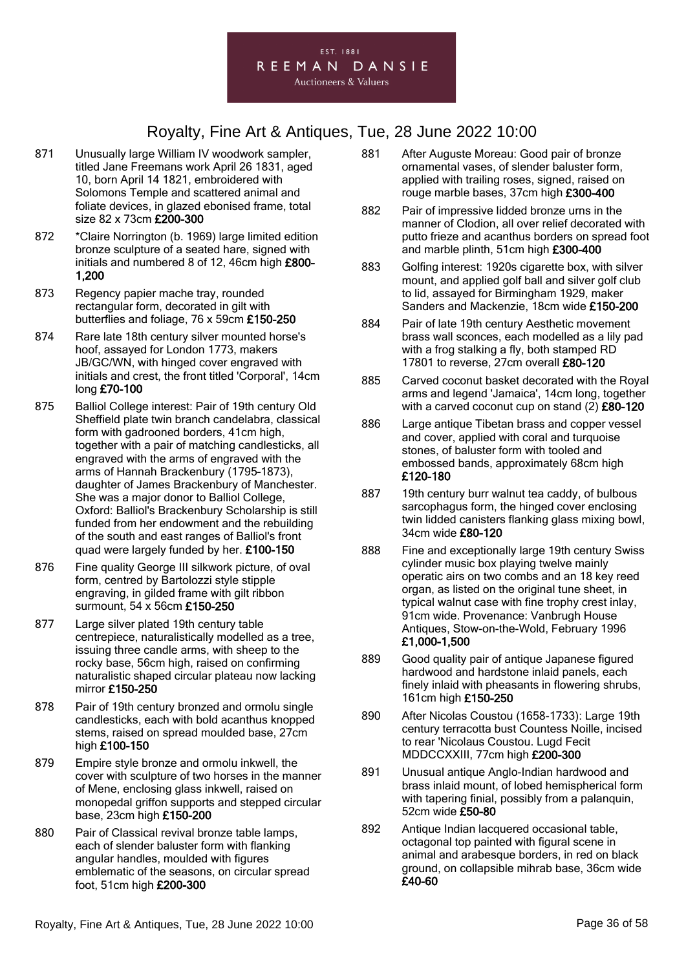

- 871 Unusually large William IV woodwork sampler, titled Jane Freemans work April 26 1831, aged 10, born April 14 1821, embroidered with Solomons Temple and scattered animal and foliate devices, in glazed ebonised frame, total size 82 x 73cm £200-300
- 872 \*Claire Norrington (b. 1969) large limited edition bronze sculpture of a seated hare, signed with initials and numbered 8 of 12, 46cm high £800- 1,200
- 873 Regency papier mache tray, rounded rectangular form, decorated in gilt with butterflies and foliage, 76 x 59cm £150-250
- 874 Rare late 18th century silver mounted horse's hoof, assayed for London 1773, makers JB/GC/WN, with hinged cover engraved with initials and crest, the front titled 'Corporal', 14cm long £70-100
- 875 Balliol College interest: Pair of 19th century Old Sheffield plate twin branch candelabra, classical form with gadrooned borders, 41cm high, together with a pair of matching candlesticks, all engraved with the arms of engraved with the arms of Hannah Brackenbury (1795–1873), daughter of James Brackenbury of Manchester. She was a major donor to Balliol College, Oxford: Balliol's Brackenbury Scholarship is still funded from her endowment and the rebuilding of the south and east ranges of Balliol's front quad were largely funded by her. £100-150
- 876 Fine quality George III silkwork picture, of oval form, centred by Bartolozzi style stipple engraving, in gilded frame with gilt ribbon surmount, 54 x 56cm £150-250
- 877 Large silver plated 19th century table centrepiece, naturalistically modelled as a tree, issuing three candle arms, with sheep to the rocky base, 56cm high, raised on confirming naturalistic shaped circular plateau now lacking mirror £150-250
- 878 Pair of 19th century bronzed and ormolu single candlesticks, each with bold acanthus knopped stems, raised on spread moulded base, 27cm high £100-150
- 879 Empire style bronze and ormolu inkwell, the cover with sculpture of two horses in the manner of Mene, enclosing glass inkwell, raised on monopedal griffon supports and stepped circular base, 23cm high £150-200
- 880 Pair of Classical revival bronze table lamps, each of slender baluster form with flanking angular handles, moulded with figures emblematic of the seasons, on circular spread foot, 51cm high £200-300
- 881 After Auguste Moreau: Good pair of bronze ornamental vases, of slender baluster form, applied with trailing roses, signed, raised on rouge marble bases, 37cm high £300-400
- 882 Pair of impressive lidded bronze urns in the manner of Clodion, all over relief decorated with putto frieze and acanthus borders on spread foot and marble plinth, 51cm high £300-400
- 883 Golfing interest: 1920s cigarette box, with silver mount, and applied golf ball and silver golf club to lid, assayed for Birmingham 1929, maker Sanders and Mackenzie, 18cm wide £150-200
- 884 Pair of late 19th century Aesthetic movement brass wall sconces, each modelled as a lily pad with a frog stalking a fly, both stamped RD 17801 to reverse, 27cm overall £80-120
- 885 Carved coconut basket decorated with the Royal arms and legend 'Jamaica', 14cm long, together with a carved coconut cup on stand (2) £80-120
- 886 Large antique Tibetan brass and copper vessel and cover, applied with coral and turquoise stones, of baluster form with tooled and embossed bands, approximately 68cm high £120-180
- 887 19th century burr walnut tea caddy, of bulbous sarcophagus form, the hinged cover enclosing twin lidded canisters flanking glass mixing bowl, 34cm wide £80-120
- 888 Fine and exceptionally large 19th century Swiss cylinder music box playing twelve mainly operatic airs on two combs and an 18 key reed organ, as listed on the original tune sheet, in typical walnut case with fine trophy crest inlay, 91cm wide. Provenance: Vanbrugh House Antiques, Stow-on-the-Wold, February 1996 £1,000-1,500
- 889 Good quality pair of antique Japanese figured hardwood and hardstone inlaid panels, each finely inlaid with pheasants in flowering shrubs, 161cm high £150-250
- 890 After Nicolas Coustou (1658-1733): Large 19th century terracotta bust Countess Noille, incised to rear 'Nicolaus Coustou. Lugd Fecit MDDCCXXIII, 77cm high £200-300
- 891 Unusual antique Anglo-Indian hardwood and brass inlaid mount, of lobed hemispherical form with tapering finial, possibly from a palanquin, 52cm wide £50-80
- 892 Antique Indian lacquered occasional table, octagonal top painted with figural scene in animal and arabesque borders, in red on black ground, on collapsible mihrab base, 36cm wide £40-60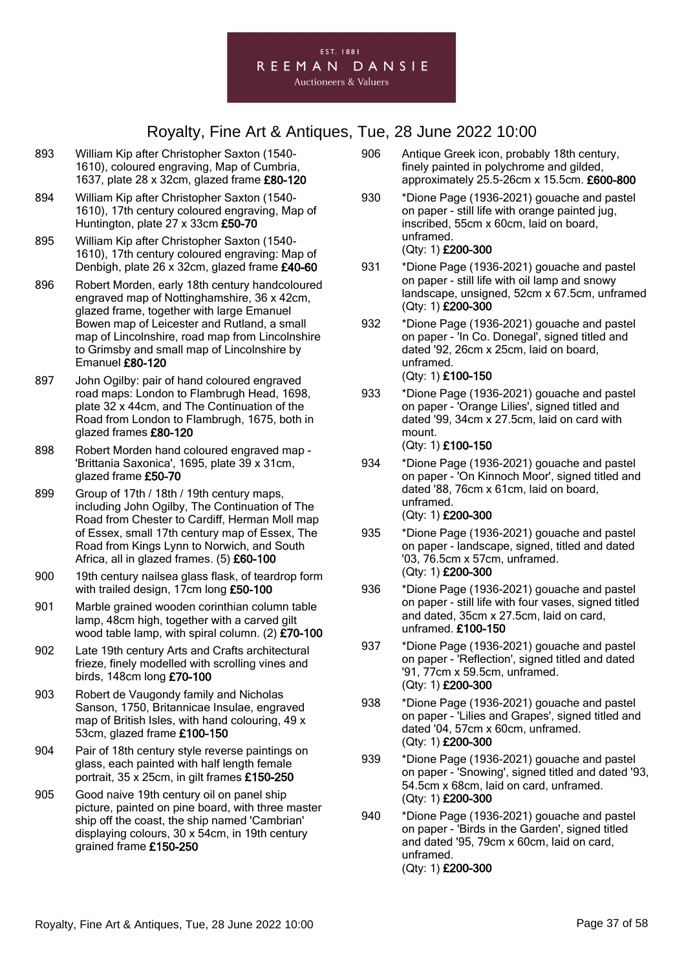

- 893 William Kip after Christopher Saxton (1540- 1610), coloured engraving, Map of Cumbria, 1637, plate 28 x 32cm, glazed frame £80-120
- 894 William Kip after Christopher Saxton (1540- 1610), 17th century coloured engraving, Map of Huntington, plate 27 x 33cm £50-70
- 895 William Kip after Christopher Saxton (1540- 1610), 17th century coloured engraving: Map of Denbigh, plate 26 x 32cm, glazed frame £40-60
- 896 Robert Morden, early 18th century handcoloured engraved map of Nottinghamshire, 36 x 42cm, glazed frame, together with large Emanuel Bowen map of Leicester and Rutland, a small map of Lincolnshire, road map from Lincolnshire to Grimsby and small map of Lincolnshire by Emanuel £80-120
- 897 John Ogilby: pair of hand coloured engraved road maps: London to Flambrugh Head, 1698, plate 32 x 44cm, and The Continuation of the Road from London to Flambrugh, 1675, both in glazed frames £80-120
- 898 Robert Morden hand coloured engraved map 'Brittania Saxonica', 1695, plate 39 x 31cm, glazed frame £50-70
- 899 Group of 17th / 18th / 19th century maps, including John Ogilby, The Continuation of The Road from Chester to Cardiff, Herman Moll map of Essex, small 17th century map of Essex, The Road from Kings Lynn to Norwich, and South Africa, all in glazed frames. (5) £60-100
- 900 19th century nailsea glass flask, of teardrop form with trailed design, 17cm long £50-100
- 901 Marble grained wooden corinthian column table lamp, 48cm high, together with a carved gilt wood table lamp, with spiral column. (2) £70-100
- 902 Late 19th century Arts and Crafts architectural frieze, finely modelled with scrolling vines and birds, 148cm long £70-100
- 903 Robert de Vaugondy family and Nicholas Sanson, 1750, Britannicae Insulae, engraved map of British Isles, with hand colouring, 49 x 53cm, glazed frame £100-150
- 904 Pair of 18th century style reverse paintings on glass, each painted with half length female portrait, 35 x 25cm, in gilt frames £150-250
- 905 Good naive 19th century oil on panel ship picture, painted on pine board, with three master ship off the coast, the ship named 'Cambrian' displaying colours, 30 x 54cm, in 19th century grained frame £150-250
- 906 Antique Greek icon, probably 18th century, finely painted in polychrome and gilded, approximately 25.5-26cm x 15.5cm. £600-800
- 930 \*Dione Page (1936-2021) gouache and pastel on paper - still life with orange painted jug, inscribed, 55cm x 60cm, laid on board, unframed. (Qty: 1) £200-300
- 931 \*Dione Page (1936-2021) gouache and pastel on paper - still life with oil lamp and snowy landscape, unsigned, 52cm x 67.5cm, unframed (Qty: 1) £200-300
- 932 \*Dione Page (1936-2021) gouache and pastel on paper - 'In Co. Donegal', signed titled and dated '92, 26cm x 25cm, laid on board, unframed. (Qty: 1) £100-150
- 933 \*Dione Page (1936-2021) gouache and pastel on paper - 'Orange Lilies', signed titled and dated '99, 34cm x 27.5cm, laid on card with mount. (Qty: 1) £100-150
- 934 \*Dione Page (1936-2021) gouache and pastel on paper - 'On Kinnoch Moor', signed titled and dated '88, 76cm x 61cm, laid on board, unframed. (Qty: 1) £200-300
- 935 \*Dione Page (1936-2021) gouache and pastel on paper - landscape, signed, titled and dated '03, 76.5cm x 57cm, unframed. (Qty: 1) £200-300
- 936 \*Dione Page (1936-2021) gouache and pastel on paper - still life with four vases, signed titled and dated, 35cm x 27.5cm, laid on card, unframed. £100-150
- 937 \*Dione Page (1936-2021) gouache and pastel on paper - 'Reflection', signed titled and dated '91, 77cm x 59.5cm, unframed. (Qty: 1) £200-300
- 938 \*Dione Page (1936-2021) gouache and pastel on paper - 'Lilies and Grapes', signed titled and dated '04, 57cm x 60cm, unframed. (Qty: 1) £200-300
- 939 \*Dione Page (1936-2021) gouache and pastel on paper - 'Snowing', signed titled and dated '93, 54.5cm x 68cm, laid on card, unframed. (Qty: 1) £200-300
- 940 \*Dione Page (1936-2021) gouache and pastel on paper - 'Birds in the Garden', signed titled and dated '95, 79cm x 60cm, laid on card, unframed. (Qty: 1) £200-300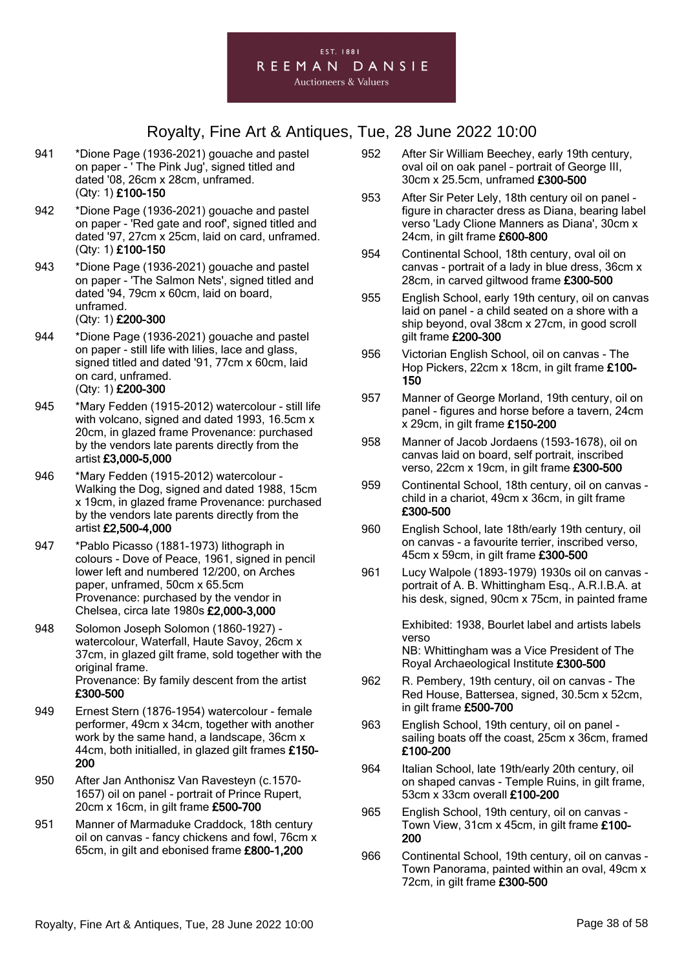

- 941 \*Dione Page (1936-2021) gouache and pastel on paper - ' The Pink Jug', signed titled and dated '08, 26cm x 28cm, unframed. (Qty: 1) £100-150
- 942 \*Dione Page (1936-2021) gouache and pastel on paper - 'Red gate and roof', signed titled and dated '97, 27cm x 25cm, laid on card, unframed. (Qty: 1) £100-150
- 943 \*Dione Page (1936-2021) gouache and pastel on paper - 'The Salmon Nets', signed titled and dated '94, 79cm x 60cm, laid on board, unframed.

#### (Qty: 1) £200-300

- 944 \*Dione Page (1936-2021) gouache and pastel on paper - still life with lilies, lace and glass, signed titled and dated '91, 77cm x 60cm, laid on card, unframed. (Qty: 1) £200-300
- 945 \*Mary Fedden (1915-2012) watercolour still life with volcano, signed and dated 1993, 16.5cm x 20cm, in glazed frame Provenance: purchased by the vendors late parents directly from the artist £3,000-5,000
- 946 \*Mary Fedden (1915-2012) watercolour Walking the Dog, signed and dated 1988, 15cm x 19cm, in glazed frame Provenance: purchased by the vendors late parents directly from the artist £2,500-4,000
- 947 \*Pablo Picasso (1881-1973) lithograph in colours - Dove of Peace, 1961, signed in pencil lower left and numbered 12/200, on Arches paper, unframed, 50cm x 65.5cm Provenance: purchased by the vendor in Chelsea, circa late 1980s £2,000-3,000
- 948 Solomon Joseph Solomon (1860-1927) watercolour, Waterfall, Haute Savoy, 26cm x 37cm, in glazed gilt frame, sold together with the original frame. Provenance: By family descent from the artist £300-500
- 949 Ernest Stern (1876-1954) watercolour female performer, 49cm x 34cm, together with another work by the same hand, a landscape, 36cm x 44cm, both initialled, in glazed gilt frames £150-200
- 950 After Jan Anthonisz Van Ravesteyn (c.1570- 1657) oil on panel - portrait of Prince Rupert, 20cm x 16cm, in gilt frame £500-700
- 951 Manner of Marmaduke Craddock, 18th century oil on canvas - fancy chickens and fowl, 76cm x 65cm, in gilt and ebonised frame £800-1,200
- 952 After Sir William Beechey, early 19th century, oval oil on oak panel – portrait of George III, 30cm x 25.5cm, unframed £300-500
- 953 After Sir Peter Lely, 18th century oil on panel figure in character dress as Diana, bearing label verso 'Lady Clione Manners as Diana', 30cm x 24cm, in gilt frame £600-800
- 954 Continental School, 18th century, oval oil on canvas - portrait of a lady in blue dress, 36cm x 28cm, in carved giltwood frame £300-500
- 955 English School, early 19th century, oil on canvas laid on panel - a child seated on a shore with a ship beyond, oval 38cm x 27cm, in good scroll gilt frame £200-300
- 956 Victorian English School, oil on canvas The Hop Pickers, 22cm x 18cm, in gilt frame £100- 150
- 957 Manner of George Morland, 19th century, oil on panel - figures and horse before a tavern, 24cm x 29cm, in gilt frame £150-200
- 958 Manner of Jacob Jordaens (1593-1678), oil on canvas laid on board, self portrait, inscribed verso, 22cm x 19cm, in gilt frame £300-500
- 959 Continental School, 18th century, oil on canvas child in a chariot, 49cm x 36cm, in gilt frame £300-500
- 960 English School, late 18th/early 19th century, oil on canvas - a favourite terrier, inscribed verso, 45cm x 59cm, in gilt frame £300-500
- 961 Lucy Walpole (1893-1979) 1930s oil on canvas portrait of A. B. Whittingham Esq., A.R.I.B.A. at his desk, signed, 90cm x 75cm, in painted frame

Exhibited: 1938, Bourlet label and artists labels verso NB: Whittingham was a Vice President of The

Royal Archaeological Institute £300-500

- 962 R. Pembery, 19th century, oil on canvas The Red House, Battersea, signed, 30.5cm x 52cm, in gilt frame £500-700
- 963 English School, 19th century, oil on panel sailing boats off the coast, 25cm x 36cm, framed £100-200
- 964 Italian School, late 19th/early 20th century, oil on shaped canvas - Temple Ruins, in gilt frame, 53cm x 33cm overall £100-200
- 965 English School, 19th century, oil on canvas Town View, 31cm x 45cm, in gilt frame £100- 200
- 966 Continental School, 19th century, oil on canvas Town Panorama, painted within an oval, 49cm x 72cm, in gilt frame £300-500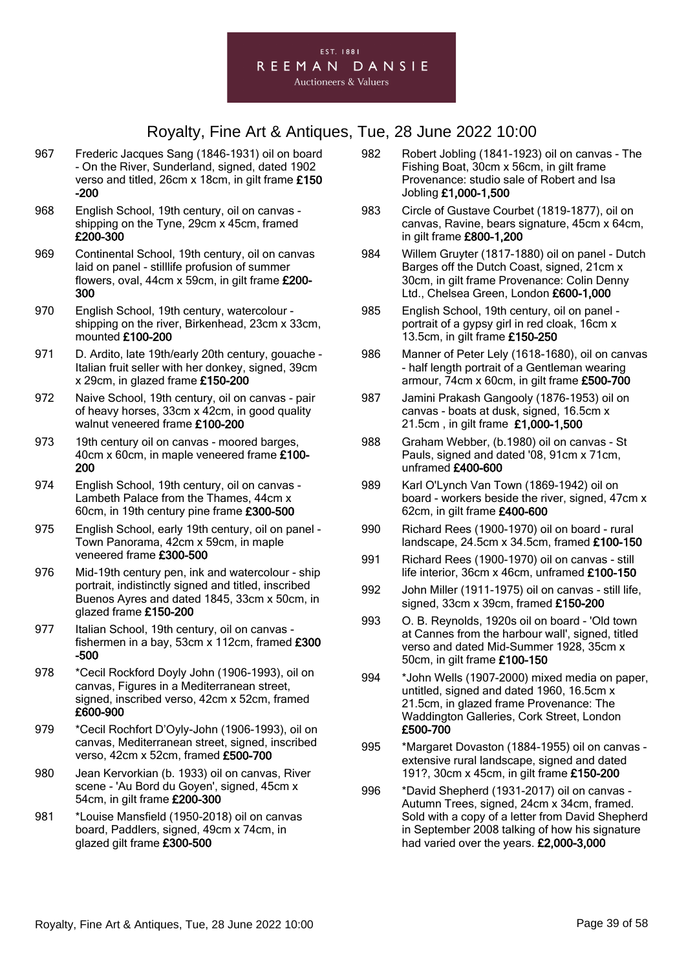- 967 Frederic Jacques Sang (1846-1931) oil on board - On the River, Sunderland, signed, dated 1902 verso and titled, 26cm x 18cm, in gilt frame £150 -200
- 968 English School, 19th century, oil on canvas shipping on the Tyne, 29cm x 45cm, framed £200-300
- 969 Continental School, 19th century, oil on canvas laid on panel - stilllife profusion of summer flowers, oval, 44cm x 59cm, in gilt frame £200- 300
- 970 English School, 19th century, watercolour shipping on the river, Birkenhead, 23cm x 33cm, mounted £100-200
- 971 D. Ardito, late 19th/early 20th century, gouache Italian fruit seller with her donkey, signed, 39cm x 29cm, in glazed frame £150-200
- 972 Naive School, 19th century, oil on canvas pair of heavy horses, 33cm x 42cm, in good quality walnut veneered frame £100-200
- 973 19th century oil on canvas moored barges, 40cm x 60cm, in maple veneered frame £100- 200
- 974 English School, 19th century, oil on canvas Lambeth Palace from the Thames, 44cm x 60cm, in 19th century pine frame £300-500
- 975 English School, early 19th century, oil on panel Town Panorama, 42cm x 59cm, in maple veneered frame £300-500
- 976 Mid-19th century pen, ink and watercolour ship portrait, indistinctly signed and titled, inscribed Buenos Ayres and dated 1845, 33cm x 50cm, in glazed frame £150-200
- 977 Italian School, 19th century, oil on canvas fishermen in a bay, 53cm x 112cm, framed £300 -500
- 978 \*Cecil Rockford Doyly John (1906-1993), oil on canvas, Figures in a Mediterranean street, signed, inscribed verso, 42cm x 52cm, framed £600-900
- 979 \*Cecil Rochfort D'Oyly-John (1906-1993), oil on canvas, Mediterranean street, signed, inscribed verso, 42cm x 52cm, framed £500-700
- 980 Jean Kervorkian (b. 1933) oil on canvas, River scene - 'Au Bord du Goyen', signed, 45cm x 54cm, in gilt frame £200-300
- 981 \*Louise Mansfield (1950-2018) oil on canvas board, Paddlers, signed, 49cm x 74cm, in glazed gilt frame £300-500
- 982 Robert Jobling (1841-1923) oil on canvas The Fishing Boat, 30cm x 56cm, in gilt frame Provenance: studio sale of Robert and Isa Jobling £1,000-1,500
- 983 Circle of Gustave Courbet (1819-1877), oil on canvas, Ravine, bears signature, 45cm x 64cm, in gilt frame £800-1,200
- 984 Willem Gruyter (1817-1880) oil on panel Dutch Barges off the Dutch Coast, signed, 21cm x 30cm, in gilt frame Provenance: Colin Denny Ltd., Chelsea Green, London £600-1,000
- 985 English School, 19th century, oil on panel portrait of a gypsy girl in red cloak, 16cm x 13.5cm, in gilt frame £150-250
- 986 Manner of Peter Lely (1618-1680), oil on canvas - half length portrait of a Gentleman wearing armour, 74cm x 60cm, in gilt frame £500-700
- 987 Jamini Prakash Gangooly (1876-1953) oil on canvas - boats at dusk, signed, 16.5cm x 21.5cm , in gilt frame £1,000-1,500
- 988 Graham Webber, (b.1980) oil on canvas St Pauls, signed and dated '08, 91cm x 71cm, unframed £400-600
- 989 Karl O'Lynch Van Town (1869-1942) oil on board - workers beside the river, signed, 47cm x 62cm, in gilt frame £400-600
- 990 Richard Rees (1900-1970) oil on board rural landscape, 24.5cm x 34.5cm, framed £100-150
- 991 Richard Rees (1900-1970) oil on canvas still life interior, 36cm x 46cm, unframed £100-150
- 992 John Miller (1911-1975) oil on canvas still life, signed, 33cm x 39cm, framed £150-200
- 993 O. B. Reynolds, 1920s oil on board 'Old town at Cannes from the harbour wall', signed, titled verso and dated Mid-Summer 1928, 35cm x 50cm, in gilt frame £100-150
- 994 \*John Wells (1907-2000) mixed media on paper, untitled, signed and dated 1960, 16.5cm x 21.5cm, in glazed frame Provenance: The Waddington Galleries, Cork Street, London £500-700
- 995 \*Margaret Dovaston (1884-1955) oil on canvas extensive rural landscape, signed and dated 191?, 30cm x 45cm, in gilt frame £150-200
- 996 \*David Shepherd (1931-2017) oil on canvas Autumn Trees, signed, 24cm x 34cm, framed. Sold with a copy of a letter from David Shepherd in September 2008 talking of how his signature had varied over the years. £2,000-3,000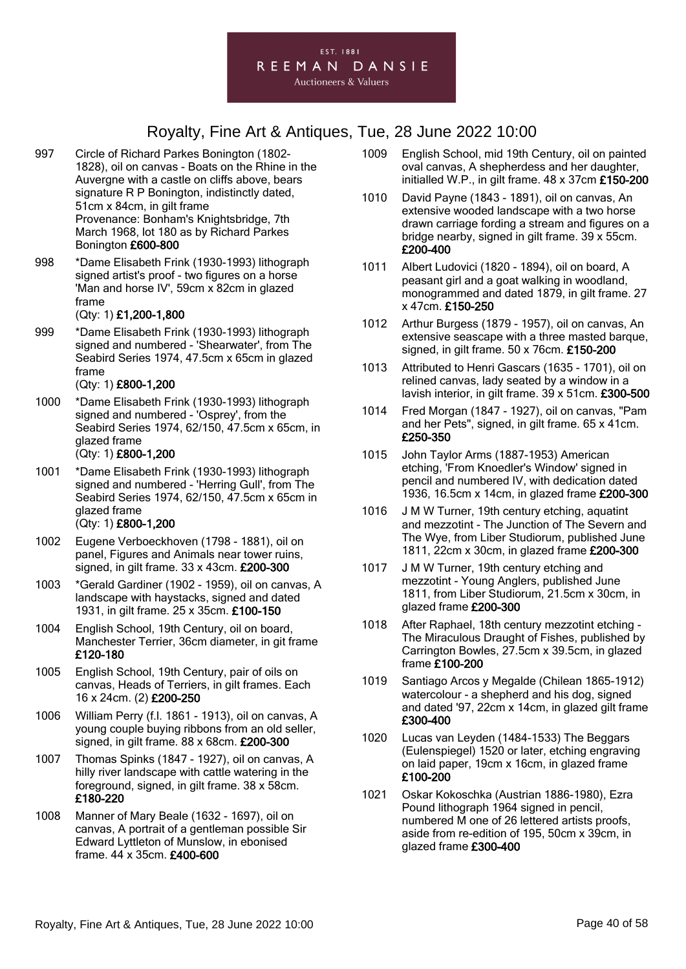

- 997 Circle of Richard Parkes Bonington (1802- 1828), oil on canvas - Boats on the Rhine in the Auvergne with a castle on cliffs above, bears signature R P Bonington, indistinctly dated, 51cm x 84cm, in gilt frame Provenance: Bonham's Knightsbridge, 7th March 1968, lot 180 as by Richard Parkes Bonington £600-800
- 998 \*Dame Elisabeth Frink (1930-1993) lithograph signed artist's proof - two figures on a horse 'Man and horse IV', 59cm x 82cm in glazed frame

#### (Qty: 1) £1,200-1,800

999 \*Dame Elisabeth Frink (1930-1993) lithograph signed and numbered - 'Shearwater', from The Seabird Series 1974, 47.5cm x 65cm in glazed frame

#### (Qty: 1) £800-1,200

- 1000 \*Dame Elisabeth Frink (1930-1993) lithograph signed and numbered - 'Osprey', from the Seabird Series 1974, 62/150, 47.5cm x 65cm, in glazed frame (Qty: 1) £800-1,200
- 1001 \*Dame Elisabeth Frink (1930-1993) lithograph signed and numbered - 'Herring Gull', from The Seabird Series 1974, 62/150, 47.5cm x 65cm in glazed frame

#### (Qty: 1) £800-1,200

- 1002 Eugene Verboeckhoven (1798 1881), oil on panel, Figures and Animals near tower ruins, signed, in gilt frame. 33 x 43cm. £200-300
- 1003 \*Gerald Gardiner (1902 1959), oil on canvas, A landscape with haystacks, signed and dated 1931, in gilt frame. 25 x 35cm. £100-150
- 1004 English School, 19th Century, oil on board, Manchester Terrier, 36cm diameter, in git frame £120-180
- 1005 English School, 19th Century, pair of oils on canvas, Heads of Terriers, in gilt frames. Each 16 x 24cm. (2) £200-250
- 1006 William Perry (f.l. 1861 1913), oil on canvas, A young couple buying ribbons from an old seller, signed, in gilt frame. 88 x 68cm. £200-300
- 1007 Thomas Spinks (1847 1927), oil on canvas, A hilly river landscape with cattle watering in the foreground, signed, in gilt frame. 38 x 58cm. £180-220
- 1008 Manner of Mary Beale (1632 1697), oil on canvas, A portrait of a gentleman possible Sir Edward Lyttleton of Munslow, in ebonised frame. 44 x 35cm. £400-600
- 1009 English School, mid 19th Century, oil on painted oval canvas, A shepherdess and her daughter, initialled W.P., in gilt frame. 48 x 37cm £150-200
- 1010 David Payne (1843 1891), oil on canvas, An extensive wooded landscape with a two horse drawn carriage fording a stream and figures on a bridge nearby, signed in gilt frame. 39 x 55cm. £200-400
- 1011 Albert Ludovici (1820 1894), oil on board, A peasant girl and a goat walking in woodland, monogrammed and dated 1879, in gilt frame. 27 x 47cm. £150-250
- 1012 Arthur Burgess (1879 1957), oil on canvas, An extensive seascape with a three masted barque, signed, in gilt frame. 50 x 76cm. £150-200
- 1013 Attributed to Henri Gascars (1635 1701), oil on relined canvas, lady seated by a window in a lavish interior, in gilt frame. 39 x 51cm. £300-500
- 1014 Fred Morgan (1847 1927), oil on canvas, "Pam and her Pets", signed, in gilt frame. 65 x 41cm. £250-350
- 1015 John Taylor Arms (1887-1953) American etching, 'From Knoedler's Window' signed in pencil and numbered IV, with dedication dated 1936, 16.5cm x 14cm, in glazed frame £200-300
- 1016 J M W Turner, 19th century etching, aquatint and mezzotint - The Junction of The Severn and The Wye, from Liber Studiorum, published June 1811, 22cm x 30cm, in glazed frame £200-300
- 1017 J M W Turner, 19th century etching and mezzotint - Young Anglers, published June 1811, from Liber Studiorum, 21.5cm x 30cm, in glazed frame £200-300
- 1018 After Raphael, 18th century mezzotint etching The Miraculous Draught of Fishes, published by Carrington Bowles, 27.5cm x 39.5cm, in glazed frame £100-200
- 1019 Santiago Arcos y Megalde (Chilean 1865-1912) watercolour - a shepherd and his dog, signed and dated '97, 22cm x 14cm, in glazed gilt frame £300-400
- 1020 Lucas van Leyden (1484-1533) The Beggars (Eulenspiegel) 1520 or later, etching engraving on laid paper, 19cm x 16cm, in glazed frame £100-200
- 1021 Oskar Kokoschka (Austrian 1886-1980), Ezra Pound lithograph 1964 signed in pencil, numbered M one of 26 lettered artists proofs, aside from re-edition of 195, 50cm x 39cm, in glazed frame £300-400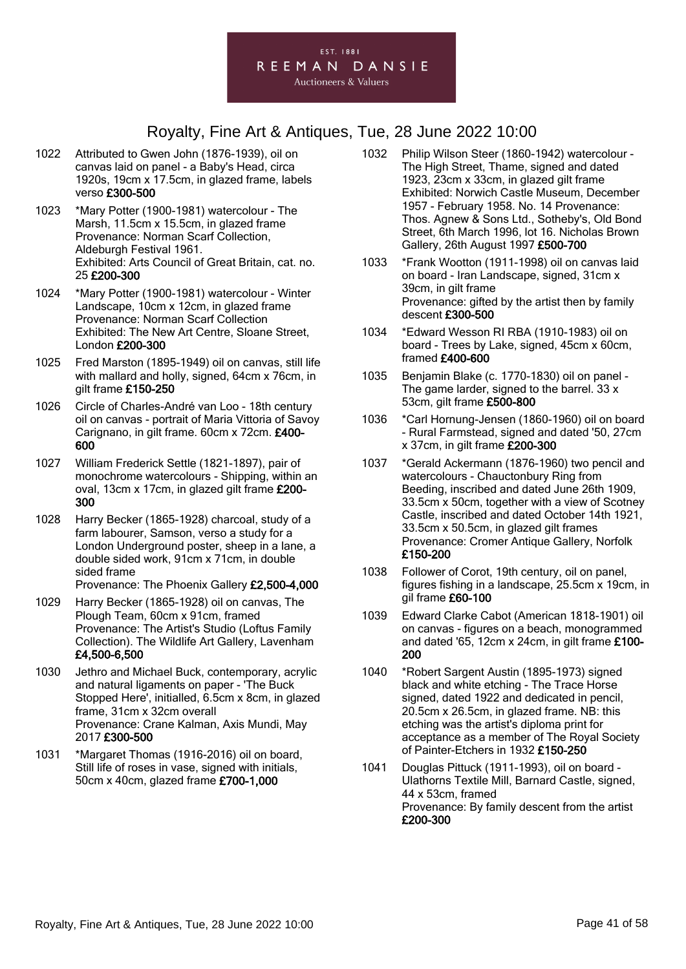

- 1022 Attributed to Gwen John (1876-1939), oil on canvas laid on panel - a Baby's Head, circa 1920s, 19cm x 17.5cm, in glazed frame, labels verso £300-500
- 1023 \*Mary Potter (1900-1981) watercolour The Marsh, 11.5cm x 15.5cm, in glazed frame Provenance: Norman Scarf Collection, Aldeburgh Festival 1961. Exhibited: Arts Council of Great Britain, cat. no. 25 £200-300
- 1024 \*Mary Potter (1900-1981) watercolour Winter Landscape, 10cm x 12cm, in glazed frame Provenance: Norman Scarf Collection Exhibited: The New Art Centre, Sloane Street, London £200-300
- 1025 Fred Marston (1895-1949) oil on canvas, still life with mallard and holly, signed, 64cm x 76cm, in gilt frame £150-250
- 1026 Circle of Charles-André van Loo 18th century oil on canvas - portrait of Maria Vittoria of Savoy Carignano, in gilt frame. 60cm x 72cm. £400- 600
- 1027 William Frederick Settle (1821-1897), pair of monochrome watercolours - Shipping, within an oval, 13cm x 17cm, in glazed gilt frame £200- 300
- 1028 Harry Becker (1865-1928) charcoal, study of a farm labourer, Samson, verso a study for a London Underground poster, sheep in a lane, a double sided work, 91cm x 71cm, in double sided frame
	- Provenance: The Phoenix Gallery £2,500-4,000
- 1029 Harry Becker (1865-1928) oil on canvas, The Plough Team, 60cm x 91cm, framed Provenance: The Artist's Studio (Loftus Family Collection). The Wildlife Art Gallery, Lavenham £4,500-6,500
- 1030 Jethro and Michael Buck, contemporary, acrylic and natural ligaments on paper - 'The Buck Stopped Here', initialled, 6.5cm x 8cm, in glazed frame, 31cm x 32cm overall Provenance: Crane Kalman, Axis Mundi, May 2017 £300-500
- 1031 \*Margaret Thomas (1916-2016) oil on board, Still life of roses in vase, signed with initials, 50cm x 40cm, glazed frame £700-1,000
- 1032 Philip Wilson Steer (1860-1942) watercolour The High Street, Thame, signed and dated 1923, 23cm x 33cm, in glazed gilt frame Exhibited: Norwich Castle Museum, December 1957 - February 1958. No. 14 Provenance: Thos. Agnew & Sons Ltd., Sotheby's, Old Bond Street, 6th March 1996, lot 16. Nicholas Brown Gallery, 26th August 1997 £500-700
- 1033 \*Frank Wootton (1911-1998) oil on canvas laid on board - Iran Landscape, signed, 31cm x 39cm, in gilt frame Provenance: gifted by the artist then by family descent £300-500
- 1034 \*Edward Wesson RI RBA (1910-1983) oil on board - Trees by Lake, signed, 45cm x 60cm, framed £400-600
- 1035 Benjamin Blake (c. 1770-1830) oil on panel The game larder, signed to the barrel. 33 x 53cm, gilt frame £500-800
- 1036 \*Carl Hornung-Jensen (1860-1960) oil on board - Rural Farmstead, signed and dated '50, 27cm x 37cm, in gilt frame £200-300
- 1037 \*Gerald Ackermann (1876-1960) two pencil and watercolours - Chauctonbury Ring from Beeding, inscribed and dated June 26th 1909, 33.5cm x 50cm, together with a view of Scotney Castle, inscribed and dated October 14th 1921, 33.5cm x 50.5cm, in glazed gilt frames Provenance: Cromer Antique Gallery, Norfolk £150-200
- 1038 Follower of Corot, 19th century, oil on panel, figures fishing in a landscape, 25.5cm x 19cm, in gil frame £60-100
- 1039 Edward Clarke Cabot (American 1818-1901) oil on canvas - figures on a beach, monogrammed and dated '65, 12cm x 24cm, in gilt frame £100- 200
- 1040 \*Robert Sargent Austin (1895-1973) signed black and white etching - The Trace Horse signed, dated 1922 and dedicated in pencil, 20.5cm x 26.5cm, in glazed frame. NB: this etching was the artist's diploma print for acceptance as a member of The Royal Society of Painter-Etchers in 1932 £150-250
- 1041 Douglas Pittuck (1911-1993), oil on board Ulathorns Textile Mill, Barnard Castle, signed, 44 x 53cm, framed Provenance: By family descent from the artist £200-300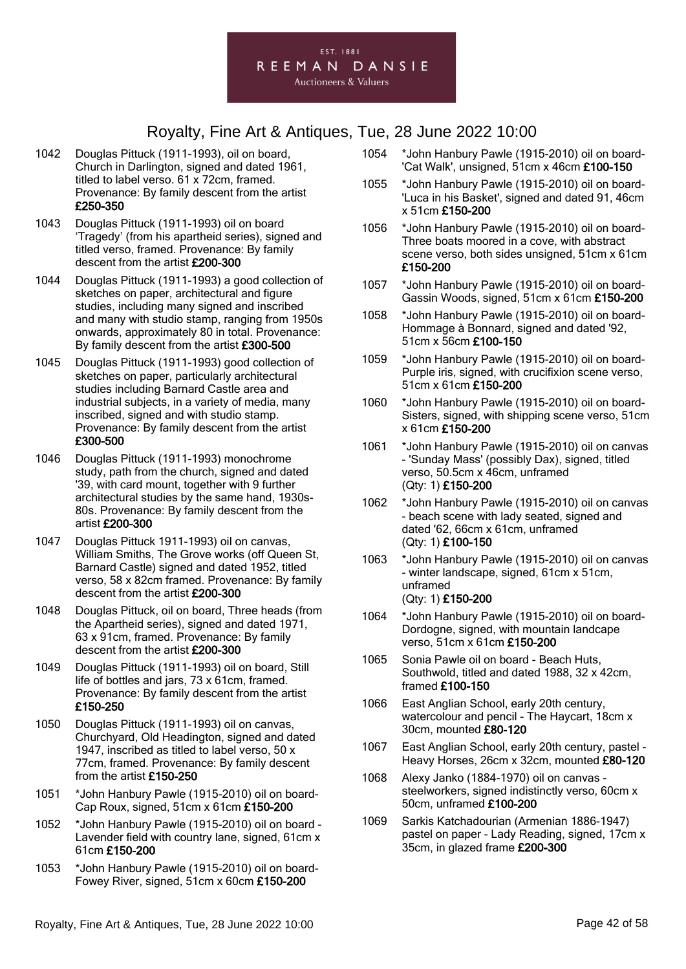

- 1042 Douglas Pittuck (1911-1993), oil on board, Church in Darlington, signed and dated 1961, titled to label verso. 61 x 72cm, framed. Provenance: By family descent from the artist £250-350
- 1043 Douglas Pittuck (1911-1993) oil on board 'Tragedy' (from his apartheid series), signed and titled verso, framed. Provenance: By family descent from the artist £200-300
- 1044 Douglas Pittuck (1911-1993) a good collection of sketches on paper, architectural and figure studies, including many signed and inscribed and many with studio stamp, ranging from 1950s onwards, approximately 80 in total. Provenance: By family descent from the artist £300-500
- 1045 Douglas Pittuck (1911-1993) good collection of sketches on paper, particularly architectural studies including Barnard Castle area and industrial subjects, in a variety of media, many inscribed, signed and with studio stamp. Provenance: By family descent from the artist £300-500
- 1046 Douglas Pittuck (1911-1993) monochrome study, path from the church, signed and dated '39, with card mount, together with 9 further architectural studies by the same hand, 1930s-80s. Provenance: By family descent from the artist £200-300
- 1047 Douglas Pittuck 1911-1993) oil on canvas, William Smiths, The Grove works (off Queen St, Barnard Castle) signed and dated 1952, titled verso, 58 x 82cm framed. Provenance: By family descent from the artist £200-300
- 1048 Douglas Pittuck, oil on board, Three heads (from the Apartheid series), signed and dated 1971, 63 x 91cm, framed. Provenance: By family descent from the artist £200-300
- 1049 Douglas Pittuck (1911-1993) oil on board, Still life of bottles and jars, 73 x 61cm, framed. Provenance: By family descent from the artist £150-250
- 1050 Douglas Pittuck (1911-1993) oil on canvas, Churchyard, Old Headington, signed and dated 1947, inscribed as titled to label verso, 50 x 77cm, framed. Provenance: By family descent from the artist £150-250
- 1051 \*John Hanbury Pawle (1915-2010) oil on board-Cap Roux, signed, 51cm x 61cm £150-200
- 1052 \*John Hanbury Pawle (1915-2010) oil on board Lavender field with country lane, signed, 61cm x 61cm £150-200
- 1053 \*John Hanbury Pawle (1915-2010) oil on board-Fowey River, signed, 51cm x 60cm £150-200
- 1054 \*John Hanbury Pawle (1915-2010) oil on board- 'Cat Walk', unsigned, 51cm x 46cm £100-150
- 1055 \*John Hanbury Pawle (1915-2010) oil on board- 'Luca in his Basket', signed and dated 91, 46cm x 51cm £150-200
- 1056 \*John Hanbury Pawle (1915-2010) oil on board-Three boats moored in a cove, with abstract scene verso, both sides unsigned, 51cm x 61cm £150-200
- 1057 \*John Hanbury Pawle (1915-2010) oil on board-Gassin Woods, signed, 51cm x 61cm £150-200
- 1058 \*John Hanbury Pawle (1915-2010) oil on board-Hommage à Bonnard, signed and dated '92, 51cm x 56cm £100-150
- 1059 \*John Hanbury Pawle (1915-2010) oil on board-Purple iris, signed, with crucifixion scene verso, 51cm x 61cm £150-200
- 1060 \*John Hanbury Pawle (1915-2010) oil on board-Sisters, signed, with shipping scene verso, 51cm x 61cm £150-200
- 1061 \*John Hanbury Pawle (1915-2010) oil on canvas - 'Sunday Mass' (possibly Dax), signed, titled verso, 50.5cm x 46cm, unframed (Qty: 1) £150-200
- 1062 \*John Hanbury Pawle (1915-2010) oil on canvas - beach scene with lady seated, signed and dated '62, 66cm x 61cm, unframed (Qty: 1) £100-150
- 1063 \*John Hanbury Pawle (1915-2010) oil on canvas - winter landscape, signed, 61cm x 51cm, unframed (Qty: 1) £150-200
- 1064 \*John Hanbury Pawle (1915-2010) oil on board-Dordogne, signed, with mountain landcape verso, 51cm x 61cm £150-200
- 1065 Sonia Pawle oil on board Beach Huts, Southwold, titled and dated 1988, 32 x 42cm, framed £100-150
- 1066 East Anglian School, early 20th century, watercolour and pencil - The Haycart, 18cm x 30cm, mounted £80-120
- 1067 East Anglian School, early 20th century, pastel Heavy Horses, 26cm x 32cm, mounted £80-120
- 1068 Alexy Janko (1884-1970) oil on canvas steelworkers, signed indistinctly verso, 60cm x 50cm, unframed £100-200
- 1069 Sarkis Katchadourian (Armenian 1886-1947) pastel on paper - Lady Reading, signed, 17cm x 35cm, in glazed frame £200-300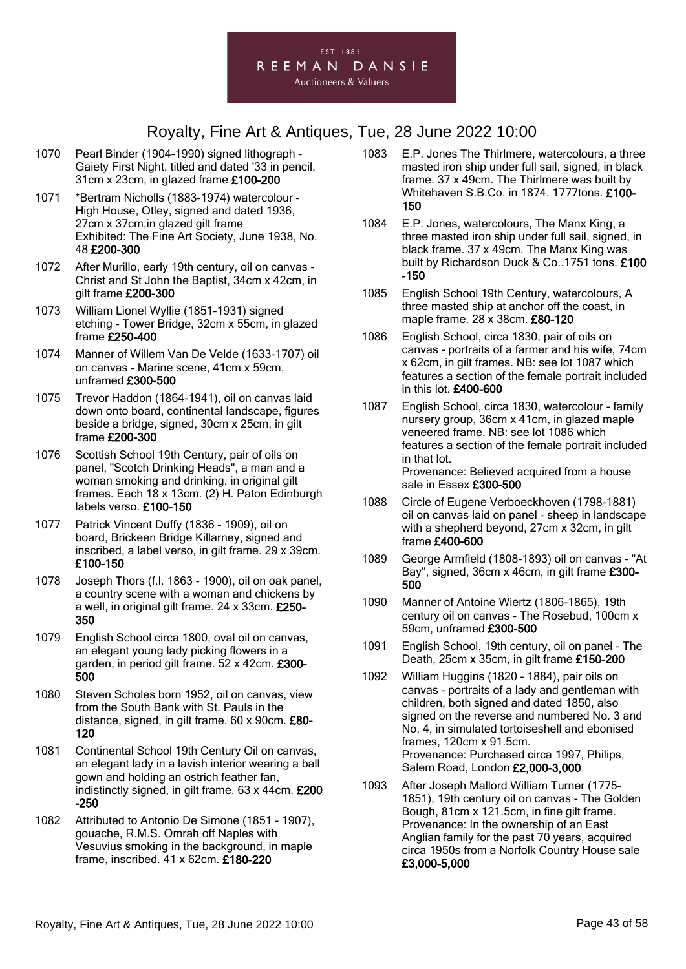

- 1070 Pearl Binder (1904-1990) signed lithograph Gaiety First Night, titled and dated '33 in pencil, 31cm x 23cm, in glazed frame £100-200
- 1071 \*Bertram Nicholls (1883-1974) watercolour High House, Otley, signed and dated 1936, 27cm x 37cm,in glazed gilt frame Exhibited: The Fine Art Society, June 1938, No. 48 £200-300
- 1072 After Murillo, early 19th century, oil on canvas Christ and St John the Baptist, 34cm x 42cm, in gilt frame £200-300
- 1073 William Lionel Wyllie (1851-1931) signed etching - Tower Bridge, 32cm x 55cm, in glazed frame £250-400
- 1074 Manner of Willem Van De Velde (1633-1707) oil on canvas - Marine scene, 41cm x 59cm, unframed £300-500
- 1075 Trevor Haddon (1864-1941), oil on canvas laid down onto board, continental landscape, figures beside a bridge, signed, 30cm x 25cm, in gilt frame £200-300
- 1076 Scottish School 19th Century, pair of oils on panel, "Scotch Drinking Heads", a man and a woman smoking and drinking, in original gilt frames. Each 18 x 13cm. (2) H. Paton Edinburgh labels verso. £100-150
- 1077 Patrick Vincent Duffy (1836 1909), oil on board, Brickeen Bridge Killarney, signed and inscribed, a label verso, in gilt frame. 29 x 39cm. £100-150
- 1078 Joseph Thors (f.l. 1863 1900), oil on oak panel, a country scene with a woman and chickens by a well, in original gilt frame. 24 x 33cm. £250- 350
- 1079 English School circa 1800, oval oil on canvas, an elegant young lady picking flowers in a garden, in period gilt frame. 52 x 42cm. £300- 500
- 1080 Steven Scholes born 1952, oil on canvas, view from the South Bank with St. Pauls in the distance, signed, in gilt frame. 60 x 90cm. £80- 120
- 1081 Continental School 19th Century Oil on canvas, an elegant lady in a lavish interior wearing a ball gown and holding an ostrich feather fan, indistinctly signed, in gilt frame. 63 x 44cm. £200 -250
- 1082 Attributed to Antonio De Simone (1851 1907), gouache, R.M.S. Omrah off Naples with Vesuvius smoking in the background, in maple frame, inscribed. 41 x 62cm. £180-220
- 1083 E.P. Jones The Thirlmere, watercolours, a three masted iron ship under full sail, signed, in black frame. 37 x 49cm. The Thirlmere was built by Whitehaven S.B.Co. in 1874. 1777tons. £100- 150
- 1084 E.P. Jones, watercolours, The Manx King, a three masted iron ship under full sail, signed, in black frame. 37 x 49cm. The Manx King was built by Richardson Duck & Co..1751 tons. £100 -150
- 1085 English School 19th Century, watercolours, A three masted ship at anchor off the coast, in maple frame. 28 x 38cm. £80-120
- 1086 English School, circa 1830, pair of oils on canvas - portraits of a farmer and his wife, 74cm x 62cm, in gilt frames. NB: see lot 1087 which features a section of the female portrait included in this lot. £400-600
- 1087 English School, circa 1830, watercolour family nursery group, 36cm x 41cm, in glazed maple veneered frame. NB: see lot 1086 which features a section of the female portrait included in that lot. Provenance: Believed acquired from a house sale in Essex £300-500
- 1088 Circle of Eugene Verboeckhoven (1798-1881) oil on canvas laid on panel - sheep in landscape with a shepherd beyond, 27cm x 32cm, in gilt frame £400-600
- 1089 George Armfield (1808-1893) oil on canvas "At Bay", signed, 36cm x 46cm, in gilt frame £300- 500
- 1090 Manner of Antoine Wiertz (1806-1865), 19th century oil on canvas - The Rosebud, 100cm x 59cm, unframed £300-500
- 1091 English School, 19th century, oil on panel The Death, 25cm x 35cm, in gilt frame £150-200
- 1092 William Huggins (1820 1884), pair oils on canvas - portraits of a lady and gentleman with children, both signed and dated 1850, also signed on the reverse and numbered No. 3 and No. 4, in simulated tortoiseshell and ebonised frames, 120cm x 91.5cm. Provenance: Purchased circa 1997, Philips, Salem Road, London £2,000-3,000
- 1093 After Joseph Mallord William Turner (1775- 1851), 19th century oil on canvas - The Golden Bough, 81cm x 121.5cm, in fine gilt frame. Provenance: In the ownership of an East Anglian family for the past 70 years, acquired circa 1950s from a Norfolk Country House sale £3,000-5,000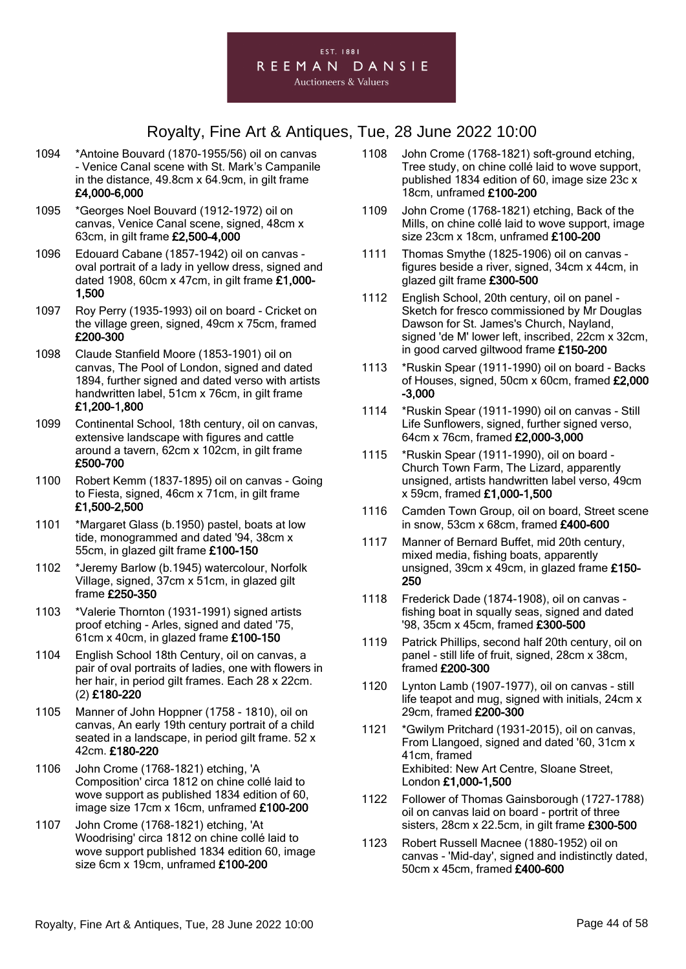

- 1094 \*Antoine Bouvard (1870-1955/56) oil on canvas - Venice Canal scene with St. Mark's Campanile in the distance, 49.8cm x 64.9cm, in gilt frame £4,000-6,000
- 1095 \*Georges Noel Bouvard (1912-1972) oil on canvas, Venice Canal scene, signed, 48cm x 63cm, in gilt frame £2,500-4,000
- 1096 Edouard Cabane (1857-1942) oil on canvas oval portrait of a lady in yellow dress, signed and dated 1908, 60cm x 47cm, in gilt frame £1,000- 1,500
- 1097 Roy Perry (1935-1993) oil on board Cricket on the village green, signed, 49cm x 75cm, framed £200-300
- 1098 Claude Stanfield Moore (1853-1901) oil on canvas, The Pool of London, signed and dated 1894, further signed and dated verso with artists handwritten label, 51cm x 76cm, in gilt frame £1,200-1,800
- 1099 Continental School, 18th century, oil on canvas, extensive landscape with figures and cattle around a tavern, 62cm x 102cm, in gilt frame £500-700
- 1100 Robert Kemm (1837-1895) oil on canvas Going to Fiesta, signed, 46cm x 71cm, in gilt frame £1,500-2,500
- 1101 \*Margaret Glass (b.1950) pastel, boats at low tide, monogrammed and dated '94, 38cm x 55cm, in glazed gilt frame £100-150
- 1102 \*Jeremy Barlow (b.1945) watercolour, Norfolk Village, signed, 37cm x 51cm, in glazed gilt frame £250-350
- 1103 \*Valerie Thornton (1931-1991) signed artists proof etching - Arles, signed and dated '75, 61cm x 40cm, in glazed frame £100-150
- 1104 English School 18th Century, oil on canvas, a pair of oval portraits of ladies, one with flowers in her hair, in period gilt frames. Each 28 x 22cm. (2) £180-220
- 1105 Manner of John Hoppner (1758 1810), oil on canvas, An early 19th century portrait of a child seated in a landscape, in period gilt frame. 52 x 42cm. £180-220
- 1106 John Crome (1768-1821) etching, 'A Composition' circa 1812 on chine collé laid to wove support as published 1834 edition of 60, image size 17cm x 16cm, unframed £100-200
- 1107 John Crome (1768-1821) etching, 'At Woodrising' circa 1812 on chine collé laid to wove support published 1834 edition 60, image size 6cm x 19cm, unframed £100-200
- 1108 John Crome (1768-1821) soft-ground etching, Tree study, on chine collé laid to wove support, published 1834 edition of 60, image size 23c x 18cm, unframed £100-200
- 1109 John Crome (1768-1821) etching, Back of the Mills, on chine collé laid to wove support, image size 23cm x 18cm, unframed £100-200
- 1111 Thomas Smythe (1825-1906) oil on canvas figures beside a river, signed, 34cm x 44cm, in glazed gilt frame £300-500
- 1112 English School, 20th century, oil on panel Sketch for fresco commissioned by Mr Douglas Dawson for St. James's Church, Nayland, signed 'de M' lower left, inscribed, 22cm x 32cm, in good carved giltwood frame £150-200
- 1113 \*Ruskin Spear (1911-1990) oil on board Backs of Houses, signed, 50cm x 60cm, framed £2,000 -3,000
- 1114 \*Ruskin Spear (1911-1990) oil on canvas Still Life Sunflowers, signed, further signed verso, 64cm x 76cm, framed £2,000-3,000
- 1115 \*Ruskin Spear (1911-1990), oil on board Church Town Farm, The Lizard, apparently unsigned, artists handwritten label verso, 49cm x 59cm, framed £1,000-1,500
- 1116 Camden Town Group, oil on board, Street scene in snow, 53cm x 68cm, framed £400-600
- 1117 Manner of Bernard Buffet, mid 20th century, mixed media, fishing boats, apparently unsigned, 39cm x 49cm, in glazed frame £150- 250
- 1118 Frederick Dade (1874-1908), oil on canvas fishing boat in squally seas, signed and dated '98, 35cm x 45cm, framed £300-500
- 1119 Patrick Phillips, second half 20th century, oil on panel - still life of fruit, signed, 28cm x 38cm, framed £200-300
- 1120 Lynton Lamb (1907-1977), oil on canvas still life teapot and mug, signed with initials, 24cm x 29cm, framed £200-300
- 1121 \*Gwilym Pritchard (1931-2015), oil on canvas, From Llangoed, signed and dated '60, 31cm x 41cm, framed Exhibited: New Art Centre, Sloane Street, London £1,000-1,500
- 1122 Follower of Thomas Gainsborough (1727-1788) oil on canvas laid on board - portrit of three sisters, 28cm x 22.5cm, in gilt frame £300-500
- 1123 Robert Russell Macnee (1880-1952) oil on canvas - 'Mid-day', signed and indistinctly dated, 50cm x 45cm, framed £400-600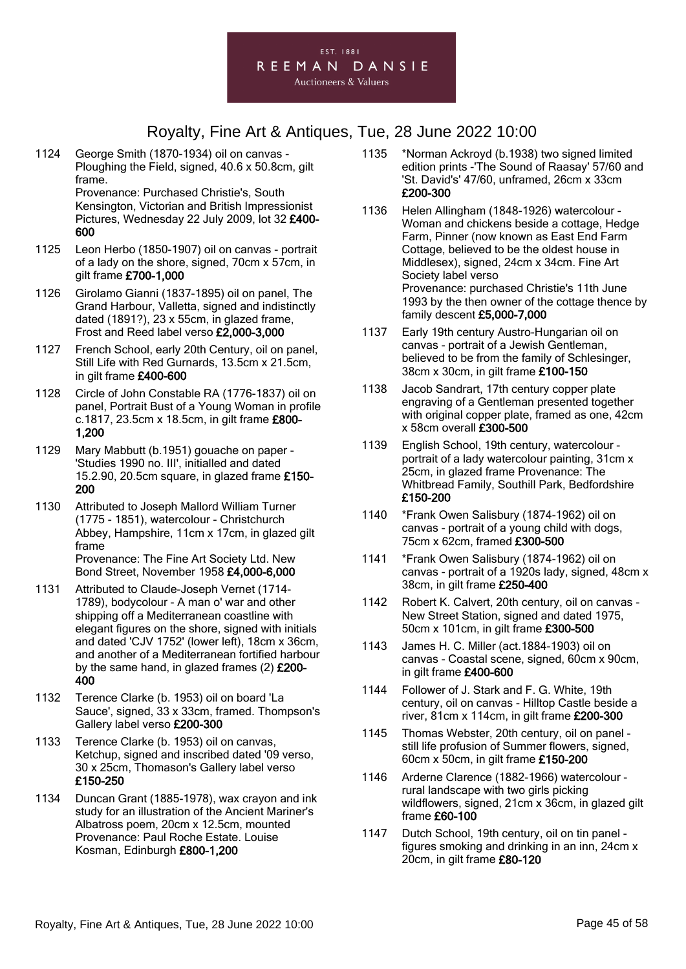

1124 George Smith (1870-1934) oil on canvas - Ploughing the Field, signed, 40.6 x 50.8cm, gilt frame. Provenance: Purchased Christie's, South

Kensington, Victorian and British Impressionist Pictures, Wednesday 22 July 2009, lot 32 £400- 600

- 1125 Leon Herbo (1850-1907) oil on canvas portrait of a lady on the shore, signed, 70cm x 57cm, in gilt frame £700-1,000
- 1126 Girolamo Gianni (1837-1895) oil on panel, The Grand Harbour, Valletta, signed and indistinctly dated (1891?), 23 x 55cm, in glazed frame, Frost and Reed label verso £2,000-3,000
- 1127 French School, early 20th Century, oil on panel, Still Life with Red Gurnards, 13.5cm x 21.5cm, in gilt frame £400-600
- 1128 Circle of John Constable RA (1776-1837) oil on panel, Portrait Bust of a Young Woman in profile c.1817, 23.5cm x 18.5cm, in gilt frame £800- 1,200
- 1129 Mary Mabbutt (b.1951) gouache on paper 'Studies 1990 no. III', initialled and dated 15.2.90, 20.5cm square, in glazed frame £150- 200
- 1130 Attributed to Joseph Mallord William Turner (1775 - 1851), watercolour - Christchurch Abbey, Hampshire, 11cm x 17cm, in glazed gilt frame Provenance: The Fine Art Society Ltd. New Bond Street, November 1958 £4,000-6,000
- 1131 Attributed to Claude-Joseph Vernet (1714- 1789), bodycolour - A man o' war and other shipping off a Mediterranean coastline with elegant figures on the shore, signed with initials and dated 'CJV 1752' (lower left), 18cm x 36cm, and another of a Mediterranean fortified harbour by the same hand, in glazed frames (2) £200- 400
- 1132 Terence Clarke (b. 1953) oil on board 'La Sauce', signed, 33 x 33cm, framed. Thompson's Gallery label verso £200-300
- 1133 Terence Clarke (b. 1953) oil on canvas, Ketchup, signed and inscribed dated '09 verso, 30 x 25cm, Thomason's Gallery label verso £150-250
- 1134 Duncan Grant (1885-1978), wax crayon and ink study for an illustration of the Ancient Mariner's Albatross poem, 20cm x 12.5cm, mounted Provenance: Paul Roche Estate. Louise Kosman, Edinburgh £800-1,200
- 1135 \*Norman Ackroyd (b.1938) two signed limited edition prints -'The Sound of Raasay' 57/60 and 'St. David's' 47/60, unframed, 26cm x 33cm £200-300
- 1136 Helen Allingham (1848-1926) watercolour Woman and chickens beside a cottage, Hedge Farm, Pinner (now known as East End Farm Cottage, believed to be the oldest house in Middlesex), signed, 24cm x 34cm. Fine Art Society label verso Provenance: purchased Christie's 11th June 1993 by the then owner of the cottage thence by family descent £5,000-7,000
- 1137 Early 19th century Austro-Hungarian oil on canvas - portrait of a Jewish Gentleman, believed to be from the family of Schlesinger, 38cm x 30cm, in gilt frame £100-150
- 1138 Jacob Sandrart, 17th century copper plate engraving of a Gentleman presented together with original copper plate, framed as one, 42cm x 58cm overall £300-500
- 1139 English School, 19th century, watercolour portrait of a lady watercolour painting, 31cm x 25cm, in glazed frame Provenance: The Whitbread Family, Southill Park, Bedfordshire £150-200
- 1140 \*Frank Owen Salisbury (1874-1962) oil on canvas - portrait of a young child with dogs, 75cm x 62cm, framed £300-500
- 1141 \*Frank Owen Salisbury (1874-1962) oil on canvas - portrait of a 1920s lady, signed, 48cm x 38cm, in gilt frame £250-400
- 1142 Robert K. Calvert, 20th century, oil on canvas New Street Station, signed and dated 1975, 50cm x 101cm, in gilt frame £300-500
- 1143 James H. C. Miller (act.1884-1903) oil on canvas - Coastal scene, signed, 60cm x 90cm, in gilt frame £400-600
- 1144 Follower of J. Stark and F. G. White, 19th century, oil on canvas - Hilltop Castle beside a river, 81cm x 114cm, in gilt frame £200-300
- 1145 Thomas Webster, 20th century, oil on panel still life profusion of Summer flowers, signed, 60cm x 50cm, in gilt frame £150-200
- 1146 Arderne Clarence (1882-1966) watercolour rural landscape with two girls picking wildflowers, signed, 21cm x 36cm, in glazed gilt frame £60-100
- 1147 Dutch School, 19th century, oil on tin panel figures smoking and drinking in an inn, 24cm x 20cm, in gilt frame £80-120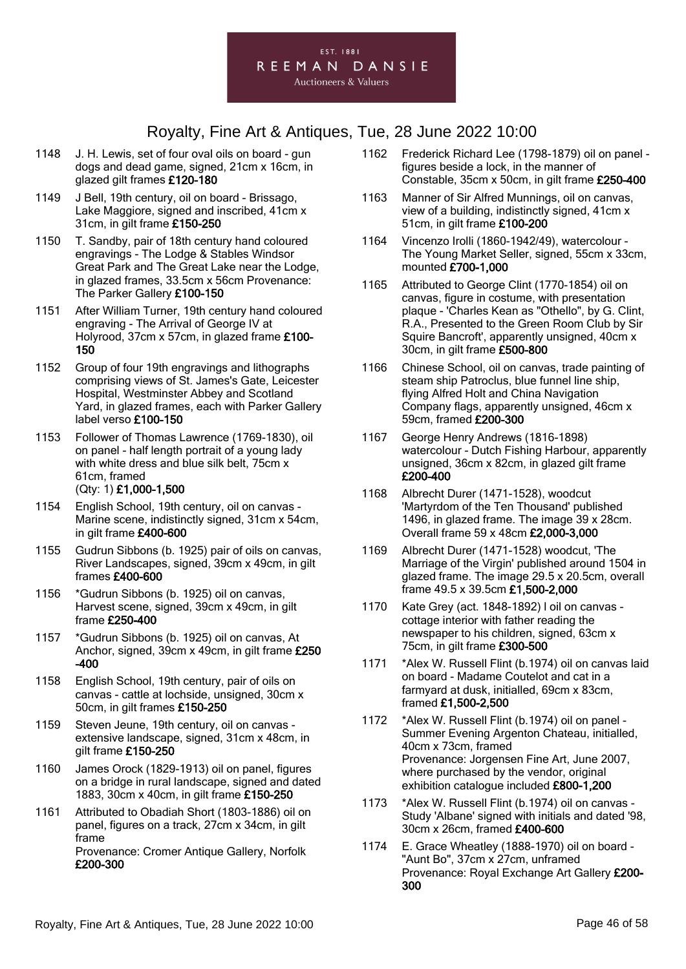

- 1148 J. H. Lewis, set of four oval oils on board gun dogs and dead game, signed, 21cm x 16cm, in glazed gilt frames £120-180
- 1149 J Bell, 19th century, oil on board Brissago, Lake Maggiore, signed and inscribed, 41cm x 31cm, in gilt frame £150-250
- 1150 T. Sandby, pair of 18th century hand coloured engravings - The Lodge & Stables Windsor Great Park and The Great Lake near the Lodge, in glazed frames, 33.5cm x 56cm Provenance: The Parker Gallery £100-150
- 1151 After William Turner, 19th century hand coloured engraving - The Arrival of George IV at Holyrood, 37cm x 57cm, in glazed frame £100- 150
- 1152 Group of four 19th engravings and lithographs comprising views of St. James's Gate, Leicester Hospital, Westminster Abbey and Scotland Yard, in glazed frames, each with Parker Gallery label verso £100-150
- 1153 Follower of Thomas Lawrence (1769-1830), oil on panel - half length portrait of a young lady with white dress and blue silk belt. 75cm x 61cm, framed (Qty: 1) £1,000-1,500
- 1154 English School, 19th century, oil on canvas Marine scene, indistinctly signed, 31cm x 54cm, in gilt frame £400-600
- 1155 Gudrun Sibbons (b. 1925) pair of oils on canvas, River Landscapes, signed, 39cm x 49cm, in gilt frames £400-600
- 1156 \*Gudrun Sibbons (b. 1925) oil on canvas, Harvest scene, signed, 39cm x 49cm, in gilt frame £250-400
- 1157 \*Gudrun Sibbons (b. 1925) oil on canvas, At Anchor, signed, 39cm x 49cm, in gilt frame £250 -400
- 1158 English School, 19th century, pair of oils on canvas - cattle at lochside, unsigned, 30cm x 50cm, in gilt frames £150-250
- 1159 Steven Jeune, 19th century, oil on canvas extensive landscape, signed, 31cm x 48cm, in gilt frame £150-250
- 1160 James Orock (1829-1913) oil on panel, figures on a bridge in rural landscape, signed and dated 1883, 30cm x 40cm, in gilt frame £150-250
- 1161 Attributed to Obadiah Short (1803-1886) oil on panel, figures on a track, 27cm x 34cm, in gilt frame Provenance: Cromer Antique Gallery, Norfolk £200-300
- 1162 Frederick Richard Lee (1798-1879) oil on panel figures beside a lock, in the manner of Constable, 35cm x 50cm, in gilt frame £250-400
- 1163 Manner of Sir Alfred Munnings, oil on canvas, view of a building, indistinctly signed, 41cm x 51cm, in gilt frame £100-200
- 1164 Vincenzo Irolli (1860-1942/49), watercolour The Young Market Seller, signed, 55cm x 33cm, mounted £700-1,000
- 1165 Attributed to George Clint (1770-1854) oil on canvas, figure in costume, with presentation plaque - 'Charles Kean as "Othello", by G. Clint, R.A., Presented to the Green Room Club by Sir Squire Bancroft', apparently unsigned, 40cm x 30cm, in gilt frame £500-800
- 1166 Chinese School, oil on canvas, trade painting of steam ship Patroclus, blue funnel line ship, flying Alfred Holt and China Navigation Company flags, apparently unsigned, 46cm x 59cm, framed £200-300
- 1167 George Henry Andrews (1816-1898) watercolour - Dutch Fishing Harbour, apparently unsigned, 36cm x 82cm, in glazed gilt frame £200-400
- 1168 Albrecht Durer (1471-1528), woodcut 'Martyrdom of the Ten Thousand' published 1496, in glazed frame. The image 39 x 28cm. Overall frame 59 x 48cm £2,000-3,000
- 1169 Albrecht Durer (1471-1528) woodcut, 'The Marriage of the Virgin' published around 1504 in glazed frame. The image 29.5 x 20.5cm, overall frame 49.5 x 39.5cm £1,500-2,000
- 1170 Kate Grey (act. 1848-1892) l oil on canvas cottage interior with father reading the newspaper to his children, signed, 63cm x 75cm, in gilt frame £300-500
- 1171 \*Alex W. Russell Flint (b.1974) oil on canvas laid on board - Madame Coutelot and cat in a farmyard at dusk, initialled, 69cm x 83cm, framed £1,500-2,500
- 1172 \*Alex W. Russell Flint (b.1974) oil on panel Summer Evening Argenton Chateau, initialled, 40cm x 73cm, framed Provenance: Jorgensen Fine Art, June 2007, where purchased by the vendor, original exhibition catalogue included £800-1,200
- 1173 \*Alex W. Russell Flint (b.1974) oil on canvas Study 'Albane' signed with initials and dated '98, 30cm x 26cm, framed £400-600
- 1174 E. Grace Wheatley (1888-1970) oil on board "Aunt Bo", 37cm x 27cm, unframed Provenance: Royal Exchange Art Gallery £200- 300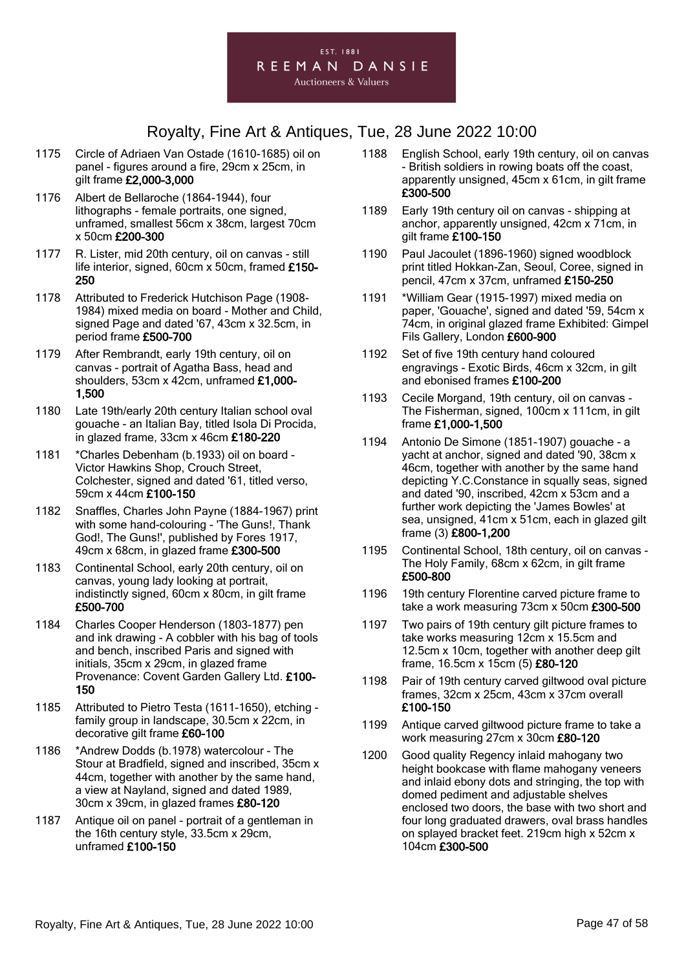

- 1175 Circle of Adriaen Van Ostade (1610-1685) oil on panel - figures around a fire, 29cm x 25cm, in gilt frame £2,000-3,000
- 1176 Albert de Bellaroche (1864-1944), four lithographs - female portraits, one signed, unframed, smallest 56cm x 38cm, largest 70cm x 50cm £200-300
- 1177 R. Lister, mid 20th century, oil on canvas still life interior, signed, 60cm x 50cm, framed £150- 250
- 1178 Attributed to Frederick Hutchison Page (1908- 1984) mixed media on board - Mother and Child, signed Page and dated '67, 43cm x 32.5cm, in period frame £500-700
- 1179 After Rembrandt, early 19th century, oil on canvas - portrait of Agatha Bass, head and shoulders, 53cm x 42cm, unframed £1,000- 1,500
- 1180 Late 19th/early 20th century Italian school oval gouache - an Italian Bay, titled Isola Di Procida, in glazed frame, 33cm x 46cm £180-220
- 1181 \*Charles Debenham (b.1933) oil on board Victor Hawkins Shop, Crouch Street, Colchester, signed and dated '61, titled verso, 59cm x 44cm £100-150
- 1182 Snaffles, Charles John Payne (1884-1967) print with some hand-colouring - 'The Guns!, Thank God!, The Guns!', published by Fores 1917, 49cm x 68cm, in glazed frame £300-500
- 1183 Continental School, early 20th century, oil on canvas, young lady looking at portrait, indistinctly signed, 60cm x 80cm, in gilt frame £500-700
- 1184 Charles Cooper Henderson (1803-1877) pen and ink drawing - A cobbler with his bag of tools and bench, inscribed Paris and signed with initials, 35cm x 29cm, in glazed frame Provenance: Covent Garden Gallery Ltd. £100- 150
- 1185 Attributed to Pietro Testa (1611-1650), etching family group in landscape, 30.5cm x 22cm, in decorative gilt frame £60-100
- 1186 \*Andrew Dodds (b.1978) watercolour The Stour at Bradfield, signed and inscribed, 35cm x 44cm, together with another by the same hand, a view at Nayland, signed and dated 1989, 30cm x 39cm, in glazed frames £80-120
- 1187 Antique oil on panel portrait of a gentleman in the 16th century style, 33.5cm x 29cm, unframed £100-150
- 1188 English School, early 19th century, oil on canvas - British soldiers in rowing boats off the coast, apparently unsigned, 45cm x 61cm, in gilt frame £300-500
- 1189 Early 19th century oil on canvas shipping at anchor, apparently unsigned, 42cm x 71cm, in gilt frame £100-150
- 1190 Paul Jacoulet (1896-1960) signed woodblock print titled Hokkan-Zan, Seoul, Coree, signed in pencil, 47cm x 37cm, unframed £150-250
- 1191 \*William Gear (1915-1997) mixed media on paper, 'Gouache', signed and dated '59, 54cm x 74cm, in original glazed frame Exhibited: Gimpel Fils Gallery, London £600-900
- 1192 Set of five 19th century hand coloured engravings - Exotic Birds, 46cm x 32cm, in gilt and ebonised frames £100-200
- 1193 Cecile Morgand, 19th century, oil on canvas The Fisherman, signed, 100cm x 111cm, in gilt frame £1,000-1,500
- 1194 Antonio De Simone (1851-1907) gouache a yacht at anchor, signed and dated '90, 38cm x 46cm, together with another by the same hand depicting Y.C.Constance in squally seas, signed and dated '90, inscribed, 42cm x 53cm and a further work depicting the 'James Bowles' at sea, unsigned, 41cm x 51cm, each in glazed gilt frame (3) £800-1,200
- 1195 Continental School, 18th century, oil on canvas The Holy Family, 68cm x 62cm, in gilt frame £500-800
- 1196 19th century Florentine carved picture frame to take a work measuring 73cm x 50cm £300-500
- 1197 Two pairs of 19th century gilt picture frames to take works measuring 12cm x 15.5cm and 12.5cm x 10cm, together with another deep gilt frame, 16.5cm x 15cm (5) £80-120
- 1198 Pair of 19th century carved giltwood oval picture frames, 32cm x 25cm, 43cm x 37cm overall £100-150
- 1199 Antique carved giltwood picture frame to take a work measuring 27cm x 30cm £80-120
- 1200 Good quality Regency inlaid mahogany two height bookcase with flame mahogany veneers and inlaid ebony dots and stringing, the top with domed pediment and adjustable shelves enclosed two doors, the base with two short and four long graduated drawers, oval brass handles on splayed bracket feet. 219cm high x 52cm x 104cm £300-500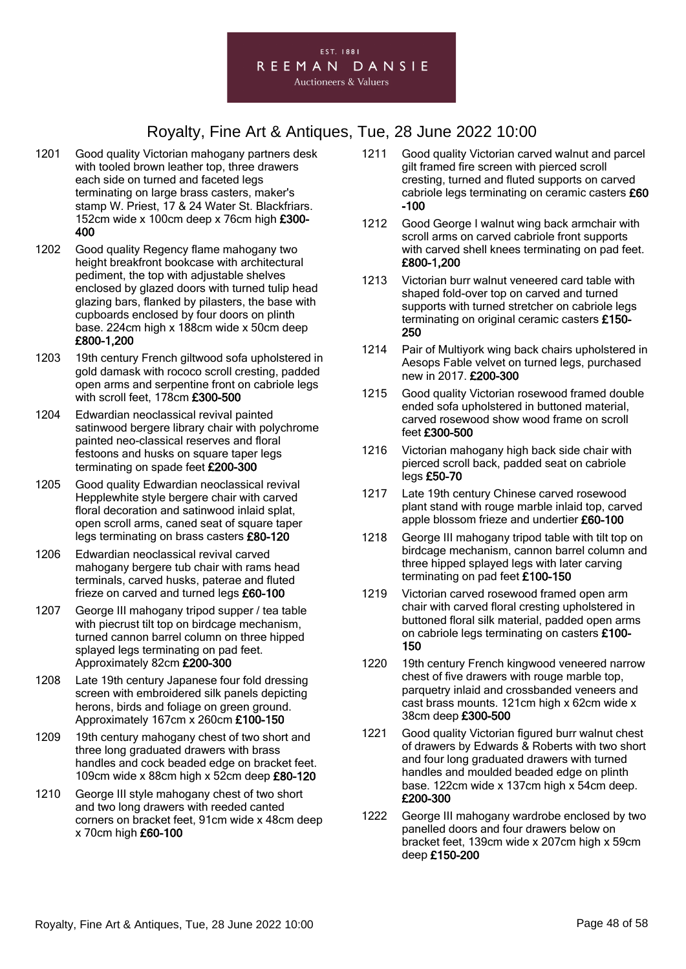

- 1201 Good quality Victorian mahogany partners desk with tooled brown leather top, three drawers each side on turned and faceted legs terminating on large brass casters, maker's stamp W. Priest, 17 & 24 Water St. Blackfriars. 152cm wide x 100cm deep x 76cm high £300- 400
- 1202 Good quality Regency flame mahogany two height breakfront bookcase with architectural pediment, the top with adjustable shelves enclosed by glazed doors with turned tulip head glazing bars, flanked by pilasters, the base with cupboards enclosed by four doors on plinth base. 224cm high x 188cm wide x 50cm deep £800-1,200
- 1203 19th century French giltwood sofa upholstered in gold damask with rococo scroll cresting, padded open arms and serpentine front on cabriole legs with scroll feet, 178cm £300-500
- 1204 Edwardian neoclassical revival painted satinwood bergere library chair with polychrome painted neo-classical reserves and floral festoons and husks on square taper legs terminating on spade feet £200-300
- 1205 Good quality Edwardian neoclassical revival Hepplewhite style bergere chair with carved floral decoration and satinwood inlaid splat, open scroll arms, caned seat of square taper legs terminating on brass casters £80-120
- 1206 Edwardian neoclassical revival carved mahogany bergere tub chair with rams head terminals, carved husks, paterae and fluted frieze on carved and turned legs £60-100
- 1207 George III mahogany tripod supper / tea table with piecrust tilt top on birdcage mechanism, turned cannon barrel column on three hipped splayed legs terminating on pad feet. Approximately 82cm £200-300
- 1208 Late 19th century Japanese four fold dressing screen with embroidered silk panels depicting herons, birds and foliage on green ground. Approximately 167cm x 260cm £100-150
- 1209 19th century mahogany chest of two short and three long graduated drawers with brass handles and cock beaded edge on bracket feet. 109cm wide x 88cm high x 52cm deep £80-120
- 1210 George III style mahogany chest of two short and two long drawers with reeded canted corners on bracket feet, 91cm wide x 48cm deep x 70cm high £60-100
- 1211 Good quality Victorian carved walnut and parcel gilt framed fire screen with pierced scroll cresting, turned and fluted supports on carved cabriole legs terminating on ceramic casters £60 -100
- 1212 Good George I walnut wing back armchair with scroll arms on carved cabriole front supports with carved shell knees terminating on pad feet. £800-1,200
- 1213 Victorian burr walnut veneered card table with shaped fold-over top on carved and turned supports with turned stretcher on cabriole legs terminating on original ceramic casters £150-250
- 1214 Pair of Multiyork wing back chairs upholstered in Aesops Fable velvet on turned legs, purchased new in 2017. £200-300
- 1215 Good quality Victorian rosewood framed double ended sofa upholstered in buttoned material, carved rosewood show wood frame on scroll feet £300-500
- 1216 Victorian mahogany high back side chair with pierced scroll back, padded seat on cabriole legs £50-70
- 1217 Late 19th century Chinese carved rosewood plant stand with rouge marble inlaid top, carved apple blossom frieze and undertier £60-100
- 1218 George III mahogany tripod table with tilt top on birdcage mechanism, cannon barrel column and three hipped splayed legs with later carving terminating on pad feet £100-150
- 1219 Victorian carved rosewood framed open arm chair with carved floral cresting upholstered in buttoned floral silk material, padded open arms on cabriole legs terminating on casters £100- 150
- 1220 19th century French kingwood veneered narrow chest of five drawers with rouge marble top, parquetry inlaid and crossbanded veneers and cast brass mounts. 121cm high x 62cm wide x 38cm deep £300-500
- 1221 Good quality Victorian figured burr walnut chest of drawers by Edwards & Roberts with two short and four long graduated drawers with turned handles and moulded beaded edge on plinth base. 122cm wide x 137cm high x 54cm deep. £200-300
- 1222 George III mahogany wardrobe enclosed by two panelled doors and four drawers below on bracket feet, 139cm wide x 207cm high x 59cm deep £150-200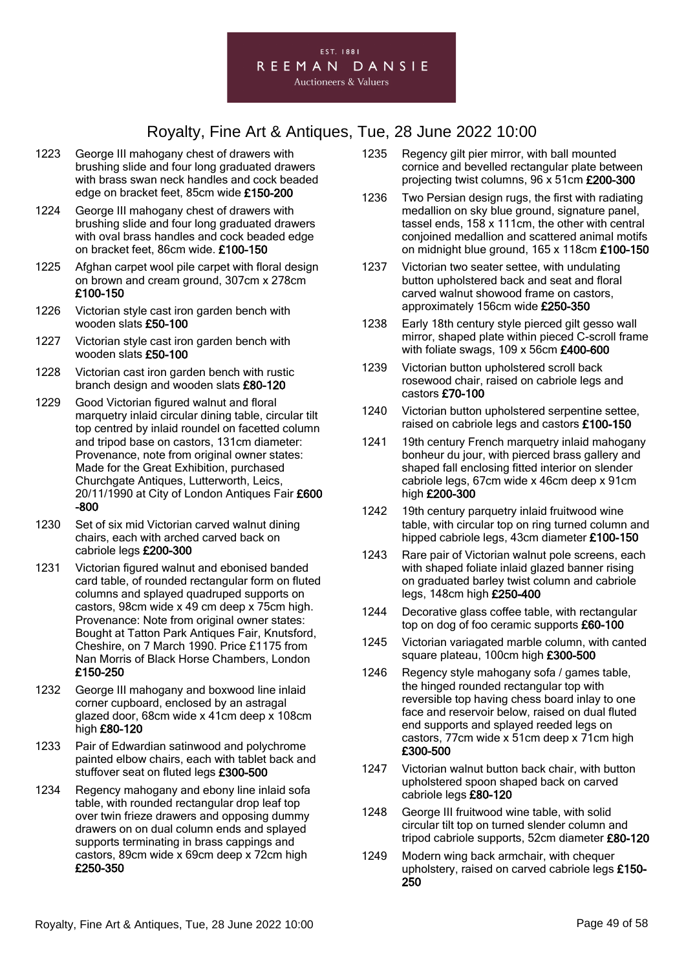- 1223 George III mahogany chest of drawers with brushing slide and four long graduated drawers with brass swan neck handles and cock beaded edge on bracket feet, 85cm wide £150-200
- 1224 George III mahogany chest of drawers with brushing slide and four long graduated drawers with oval brass handles and cock beaded edge on bracket feet, 86cm wide. £100-150
- 1225 Afghan carpet wool pile carpet with floral design on brown and cream ground, 307cm x 278cm £100-150
- 1226 Victorian style cast iron garden bench with wooden slats £50-100
- 1227 Victorian style cast iron garden bench with wooden slats £50-100
- 1228 Victorian cast iron garden bench with rustic branch design and wooden slats £80-120
- 1229 Good Victorian figured walnut and floral marquetry inlaid circular dining table, circular tilt top centred by inlaid roundel on facetted column and tripod base on castors, 131cm diameter: Provenance, note from original owner states: Made for the Great Exhibition, purchased Churchgate Antiques, Lutterworth, Leics, 20/11/1990 at City of London Antiques Fair £600 -800
- 1230 Set of six mid Victorian carved walnut dining chairs, each with arched carved back on cabriole legs £200-300
- 1231 Victorian figured walnut and ebonised banded card table, of rounded rectangular form on fluted columns and splayed quadruped supports on castors, 98cm wide x 49 cm deep x 75cm high. Provenance: Note from original owner states: Bought at Tatton Park Antiques Fair, Knutsford, Cheshire, on 7 March 1990. Price £1175 from Nan Morris of Black Horse Chambers, London £150-250
- 1232 George III mahogany and boxwood line inlaid corner cupboard, enclosed by an astragal glazed door, 68cm wide x 41cm deep x 108cm high £80-120
- 1233 Pair of Edwardian satinwood and polychrome painted elbow chairs, each with tablet back and stuffover seat on fluted legs £300-500
- 1234 Regency mahogany and ebony line inlaid sofa table, with rounded rectangular drop leaf top over twin frieze drawers and opposing dummy drawers on on dual column ends and splayed supports terminating in brass cappings and castors, 89cm wide x 69cm deep x 72cm high £250-350
- 1235 Regency gilt pier mirror, with ball mounted cornice and bevelled rectangular plate between projecting twist columns, 96 x 51cm £200-300
- 1236 Two Persian design rugs, the first with radiating medallion on sky blue ground, signature panel, tassel ends, 158 x 111cm, the other with central conjoined medallion and scattered animal motifs on midnight blue ground, 165 x 118cm £100-150
- 1237 Victorian two seater settee, with undulating button upholstered back and seat and floral carved walnut showood frame on castors, approximately 156cm wide £250-350
- 1238 Early 18th century style pierced gilt gesso wall mirror, shaped plate within pieced C-scroll frame with foliate swags, 109 x 56cm £400-600
- 1239 Victorian button upholstered scroll back rosewood chair, raised on cabriole legs and castors £70-100
- 1240 Victorian button upholstered serpentine settee, raised on cabriole legs and castors £100-150
- 1241 19th century French marquetry inlaid mahogany bonheur du jour, with pierced brass gallery and shaped fall enclosing fitted interior on slender cabriole legs, 67cm wide x 46cm deep x 91cm high £200-300
- 1242 19th century parquetry inlaid fruitwood wine table, with circular top on ring turned column and hipped cabriole legs, 43cm diameter £100-150
- 1243 Rare pair of Victorian walnut pole screens, each with shaped foliate inlaid glazed banner rising on graduated barley twist column and cabriole legs, 148cm high £250-400
- 1244 Decorative glass coffee table, with rectangular top on dog of foo ceramic supports £60-100
- 1245 Victorian variagated marble column, with canted square plateau, 100cm high £300-500
- 1246 Regency style mahogany sofa / games table, the hinged rounded rectangular top with reversible top having chess board inlay to one face and reservoir below, raised on dual fluted end supports and splayed reeded legs on castors, 77cm wide x 51cm deep x 71cm high £300-500
- 1247 Victorian walnut button back chair, with button upholstered spoon shaped back on carved cabriole legs £80-120
- 1248 George III fruitwood wine table, with solid circular tilt top on turned slender column and tripod cabriole supports, 52cm diameter £80-120
- 1249 Modern wing back armchair, with chequer upholstery, raised on carved cabriole legs £150- 250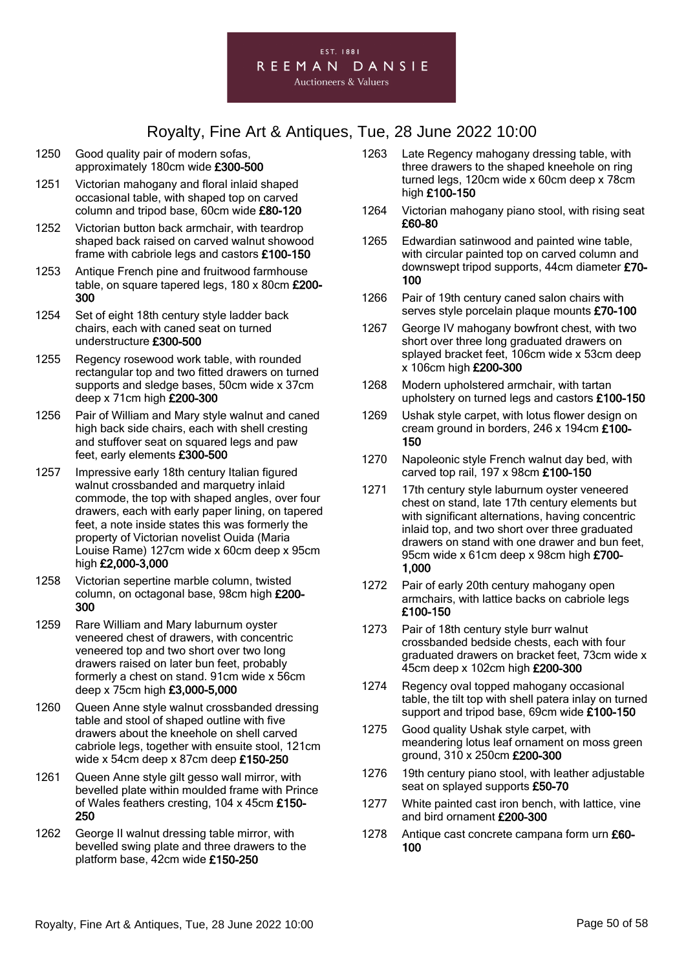

- 1250 Good quality pair of modern sofas, approximately 180cm wide £300-500
- 1251 Victorian mahogany and floral inlaid shaped occasional table, with shaped top on carved column and tripod base, 60cm wide £80-120
- 1252 Victorian button back armchair, with teardrop shaped back raised on carved walnut showood frame with cabriole legs and castors £100-150
- 1253 Antique French pine and fruitwood farmhouse table, on square tapered legs, 180 x 80cm £200-300
- 1254 Set of eight 18th century style ladder back chairs, each with caned seat on turned understructure £300-500
- 1255 Regency rosewood work table, with rounded rectangular top and two fitted drawers on turned supports and sledge bases, 50cm wide x 37cm deep x 71cm high £200-300
- 1256 Pair of William and Mary style walnut and caned high back side chairs, each with shell cresting and stuffover seat on squared legs and paw feet, early elements £300-500
- 1257 Impressive early 18th century Italian figured walnut crossbanded and marquetry inlaid commode, the top with shaped angles, over four drawers, each with early paper lining, on tapered feet, a note inside states this was formerly the property of Victorian novelist Ouida (Maria Louise Rame) 127cm wide x 60cm deep x 95cm high £2,000-3,000
- 1258 Victorian sepertine marble column, twisted column, on octagonal base, 98cm high £200- 300
- 1259 Rare William and Mary laburnum oyster veneered chest of drawers, with concentric veneered top and two short over two long drawers raised on later bun feet, probably formerly a chest on stand. 91cm wide x 56cm deep x 75cm high £3,000-5,000
- 1260 Queen Anne style walnut crossbanded dressing table and stool of shaped outline with five drawers about the kneehole on shell carved cabriole legs, together with ensuite stool, 121cm wide x 54cm deep x 87cm deep £150-250
- 1261 Queen Anne style gilt gesso wall mirror, with bevelled plate within moulded frame with Prince of Wales feathers cresting, 104 x 45cm £150- 250
- 1262 George II walnut dressing table mirror, with bevelled swing plate and three drawers to the platform base, 42cm wide £150-250
- 1263 Late Regency mahogany dressing table, with three drawers to the shaped kneehole on ring turned legs, 120cm wide x 60cm deep x 78cm high £100-150
- 1264 Victorian mahogany piano stool, with rising seat £60-80
- 1265 Edwardian satinwood and painted wine table, with circular painted top on carved column and downswept tripod supports, 44cm diameter £70- 100
- 1266 Pair of 19th century caned salon chairs with serves style porcelain plaque mounts £70-100
- 1267 George IV mahogany bowfront chest, with two short over three long graduated drawers on splayed bracket feet, 106cm wide x 53cm deep x 106cm high £200-300
- 1268 Modern upholstered armchair, with tartan upholstery on turned legs and castors £100-150
- 1269 Ushak style carpet, with lotus flower design on cream ground in borders, 246 x 194cm £100- 150
- 1270 Napoleonic style French walnut day bed, with carved top rail, 197 x 98cm £100-150
- 1271 17th century style laburnum oyster veneered chest on stand, late 17th century elements but with significant alternations, having concentric inlaid top, and two short over three graduated drawers on stand with one drawer and bun feet, 95cm wide x 61cm deep x 98cm high £700-1,000
- 1272 Pair of early 20th century mahogany open armchairs, with lattice backs on cabriole legs £100-150
- 1273 Pair of 18th century style burr walnut crossbanded bedside chests, each with four graduated drawers on bracket feet, 73cm wide x 45cm deep x 102cm high £200-300
- 1274 Regency oval topped mahogany occasional table, the tilt top with shell patera inlay on turned support and tripod base, 69cm wide £100-150
- 1275 Good quality Ushak style carpet, with meandering lotus leaf ornament on moss green ground, 310 x 250cm £200-300
- 1276 19th century piano stool, with leather adjustable seat on splayed supports £50-70
- 1277 White painted cast iron bench, with lattice, vine and bird ornament £200-300
- 1278 Antique cast concrete campana form urn £60-100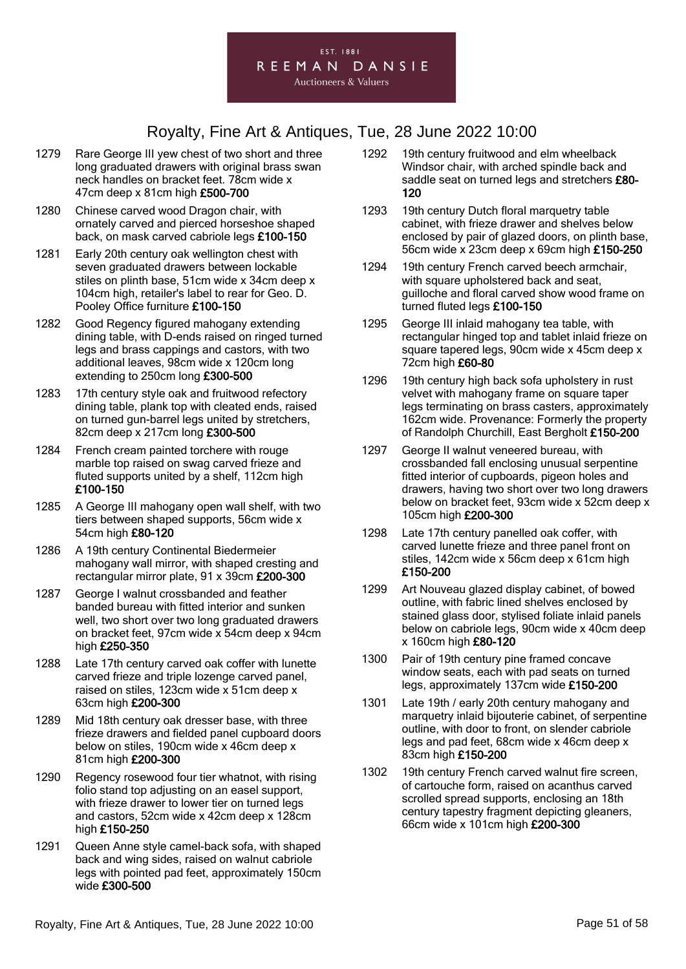

- 1279 Rare George III yew chest of two short and three long graduated drawers with original brass swan neck handles on bracket feet. 78cm wide x 47cm deep x 81cm high £500-700
- 1280 Chinese carved wood Dragon chair, with ornately carved and pierced horseshoe shaped back, on mask carved cabriole legs £100-150
- 1281 Early 20th century oak wellington chest with seven graduated drawers between lockable stiles on plinth base, 51cm wide x 34cm deep x 104cm high, retailer's label to rear for Geo. D. Pooley Office furniture £100-150
- 1282 Good Regency figured mahogany extending dining table, with D-ends raised on ringed turned legs and brass cappings and castors, with two additional leaves, 98cm wide x 120cm long extending to 250cm long £300-500
- 1283 17th century style oak and fruitwood refectory dining table, plank top with cleated ends, raised on turned gun-barrel legs united by stretchers, 82cm deep x 217cm long £300-500
- 1284 French cream painted torchere with rouge marble top raised on swag carved frieze and fluted supports united by a shelf, 112cm high £100-150
- 1285 A George III mahogany open wall shelf, with two tiers between shaped supports, 56cm wide x 54cm high £80-120
- 1286 A 19th century Continental Biedermeier mahogany wall mirror, with shaped cresting and rectangular mirror plate, 91 x 39cm £200-300
- 1287 George I walnut crossbanded and feather banded bureau with fitted interior and sunken well, two short over two long graduated drawers on bracket feet, 97cm wide x 54cm deep x 94cm high £250-350
- 1288 Late 17th century carved oak coffer with lunette carved frieze and triple lozenge carved panel, raised on stiles, 123cm wide x 51cm deep x 63cm high £200-300
- 1289 Mid 18th century oak dresser base, with three frieze drawers and fielded panel cupboard doors below on stiles, 190cm wide x 46cm deep x 81cm high £200-300
- 1290 Regency rosewood four tier whatnot, with rising folio stand top adjusting on an easel support, with frieze drawer to lower tier on turned legs and castors, 52cm wide x 42cm deep x 128cm high £150-250
- 1291 Queen Anne style camel-back sofa, with shaped back and wing sides, raised on walnut cabriole legs with pointed pad feet, approximately 150cm wide £300-500
- 1292 19th century fruitwood and elm wheelback Windsor chair, with arched spindle back and saddle seat on turned legs and stretchers £80-120
- 1293 19th century Dutch floral marquetry table cabinet, with frieze drawer and shelves below enclosed by pair of glazed doors, on plinth base, 56cm wide x 23cm deep x 69cm high £150-250
- 1294 19th century French carved beech armchair, with square upholstered back and seat, guilloche and floral carved show wood frame on turned fluted legs £100-150
- 1295 George III inlaid mahogany tea table, with rectangular hinged top and tablet inlaid frieze on square tapered legs, 90cm wide x 45cm deep x 72cm high £60-80
- 1296 19th century high back sofa upholstery in rust velvet with mahogany frame on square taper legs terminating on brass casters, approximately 162cm wide. Provenance: Formerly the property of Randolph Churchill, East Bergholt £150-200
- 1297 George II walnut veneered bureau, with crossbanded fall enclosing unusual serpentine fitted interior of cupboards, pigeon holes and drawers, having two short over two long drawers below on bracket feet, 93cm wide x 52cm deep x 105cm high £200-300
- 1298 Late 17th century panelled oak coffer, with carved lunette frieze and three panel front on stiles, 142cm wide x 56cm deep x 61cm high £150-200
- 1299 Art Nouveau glazed display cabinet, of bowed outline, with fabric lined shelves enclosed by stained glass door, stylised foliate inlaid panels below on cabriole legs, 90cm wide x 40cm deep x 160cm high £80-120
- 1300 Pair of 19th century pine framed concave window seats, each with pad seats on turned legs, approximately 137cm wide £150-200
- 1301 Late 19th / early 20th century mahogany and marquetry inlaid bijouterie cabinet, of serpentine outline, with door to front, on slender cabriole legs and pad feet, 68cm wide x 46cm deep x 83cm high £150-200
- 1302 19th century French carved walnut fire screen, of cartouche form, raised on acanthus carved scrolled spread supports, enclosing an 18th century tapestry fragment depicting gleaners, 66cm wide x 101cm high £200-300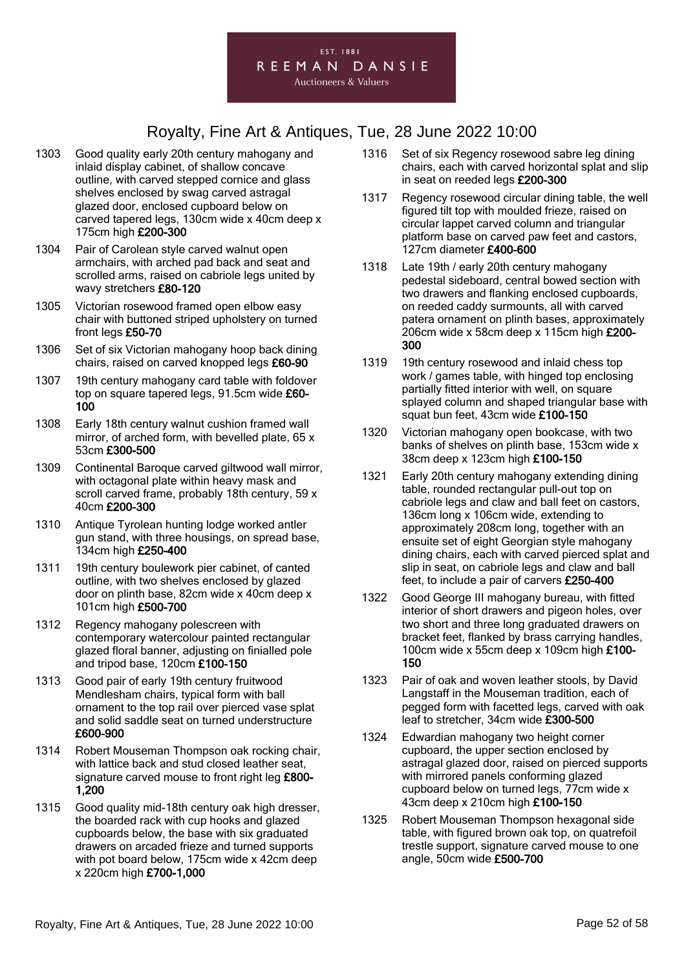- 1303 Good quality early 20th century mahogany and inlaid display cabinet, of shallow concave outline, with carved stepped cornice and glass shelves enclosed by swag carved astragal glazed door, enclosed cupboard below on carved tapered legs, 130cm wide x 40cm deep x 175cm high £200-300
- 1304 Pair of Carolean style carved walnut open armchairs, with arched pad back and seat and scrolled arms, raised on cabriole legs united by wavy stretchers £80-120
- 1305 Victorian rosewood framed open elbow easy chair with buttoned striped upholstery on turned front legs £50-70
- 1306 Set of six Victorian mahogany hoop back dining chairs, raised on carved knopped legs £60-90
- 1307 19th century mahogany card table with foldover top on square tapered legs, 91.5cm wide £60- 100
- 1308 Early 18th century walnut cushion framed wall mirror, of arched form, with bevelled plate, 65 x 53cm £300-500
- 1309 Continental Baroque carved giltwood wall mirror, with octagonal plate within heavy mask and scroll carved frame, probably 18th century, 59 x 40cm £200-300
- 1310 Antique Tyrolean hunting lodge worked antler gun stand, with three housings, on spread base, 134cm high £250-400
- 1311 19th century boulework pier cabinet, of canted outline, with two shelves enclosed by glazed door on plinth base, 82cm wide x 40cm deep x 101cm high £500-700
- 1312 Regency mahogany polescreen with contemporary watercolour painted rectangular glazed floral banner, adjusting on finialled pole and tripod base, 120cm £100-150
- 1313 Good pair of early 19th century fruitwood Mendlesham chairs, typical form with ball ornament to the top rail over pierced vase splat and solid saddle seat on turned understructure £600-900
- 1314 Robert Mouseman Thompson oak rocking chair, with lattice back and stud closed leather seat, signature carved mouse to front right leg £800-1,200
- 1315 Good quality mid-18th century oak high dresser, the boarded rack with cup hooks and glazed cupboards below, the base with six graduated drawers on arcaded frieze and turned supports with pot board below, 175cm wide x 42cm deep x 220cm high £700-1,000
- 1316 Set of six Regency rosewood sabre leg dining chairs, each with carved horizontal splat and slip in seat on reeded legs £200-300
- 1317 Regency rosewood circular dining table, the well figured tilt top with moulded frieze, raised on circular lappet carved column and triangular platform base on carved paw feet and castors, 127cm diameter £400-600
- 1318 Late 19th / early 20th century mahogany pedestal sideboard, central bowed section with two drawers and flanking enclosed cupboards, on reeded caddy surmounts, all with carved patera ornament on plinth bases, approximately 206cm wide x 58cm deep x 115cm high £200-300
- 1319 19th century rosewood and inlaid chess top work / games table, with hinged top enclosing partially fitted interior with well, on square splayed column and shaped triangular base with squat bun feet, 43cm wide £100-150
- 1320 Victorian mahogany open bookcase, with two banks of shelves on plinth base, 153cm wide x 38cm deep x 123cm high £100-150
- 1321 Early 20th century mahogany extending dining table, rounded rectangular pull-out top on cabriole legs and claw and ball feet on castors, 136cm long x 106cm wide, extending to approximately 208cm long, together with an ensuite set of eight Georgian style mahogany dining chairs, each with carved pierced splat and slip in seat, on cabriole legs and claw and ball feet, to include a pair of carvers £250-400
- 1322 Good George III mahogany bureau, with fitted interior of short drawers and pigeon holes, over two short and three long graduated drawers on bracket feet, flanked by brass carrying handles, 100cm wide x 55cm deep x 109cm high £100- 150
- 1323 Pair of oak and woven leather stools, by David Langstaff in the Mouseman tradition, each of pegged form with facetted legs, carved with oak leaf to stretcher, 34cm wide £300-500
- 1324 Edwardian mahogany two height corner cupboard, the upper section enclosed by astragal glazed door, raised on pierced supports with mirrored panels conforming glazed cupboard below on turned legs, 77cm wide x 43cm deep x 210cm high £100-150
- 1325 Robert Mouseman Thompson hexagonal side table, with figured brown oak top, on quatrefoil trestle support, signature carved mouse to one angle, 50cm wide £500-700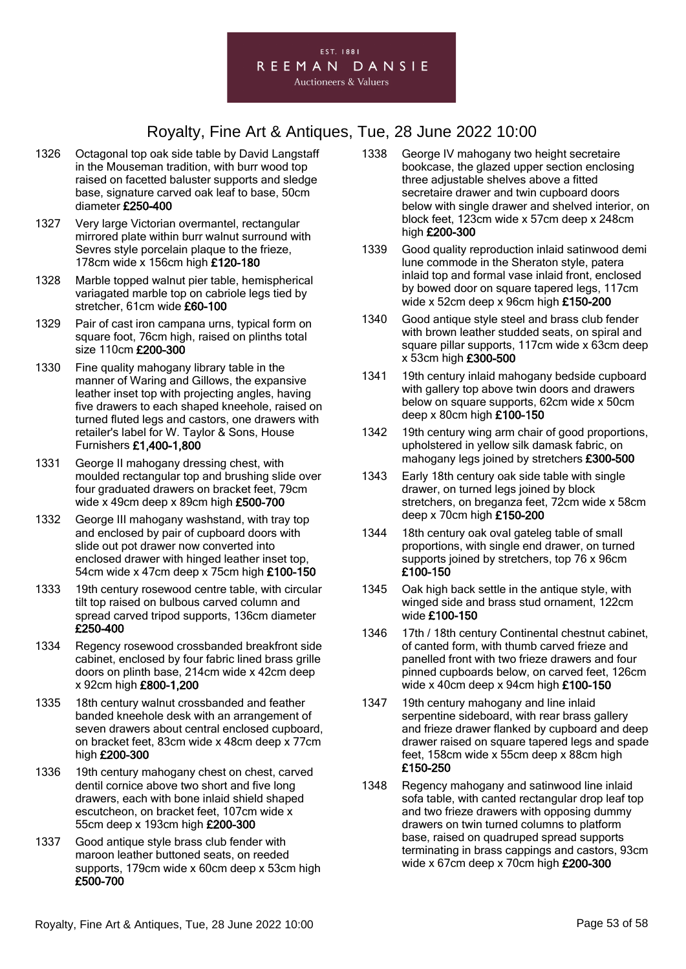

- 1326 Octagonal top oak side table by David Langstaff in the Mouseman tradition, with burr wood top raised on facetted baluster supports and sledge base, signature carved oak leaf to base, 50cm diameter £250-400
- 1327 Very large Victorian overmantel, rectangular mirrored plate within burr walnut surround with Sevres style porcelain plaque to the frieze, 178cm wide x 156cm high £120-180
- 1328 Marble topped walnut pier table, hemispherical variagated marble top on cabriole legs tied by stretcher, 61cm wide £60-100
- 1329 Pair of cast iron campana urns, typical form on square foot, 76cm high, raised on plinths total size 110cm £200-300
- 1330 Fine quality mahogany library table in the manner of Waring and Gillows, the expansive leather inset top with projecting angles, having five drawers to each shaped kneehole, raised on turned fluted legs and castors, one drawers with retailer's label for W. Taylor & Sons, House Furnishers £1,400-1,800
- 1331 George II mahogany dressing chest, with moulded rectangular top and brushing slide over four graduated drawers on bracket feet, 79cm wide x 49cm deep x 89cm high £500-700
- 1332 George III mahogany washstand, with tray top and enclosed by pair of cupboard doors with slide out pot drawer now converted into enclosed drawer with hinged leather inset top, 54cm wide x 47cm deep x 75cm high £100-150
- 1333 19th century rosewood centre table, with circular tilt top raised on bulbous carved column and spread carved tripod supports, 136cm diameter £250-400
- 1334 Regency rosewood crossbanded breakfront side cabinet, enclosed by four fabric lined brass grille doors on plinth base, 214cm wide x 42cm deep x 92cm high £800-1,200
- 1335 18th century walnut crossbanded and feather banded kneehole desk with an arrangement of seven drawers about central enclosed cupboard, on bracket feet, 83cm wide x 48cm deep x 77cm high £200-300
- 1336 19th century mahogany chest on chest, carved dentil cornice above two short and five long drawers, each with bone inlaid shield shaped escutcheon, on bracket feet, 107cm wide x 55cm deep x 193cm high £200-300
- 1337 Good antique style brass club fender with maroon leather buttoned seats, on reeded supports, 179cm wide x 60cm deep x 53cm high £500-700
- 1338 George IV mahogany two height secretaire bookcase, the glazed upper section enclosing three adjustable shelves above a fitted secretaire drawer and twin cupboard doors below with single drawer and shelved interior, on block feet, 123cm wide x 57cm deep x 248cm high £200-300
- 1339 Good quality reproduction inlaid satinwood demi lune commode in the Sheraton style, patera inlaid top and formal vase inlaid front, enclosed by bowed door on square tapered legs, 117cm wide x 52cm deep x 96cm high £150-200
- 1340 Good antique style steel and brass club fender with brown leather studded seats, on spiral and square pillar supports, 117cm wide x 63cm deep x 53cm high £300-500
- 1341 19th century inlaid mahogany bedside cupboard with gallery top above twin doors and drawers below on square supports, 62cm wide x 50cm deep x 80cm high £100-150
- 1342 19th century wing arm chair of good proportions, upholstered in yellow silk damask fabric, on mahogany legs joined by stretchers £300-500
- 1343 Early 18th century oak side table with single drawer, on turned legs joined by block stretchers, on breganza feet, 72cm wide x 58cm deep x 70cm high £150-200
- 1344 18th century oak oval gateleg table of small proportions, with single end drawer, on turned supports joined by stretchers, top 76 x 96cm £100-150
- 1345 Oak high back settle in the antique style, with winged side and brass stud ornament, 122cm wide £100-150
- 1346 17th / 18th century Continental chestnut cabinet, of canted form, with thumb carved frieze and panelled front with two frieze drawers and four pinned cupboards below, on carved feet, 126cm wide x 40cm deep x 94cm high £100-150
- 1347 19th century mahogany and line inlaid serpentine sideboard, with rear brass gallery and frieze drawer flanked by cupboard and deep drawer raised on square tapered legs and spade feet, 158cm wide x 55cm deep x 88cm high £150-250
- 1348 Regency mahogany and satinwood line inlaid sofa table, with canted rectangular drop leaf top and two frieze drawers with opposing dummy drawers on twin turned columns to platform base, raised on quadruped spread supports terminating in brass cappings and castors, 93cm wide x 67cm deep x 70cm high £200-300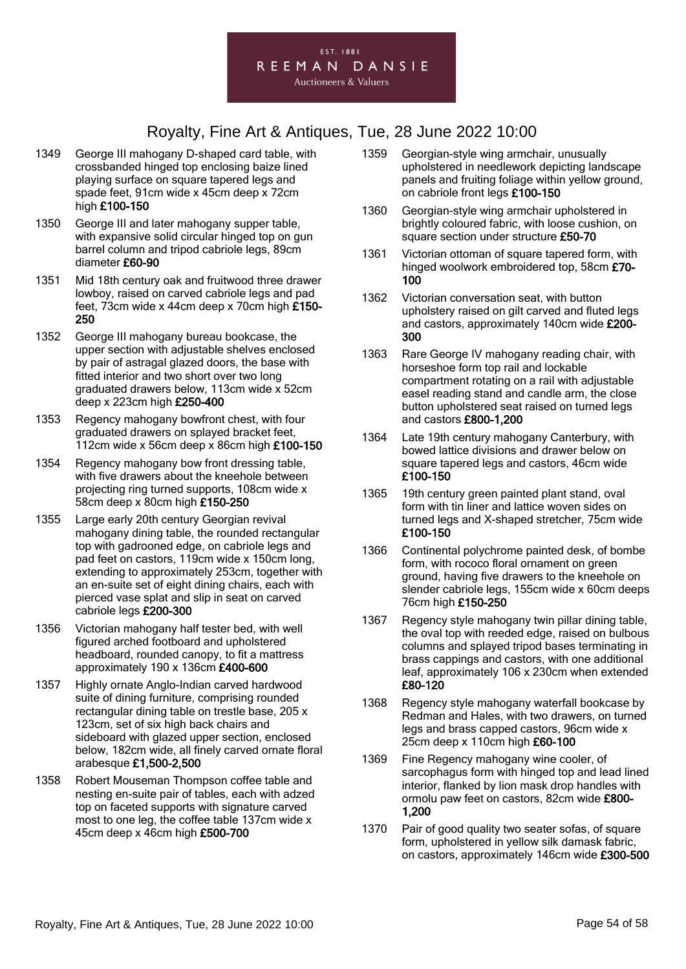

- 1349 George III mahogany D-shaped card table, with crossbanded hinged top enclosing baize lined playing surface on square tapered legs and spade feet, 91cm wide x 45cm deep x 72cm high £100-150
- 1350 George III and later mahogany supper table, with expansive solid circular hinged top on gun barrel column and tripod cabriole legs, 89cm diameter £60-90
- 1351 Mid 18th century oak and fruitwood three drawer lowboy, raised on carved cabriole legs and pad feet, 73cm wide x 44cm deep x 70cm high £150- 250
- 1352 George III mahogany bureau bookcase, the upper section with adjustable shelves enclosed by pair of astragal glazed doors, the base with fitted interior and two short over two long graduated drawers below, 113cm wide x 52cm deep x 223cm high £250-400
- 1353 Regency mahogany bowfront chest, with four graduated drawers on splayed bracket feet, 112cm wide x 56cm deep x 86cm high £100-150
- 1354 Regency mahogany bow front dressing table, with five drawers about the kneehole between projecting ring turned supports, 108cm wide x 58cm deep x 80cm high £150-250
- 1355 Large early 20th century Georgian revival mahogany dining table, the rounded rectangular top with gadrooned edge, on cabriole legs and pad feet on castors, 119cm wide x 150cm long, extending to approximately 253cm, together with an en-suite set of eight dining chairs, each with pierced vase splat and slip in seat on carved cabriole legs £200-300
- 1356 Victorian mahogany half tester bed, with well figured arched footboard and upholstered headboard, rounded canopy, to fit a mattress approximately 190 x 136cm £400-600
- 1357 Highly ornate Anglo-Indian carved hardwood suite of dining furniture, comprising rounded rectangular dining table on trestle base, 205 x 123cm, set of six high back chairs and sideboard with glazed upper section, enclosed below, 182cm wide, all finely carved ornate floral arabesque £1,500-2,500
- 1358 Robert Mouseman Thompson coffee table and nesting en-suite pair of tables, each with adzed top on faceted supports with signature carved most to one leg, the coffee table 137cm wide x 45cm deep x 46cm high £500-700
- 1359 Georgian-style wing armchair, unusually upholstered in needlework depicting landscape panels and fruiting foliage within yellow ground, on cabriole front legs £100-150
- 1360 Georgian-style wing armchair upholstered in brightly coloured fabric, with loose cushion, on square section under structure £50-70
- 1361 Victorian ottoman of square tapered form, with hinged woolwork embroidered top, 58cm £70- 100
- 1362 Victorian conversation seat, with button upholstery raised on gilt carved and fluted legs and castors, approximately 140cm wide £200- 300
- 1363 Rare George IV mahogany reading chair, with horseshoe form top rail and lockable compartment rotating on a rail with adjustable easel reading stand and candle arm, the close button upholstered seat raised on turned legs and castors £800-1,200
- 1364 Late 19th century mahogany Canterbury, with bowed lattice divisions and drawer below on square tapered legs and castors, 46cm wide £100-150
- 1365 19th century green painted plant stand, oval form with tin liner and lattice woven sides on turned legs and X-shaped stretcher, 75cm wide £100-150
- 1366 Continental polychrome painted desk, of bombe form, with rococo floral ornament on green ground, having five drawers to the kneehole on slender cabriole legs, 155cm wide x 60cm deeps 76cm high £150-250
- 1367 Regency style mahogany twin pillar dining table, the oval top with reeded edge, raised on bulbous columns and splayed tripod bases terminating in brass cappings and castors, with one additional leaf, approximately 106 x 230cm when extended £80-120
- 1368 Regency style mahogany waterfall bookcase by Redman and Hales, with two drawers, on turned legs and brass capped castors, 96cm wide x 25cm deep x 110cm high £60-100
- 1369 Fine Regency mahogany wine cooler, of sarcophagus form with hinged top and lead lined interior, flanked by lion mask drop handles with ormolu paw feet on castors, 82cm wide £800- 1,200
- 1370 Pair of good quality two seater sofas, of square form, upholstered in yellow silk damask fabric, on castors, approximately 146cm wide £300-500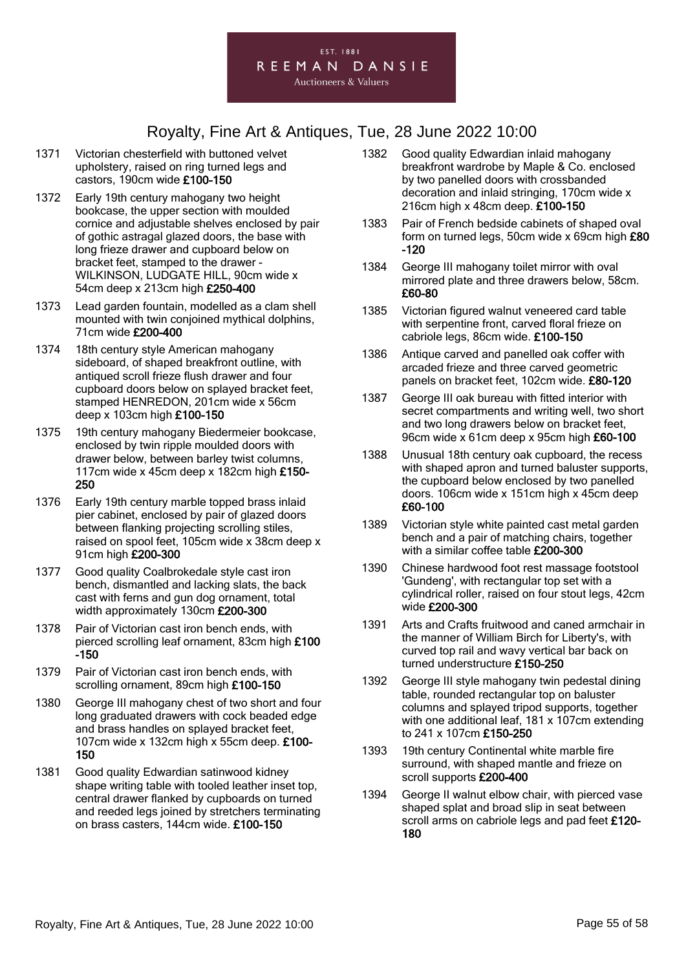

- 1371 Victorian chesterfield with buttoned velvet upholstery, raised on ring turned legs and castors, 190cm wide £100-150
- 1372 Early 19th century mahogany two height bookcase, the upper section with moulded cornice and adjustable shelves enclosed by pair of gothic astragal glazed doors, the base with long frieze drawer and cupboard below on bracket feet, stamped to the drawer - WILKINSON, LUDGATE HILL, 90cm wide x 54cm deep x 213cm high £250-400
- 1373 Lead garden fountain, modelled as a clam shell mounted with twin conjoined mythical dolphins, 71cm wide £200-400
- 1374 18th century style American mahogany sideboard, of shaped breakfront outline, with antiqued scroll frieze flush drawer and four cupboard doors below on splayed bracket feet, stamped HENREDON, 201cm wide x 56cm deep x 103cm high £100-150
- 1375 19th century mahogany Biedermeier bookcase, enclosed by twin ripple moulded doors with drawer below, between barley twist columns, 117cm wide x 45cm deep x 182cm high £150- 250
- 1376 Early 19th century marble topped brass inlaid pier cabinet, enclosed by pair of glazed doors between flanking projecting scrolling stiles, raised on spool feet, 105cm wide x 38cm deep x 91cm high £200-300
- 1377 Good quality Coalbrokedale style cast iron bench, dismantled and lacking slats, the back cast with ferns and gun dog ornament, total width approximately 130cm £200-300
- 1378 Pair of Victorian cast iron bench ends, with pierced scrolling leaf ornament, 83cm high £100 -150
- 1379 Pair of Victorian cast iron bench ends, with scrolling ornament, 89cm high £100-150
- 1380 George III mahogany chest of two short and four long graduated drawers with cock beaded edge and brass handles on splayed bracket feet, 107cm wide x 132cm high x 55cm deep. £100- 150
- 1381 Good quality Edwardian satinwood kidney shape writing table with tooled leather inset top, central drawer flanked by cupboards on turned and reeded legs joined by stretchers terminating on brass casters, 144cm wide. £100-150
- 1382 Good quality Edwardian inlaid mahogany breakfront wardrobe by Maple & Co. enclosed by two panelled doors with crossbanded decoration and inlaid stringing, 170cm wide x 216cm high x 48cm deep. £100-150
- 1383 Pair of French bedside cabinets of shaped oval form on turned legs, 50cm wide x 69cm high £80 -120
- 1384 George III mahogany toilet mirror with oval mirrored plate and three drawers below, 58cm. £60-80
- 1385 Victorian figured walnut veneered card table with serpentine front, carved floral frieze on cabriole legs, 86cm wide. £100-150
- 1386 Antique carved and panelled oak coffer with arcaded frieze and three carved geometric panels on bracket feet, 102cm wide. £80-120
- 1387 George III oak bureau with fitted interior with secret compartments and writing well, two short and two long drawers below on bracket feet, 96cm wide x 61cm deep x 95cm high £60-100
- 1388 Unusual 18th century oak cupboard, the recess with shaped apron and turned baluster supports, the cupboard below enclosed by two panelled doors. 106cm wide x 151cm high x 45cm deep £60-100
- 1389 Victorian style white painted cast metal garden bench and a pair of matching chairs, together with a similar coffee table £200-300
- 1390 Chinese hardwood foot rest massage footstool 'Gundeng', with rectangular top set with a cylindrical roller, raised on four stout legs, 42cm wide £200-300
- 1391 Arts and Crafts fruitwood and caned armchair in the manner of William Birch for Liberty's, with curved top rail and wavy vertical bar back on turned understructure £150-250
- 1392 George III style mahogany twin pedestal dining table, rounded rectangular top on baluster columns and splayed tripod supports, together with one additional leaf, 181 x 107cm extending to 241 x 107cm £150-250
- 1393 19th century Continental white marble fire surround, with shaped mantle and frieze on scroll supports £200-400
- 1394 George II walnut elbow chair, with pierced vase shaped splat and broad slip in seat between scroll arms on cabriole legs and pad feet £120-180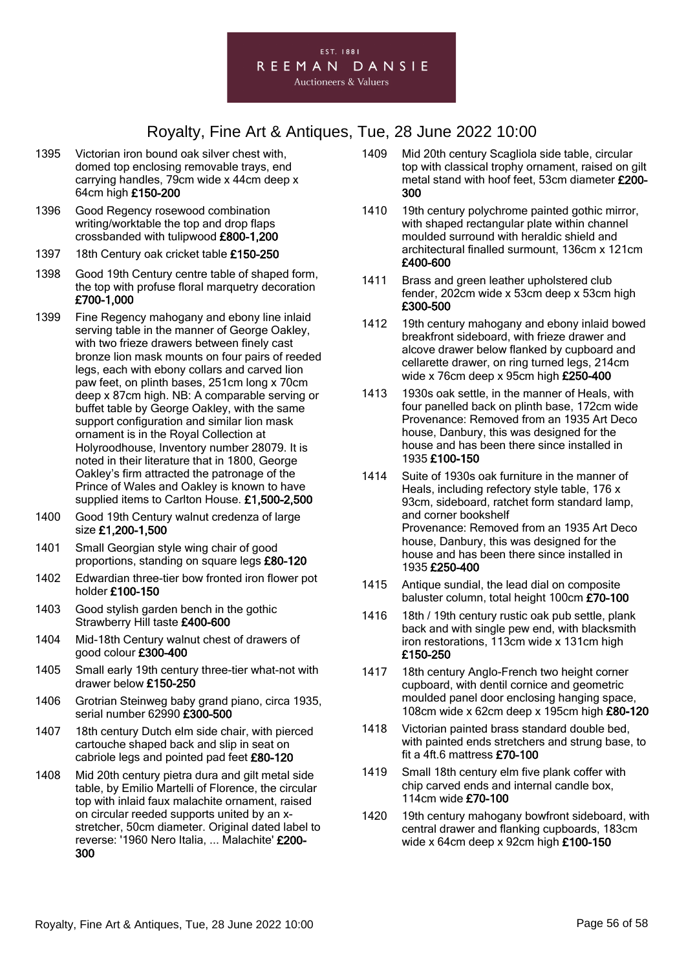

- 1395 Victorian iron bound oak silver chest with, domed top enclosing removable trays, end carrying handles, 79cm wide x 44cm deep x 64cm high £150-200
- 1396 Good Regency rosewood combination writing/worktable the top and drop flaps crossbanded with tulipwood £800-1,200
- 1397 18th Century oak cricket table £150-250
- 1398 Good 19th Century centre table of shaped form, the top with profuse floral marquetry decoration £700-1,000
- 1399 Fine Regency mahogany and ebony line inlaid serving table in the manner of George Oakley, with two frieze drawers between finely cast bronze lion mask mounts on four pairs of reeded legs, each with ebony collars and carved lion paw feet, on plinth bases, 251cm long x 70cm deep x 87cm high. NB: A comparable serving or buffet table by George Oakley, with the same support configuration and similar lion mask ornament is in the Royal Collection at Holyroodhouse, Inventory number 28079. It is noted in their literature that in 1800, George Oakley's firm attracted the patronage of the Prince of Wales and Oakley is known to have supplied items to Carlton House. £1,500-2,500
- 1400 Good 19th Century walnut credenza of large size £1,200-1,500
- 1401 Small Georgian style wing chair of good proportions, standing on square legs £80-120
- 1402 Edwardian three-tier bow fronted iron flower pot holder £100-150
- 1403 Good stylish garden bench in the gothic Strawberry Hill taste £400-600
- 1404 Mid-18th Century walnut chest of drawers of good colour £300-400
- 1405 Small early 19th century three-tier what-not with drawer below £150-250
- 1406 Grotrian Steinweg baby grand piano, circa 1935, serial number 62990 £300-500
- 1407 18th century Dutch elm side chair, with pierced cartouche shaped back and slip in seat on cabriole legs and pointed pad feet £80-120
- 1408 Mid 20th century pietra dura and gilt metal side table, by Emilio Martelli of Florence, the circular top with inlaid faux malachite ornament, raised on circular reeded supports united by an xstretcher, 50cm diameter. Original dated label to reverse: '1960 Nero Italia, ... Malachite' £200- 300
- 1409 Mid 20th century Scagliola side table, circular top with classical trophy ornament, raised on gilt metal stand with hoof feet, 53cm diameter £200- 300
- 1410 19th century polychrome painted gothic mirror, with shaped rectangular plate within channel moulded surround with heraldic shield and architectural finalled surmount, 136cm x 121cm £400-600
- 1411 Brass and green leather upholstered club fender, 202cm wide x 53cm deep x 53cm high £300-500
- 1412 19th century mahogany and ebony inlaid bowed breakfront sideboard, with frieze drawer and alcove drawer below flanked by cupboard and cellarette drawer, on ring turned legs, 214cm wide x 76cm deep x 95cm high £250-400
- 1413 1930s oak settle, in the manner of Heals, with four panelled back on plinth base, 172cm wide Provenance: Removed from an 1935 Art Deco house, Danbury, this was designed for the house and has been there since installed in 1935 £100-150
- 1414 Suite of 1930s oak furniture in the manner of Heals, including refectory style table, 176 x 93cm, sideboard, ratchet form standard lamp, and corner bookshelf Provenance: Removed from an 1935 Art Deco house, Danbury, this was designed for the house and has been there since installed in 1935 £250-400
- 1415 Antique sundial, the lead dial on composite baluster column, total height 100cm £70-100
- 1416 18th / 19th century rustic oak pub settle, plank back and with single pew end, with blacksmith iron restorations, 113cm wide x 131cm high £150-250
- 1417 18th century Anglo-French two height corner cupboard, with dentil cornice and geometric moulded panel door enclosing hanging space, 108cm wide x 62cm deep x 195cm high £80-120
- 1418 Victorian painted brass standard double bed, with painted ends stretchers and strung base, to fit a 4ft.6 mattress £70-100
- 1419 Small 18th century elm five plank coffer with chip carved ends and internal candle box, 114cm wide £70-100
- 1420 19th century mahogany bowfront sideboard, with central drawer and flanking cupboards, 183cm wide x 64cm deep x 92cm high £100-150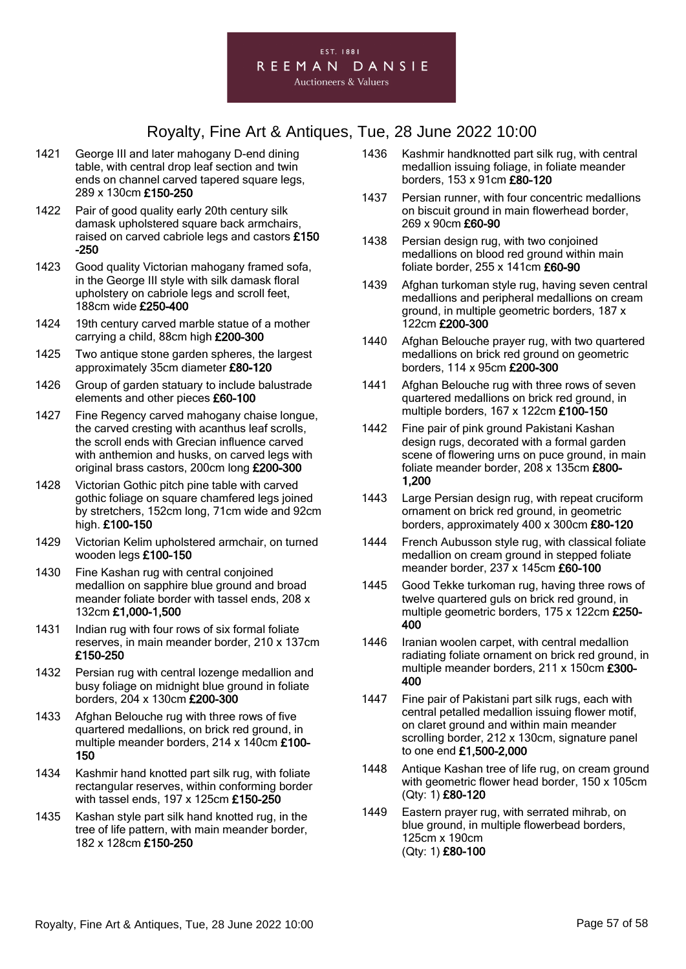

- 1421 George III and later mahogany D-end dining table, with central drop leaf section and twin ends on channel carved tapered square legs, 289 x 130cm £150-250
- 1422 Pair of good quality early 20th century silk damask upholstered square back armchairs, raised on carved cabriole legs and castors £150 -250
- 1423 Good quality Victorian mahogany framed sofa, in the George III style with silk damask floral upholstery on cabriole legs and scroll feet, 188cm wide £250-400
- 1424 19th century carved marble statue of a mother carrying a child, 88cm high £200-300
- 1425 Two antique stone garden spheres, the largest approximately 35cm diameter £80-120
- 1426 Group of garden statuary to include balustrade elements and other pieces £60-100
- 1427 Fine Regency carved mahogany chaise longue, the carved cresting with acanthus leaf scrolls, the scroll ends with Grecian influence carved with anthemion and husks, on carved legs with original brass castors, 200cm long £200-300
- 1428 Victorian Gothic pitch pine table with carved gothic foliage on square chamfered legs joined by stretchers, 152cm long, 71cm wide and 92cm high. £100-150
- 1429 Victorian Kelim upholstered armchair, on turned wooden legs £100-150
- 1430 Fine Kashan rug with central conjoined medallion on sapphire blue ground and broad meander foliate border with tassel ends, 208 x 132cm £1,000-1,500
- 1431 Indian rug with four rows of six formal foliate reserves, in main meander border, 210 x 137cm £150-250
- 1432 Persian rug with central lozenge medallion and busy foliage on midnight blue ground in foliate borders, 204 x 130cm £200-300
- 1433 Afghan Belouche rug with three rows of five quartered medallions, on brick red ground, in multiple meander borders, 214 x 140cm £100- 150
- 1434 Kashmir hand knotted part silk rug, with foliate rectangular reserves, within conforming border with tassel ends, 197 x 125cm £150-250
- 1435 Kashan style part silk hand knotted rug, in the tree of life pattern, with main meander border, 182 x 128cm £150-250
- 1436 Kashmir handknotted part silk rug, with central medallion issuing foliage, in foliate meander borders, 153 x 91cm £80-120
- 1437 Persian runner, with four concentric medallions on biscuit ground in main flowerhead border, 269 x 90cm £60-90
- 1438 Persian design rug, with two conjoined medallions on blood red ground within main foliate border, 255 x 141cm £60-90
- 1439 Afghan turkoman style rug, having seven central medallions and peripheral medallions on cream ground, in multiple geometric borders, 187 x 122cm £200-300
- 1440 Afghan Belouche prayer rug, with two quartered medallions on brick red ground on geometric borders, 114 x 95cm £200-300
- 1441 Afghan Belouche rug with three rows of seven quartered medallions on brick red ground, in multiple borders, 167 x 122cm £100-150
- 1442 Fine pair of pink ground Pakistani Kashan design rugs, decorated with a formal garden scene of flowering urns on puce ground, in main foliate meander border, 208 x 135cm £800- 1,200
- 1443 Large Persian design rug, with repeat cruciform ornament on brick red ground, in geometric borders, approximately 400 x 300cm £80-120
- 1444 French Aubusson style rug, with classical foliate medallion on cream ground in stepped foliate meander border, 237 x 145cm £60-100
- 1445 Good Tekke turkoman rug, having three rows of twelve quartered guls on brick red ground, in multiple geometric borders, 175 x 122cm £250- 400
- 1446 Iranian woolen carpet, with central medallion radiating foliate ornament on brick red ground, in multiple meander borders, 211 x 150cm £300- 400
- 1447 Fine pair of Pakistani part silk rugs, each with central petalled medallion issuing flower motif, on claret ground and within main meander scrolling border, 212 x 130cm, signature panel to one end £1,500-2,000
- 1448 Antique Kashan tree of life rug, on cream ground with geometric flower head border, 150 x 105cm (Qty: 1) £80-120
- 1449 Eastern prayer rug, with serrated mihrab, on blue ground, in multiple flowerbead borders, 125cm x 190cm (Qty: 1) £80-100